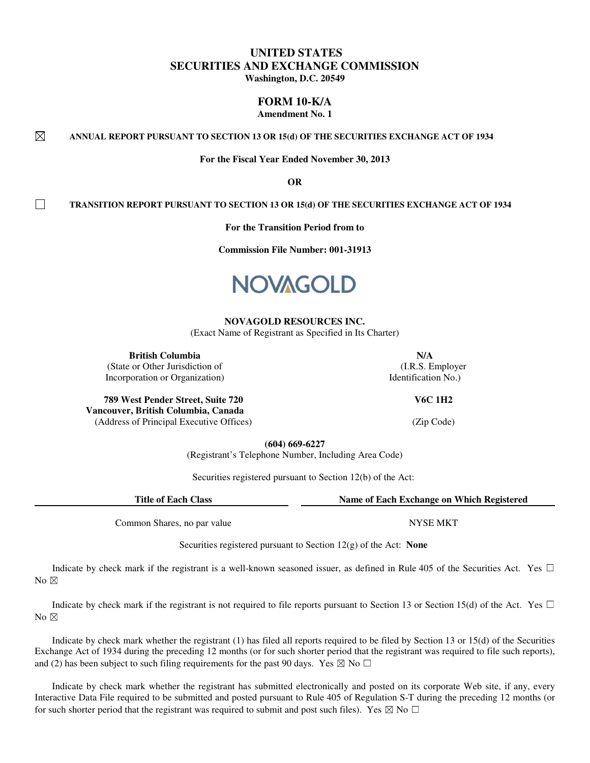# **UNITED STATES SECURITIES AND EXCHANGE COMMISSION Washington, D.C. 20549**

**FORM 10-K/A** 

**Amendment No. 1** 

⊠ **ANNUAL REPORT PURSUANT TO SECTION 13 OR 15(d) OF THE SECURITIES EXCHANGE ACT OF 1934**

**For the Fiscal Year Ended November 30, 2013** 

**OR** 

**TRANSITION REPORT PURSUANT TO SECTION 13 OR 15(d) OF THE SECURITIES EXCHANGE ACT OF 1934**

**For the Transition Period from to** 

**Commission File Number: 001-31913** 



#### **NOVAGOLD RESOURCES INC.**

(Exact Name of Registrant as Specified in Its Charter)

**British Columbia** N/A

П

(State or Other Jurisdiction of Incorporation or Organization)

**789 West Pender Street, Suite 720 Vancouver, British Columbia, Canada** (Address of Principal Executive Offices) (Zip Code)

**(604) 669-6227**

(Registrant's Telephone Number, Including Area Code)

Securities registered pursuant to Section 12(b) of the Act:

**Title of Each Class Name of Each Exchange on Which Registered**

Common Shares, no par value NYSE MKT

Securities registered pursuant to Section 12(g) of the Act: **None**

Indicate by check mark if the registrant is a well-known seasoned issuer, as defined in Rule 405 of the Securities Act. Yes  $\Box$ No  $\boxtimes$ 

Indicate by check mark if the registrant is not required to file reports pursuant to Section 13 or Section 15(d) of the Act. Yes  $\Box$ No  $\boxtimes$ 

Indicate by check mark whether the registrant (1) has filed all reports required to be filed by Section 13 or 15(d) of the Securities Exchange Act of 1934 during the preceding 12 months (or for such shorter period that the registrant was required to file such reports), and (2) has been subject to such filing requirements for the past 90 days. Yes  $\boxtimes$  No  $\Box$ 

Indicate by check mark whether the registrant has submitted electronically and posted on its corporate Web site, if any, every Interactive Data File required to be submitted and posted pursuant to Rule 405 of Regulation S-T during the preceding 12 months (or for such shorter period that the registrant was required to submit and post such files). Yes  $\boxtimes$  No  $\Box$ 

 (I.R.S. Employer Identification No.)

**V6C 1H2**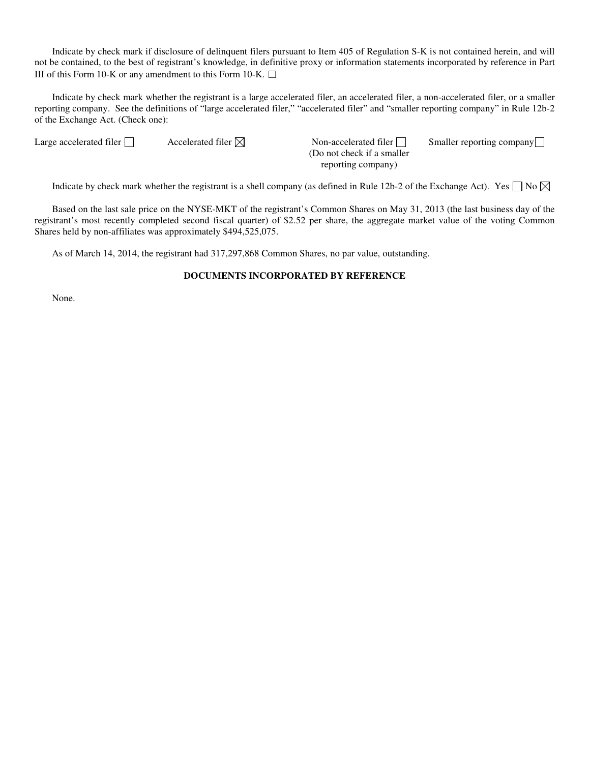Indicate by check mark if disclosure of delinquent filers pursuant to Item 405 of Regulation S-K is not contained herein, and will not be contained, to the best of registrant's knowledge, in definitive proxy or information statements incorporated by reference in Part III of this Form 10-K or any amendment to this Form 10-K.  $\Box$ 

Indicate by check mark whether the registrant is a large accelerated filer, an accelerated filer, a non-accelerated filer, or a smaller reporting company. See the definitions of "large accelerated filer," "accelerated filer" and "smaller reporting company" in Rule 12b-2 of the Exchange Act. (Check one):

Large accelerated filer  $\Box$  Accelerated filer  $\boxdot$  Non-accelerated filer  $\Box$ 

(Do not check if a smaller reporting company) Smaller reporting company

Indicate by check mark whether the registrant is a shell company (as defined in Rule 12b-2 of the Exchange Act). Yes  $\Box$  No  $\boxtimes$ 

Based on the last sale price on the NYSE-MKT of the registrant's Common Shares on May 31, 2013 (the last business day of the registrant's most recently completed second fiscal quarter) of \$2.52 per share, the aggregate market value of the voting Common Shares held by non-affiliates was approximately \$494,525,075.

As of March 14, 2014, the registrant had 317,297,868 Common Shares, no par value, outstanding.

### **DOCUMENTS INCORPORATED BY REFERENCE**

None.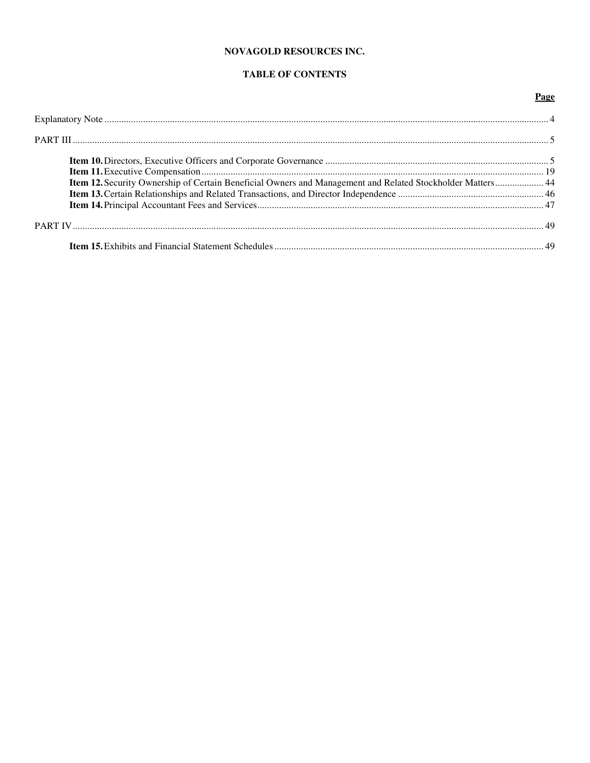## NOVAGOLD RESOURCES INC.

# TABLE OF CONTENTS

## Page

| Item 12. Security Ownership of Certain Beneficial Owners and Management and Related Stockholder Matters 44 |  |
|------------------------------------------------------------------------------------------------------------|--|
|                                                                                                            |  |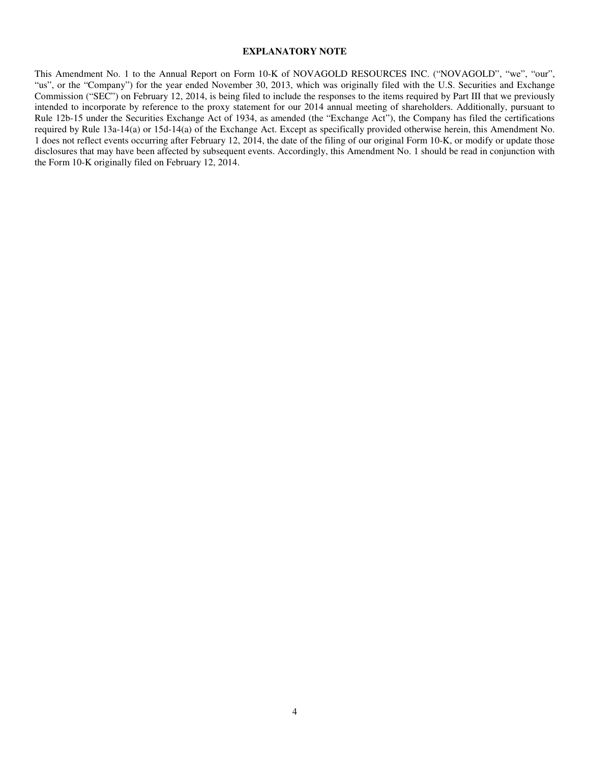#### **EXPLANATORY NOTE**

This Amendment No. 1 to the Annual Report on Form 10-K of NOVAGOLD RESOURCES INC. ("NOVAGOLD", "we", "our", "us", or the "Company") for the year ended November 30, 2013, which was originally filed with the U.S. Securities and Exchange Commission ("SEC") on February 12, 2014, is being filed to include the responses to the items required by Part III that we previously intended to incorporate by reference to the proxy statement for our 2014 annual meeting of shareholders. Additionally, pursuant to Rule 12b-15 under the Securities Exchange Act of 1934, as amended (the "Exchange Act"), the Company has filed the certifications required by Rule 13a-14(a) or 15d-14(a) of the Exchange Act. Except as specifically provided otherwise herein, this Amendment No. 1 does not reflect events occurring after February 12, 2014, the date of the filing of our original Form 10-K, or modify or update those disclosures that may have been affected by subsequent events. Accordingly, this Amendment No. 1 should be read in conjunction with the Form 10-K originally filed on February 12, 2014.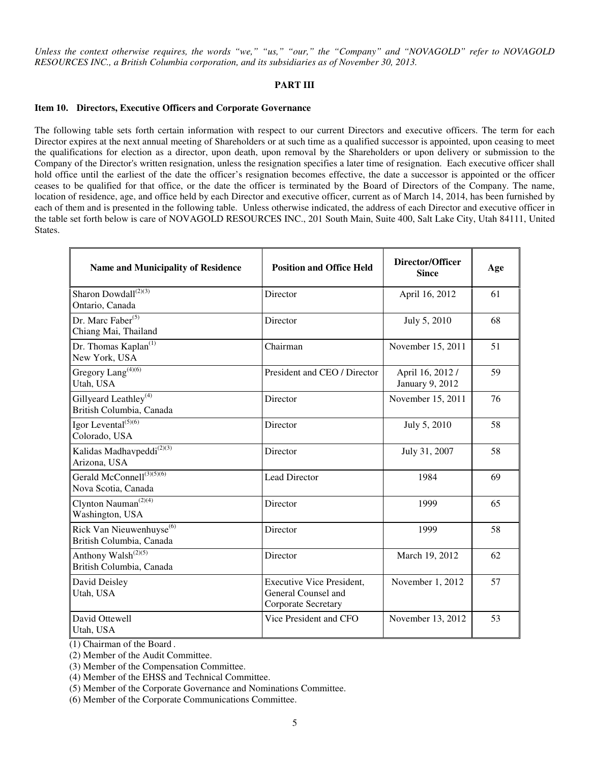*Unless the context otherwise requires, the words "we," "us," "our," the "Company" and "NOVAGOLD" refer to NOVAGOLD RESOURCES INC., a British Columbia corporation, and its subsidiaries as of November 30, 2013.* 

## **PART III**

#### **Item 10. Directors, Executive Officers and Corporate Governance**

The following table sets forth certain information with respect to our current Directors and executive officers. The term for each Director expires at the next annual meeting of Shareholders or at such time as a qualified successor is appointed, upon ceasing to meet the qualifications for election as a director, upon death, upon removal by the Shareholders or upon delivery or submission to the Company of the Director's written resignation, unless the resignation specifies a later time of resignation. Each executive officer shall hold office until the earliest of the date the officer's resignation becomes effective, the date a successor is appointed or the officer ceases to be qualified for that office, or the date the officer is terminated by the Board of Directors of the Company. The name, location of residence, age, and office held by each Director and executive officer, current as of March 14, 2014, has been furnished by each of them and is presented in the following table. Unless otherwise indicated, the address of each Director and executive officer in the table set forth below is care of NOVAGOLD RESOURCES INC., 201 South Main, Suite 400, Salt Lake City, Utah 84111, United States.

| <b>Name and Municipality of Residence</b>                        | <b>Position and Office Held</b>                                                | Director/Officer<br><b>Since</b>    | Age |
|------------------------------------------------------------------|--------------------------------------------------------------------------------|-------------------------------------|-----|
| Sharon Dowdall <sup>(2)(3)</sup><br>Ontario, Canada              | Director                                                                       | April 16, 2012                      | 61  |
| Dr. Marc Faber <sup>(5)</sup><br>Chiang Mai, Thailand            | Director                                                                       | July 5, 2010                        | 68  |
| Dr. Thomas Kaplan <sup>(1)</sup><br>New York, USA                | Chairman                                                                       | November 15, 2011                   | 51  |
| Gregory Lang <sup>(4)(6)</sup><br>Utah, USA                      | President and CEO / Director                                                   | April 16, 2012 /<br>January 9, 2012 | 59  |
| Gillyeard Leathley <sup>(4)</sup><br>British Columbia, Canada    | Director                                                                       | November 15, 2011                   | 76  |
| Igor Levental $\sqrt{(5)(6)}$<br>Colorado, USA                   | Director                                                                       | July 5, 2010                        | 58  |
| Kalidas Madhavpeddi <sup>(2)(3)</sup><br>Arizona, USA            | Director                                                                       | July 31, 2007                       | 58  |
| Gerald McConnell <sup>(3)(5)(6)</sup><br>Nova Scotia, Canada     | Lead Director                                                                  | 1984                                | 69  |
| Clynton Nauman <sup>(2)(4)</sup><br>Washington, USA              | Director                                                                       | 1999                                | 65  |
| Rick Van Nieuwenhuyse <sup>(6)</sup><br>British Columbia, Canada | Director                                                                       | 1999                                | 58  |
| Anthony Walsh <sup>(2)(5)</sup><br>British Columbia, Canada      | Director                                                                       | March 19, 2012                      | 62  |
| David Deisley<br>Utah, USA                                       | <b>Executive Vice President,</b><br>General Counsel and<br>Corporate Secretary | November 1, 2012                    | 57  |
| David Ottewell<br>Utah, USA                                      | Vice President and CFO                                                         | November 13, 2012                   | 53  |

(1) Chairman of the Board .

(2) Member of the Audit Committee.

(3) Member of the Compensation Committee.

(4) Member of the EHSS and Technical Committee.

(5) Member of the Corporate Governance and Nominations Committee.

(6) Member of the Corporate Communications Committee.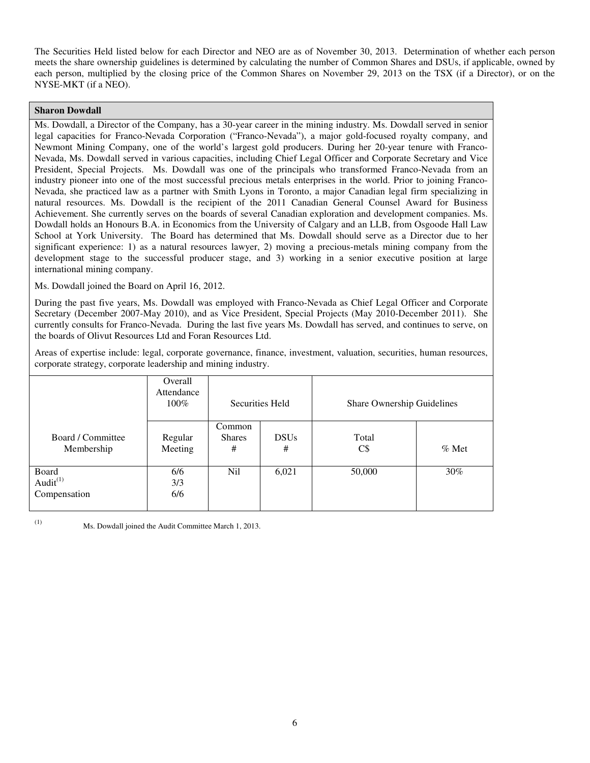The Securities Held listed below for each Director and NEO are as of November 30, 2013. Determination of whether each person meets the share ownership guidelines is determined by calculating the number of Common Shares and DSUs, if applicable, owned by each person, multiplied by the closing price of the Common Shares on November 29, 2013 on the TSX (if a Director), or on the NYSE-MKT (if a NEO).

## **Sharon Dowdall**

Ms. Dowdall, a Director of the Company, has a 30-year career in the mining industry. Ms. Dowdall served in senior legal capacities for Franco-Nevada Corporation ("Franco-Nevada"), a major gold-focused royalty company, and Newmont Mining Company, one of the world's largest gold producers. During her 20-year tenure with Franco-Nevada, Ms. Dowdall served in various capacities, including Chief Legal Officer and Corporate Secretary and Vice President, Special Projects. Ms. Dowdall was one of the principals who transformed Franco-Nevada from an industry pioneer into one of the most successful precious metals enterprises in the world. Prior to joining Franco-Nevada, she practiced law as a partner with Smith Lyons in Toronto, a major Canadian legal firm specializing in natural resources. Ms. Dowdall is the recipient of the 2011 Canadian General Counsel Award for Business Achievement. She currently serves on the boards of several Canadian exploration and development companies. Ms. Dowdall holds an Honours B.A. in Economics from the University of Calgary and an LLB, from Osgoode Hall Law School at York University. The Board has determined that Ms. Dowdall should serve as a Director due to her significant experience: 1) as a natural resources lawyer, 2) moving a precious-metals mining company from the development stage to the successful producer stage, and 3) working in a senior executive position at large international mining company.

Ms. Dowdall joined the Board on April 16, 2012.

During the past five years, Ms. Dowdall was employed with Franco-Nevada as Chief Legal Officer and Corporate Secretary (December 2007-May 2010), and as Vice President, Special Projects (May 2010-December 2011). She currently consults for Franco-Nevada. During the last five years Ms. Dowdall has served, and continues to serve, on the boards of Olivut Resources Ltd and Foran Resources Ltd.

Areas of expertise include: legal, corporate governance, finance, investment, valuation, securities, human resources, corporate strategy, corporate leadership and mining industry.

|                                               | Overall<br>Attendance<br>100% | Securities Held              |                  | Share Ownership Guidelines |         |
|-----------------------------------------------|-------------------------------|------------------------------|------------------|----------------------------|---------|
| Board / Committee<br>Membership               | Regular<br>Meeting            | Common<br><b>Shares</b><br># | <b>DSUs</b><br># | Total<br>C\$               | $%$ Met |
| Board<br>Audit <sup>(1)</sup><br>Compensation | 6/6<br>3/3<br>6/6             | N <sub>i</sub>               | 6,021            | 50,000                     | $30\%$  |

(1) Ms. Dowdall joined the Audit Committee March 1, 2013.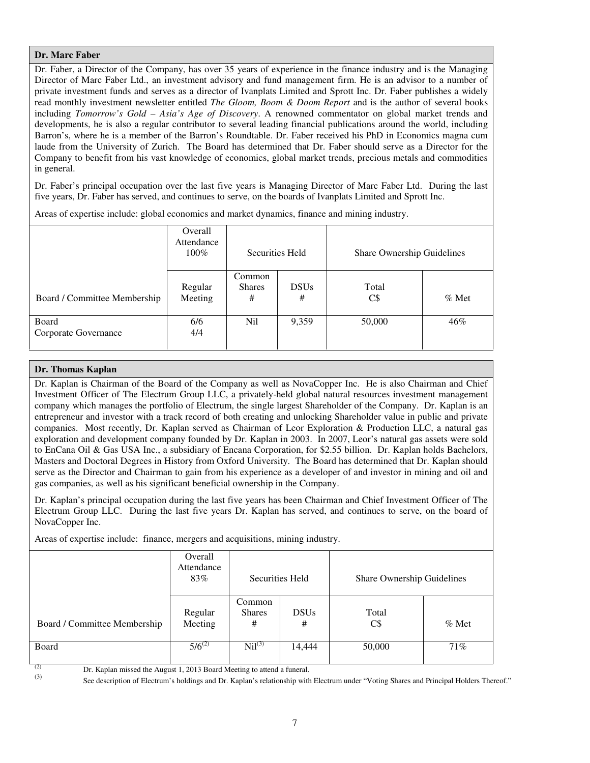## **Dr. Marc Faber**

Dr. Faber, a Director of the Company, has over 35 years of experience in the finance industry and is the Managing Director of Marc Faber Ltd., an investment advisory and fund management firm. He is an advisor to a number of private investment funds and serves as a director of Ivanplats Limited and Sprott Inc. Dr. Faber publishes a widely read monthly investment newsletter entitled *The Gloom, Boom & Doom Report* and is the author of several books including *Tomorrow's Gold – Asia's Age of Discovery*. A renowned commentator on global market trends and developments, he is also a regular contributor to several leading financial publications around the world, including Barron's, where he is a member of the Barron's Roundtable. Dr. Faber received his PhD in Economics magna cum laude from the University of Zurich. The Board has determined that Dr. Faber should serve as a Director for the Company to benefit from his vast knowledge of economics, global market trends, precious metals and commodities in general.

Dr. Faber's principal occupation over the last five years is Managing Director of Marc Faber Ltd. During the last five years, Dr. Faber has served, and continues to serve, on the boards of Ivanplats Limited and Sprott Inc.

|                               | Overall<br>Attendance<br>$100\%$ | Securities Held              |                  | Share Ownership Guidelines |          |
|-------------------------------|----------------------------------|------------------------------|------------------|----------------------------|----------|
| Board / Committee Membership  | Regular<br>Meeting               | Common<br><b>Shares</b><br># | <b>DSUs</b><br># | Total<br>$C\$              | $\%$ Met |
| Board<br>Corporate Governance | 6/6<br>4/4                       | Nil                          | 9,359            | 50,000                     | 46%      |

Areas of expertise include: global economics and market dynamics, finance and mining industry.

## **Dr. Thomas Kaplan**

Dr. Kaplan is Chairman of the Board of the Company as well as NovaCopper Inc. He is also Chairman and Chief Investment Officer of The Electrum Group LLC, a privately-held global natural resources investment management company which manages the portfolio of Electrum, the single largest Shareholder of the Company. Dr. Kaplan is an entrepreneur and investor with a track record of both creating and unlocking Shareholder value in public and private companies. Most recently, Dr. Kaplan served as Chairman of Leor Exploration & Production LLC, a natural gas exploration and development company founded by Dr. Kaplan in 2003. In 2007, Leor's natural gas assets were sold to EnCana Oil & Gas USA Inc., a subsidiary of Encana Corporation, for \$2.55 billion. Dr. Kaplan holds Bachelors, Masters and Doctoral Degrees in History from Oxford University. The Board has determined that Dr. Kaplan should serve as the Director and Chairman to gain from his experience as a developer of and investor in mining and oil and gas companies, as well as his significant beneficial ownership in the Company.

Dr. Kaplan's principal occupation during the last five years has been Chairman and Chief Investment Officer of The Electrum Group LLC. During the last five years Dr. Kaplan has served, and continues to serve, on the board of NovaCopper Inc.

Areas of expertise include: finance, mergers and acquisitions, mining industry.

|                              | Overall<br>Attendance<br>83% | Securities Held       |                  | Share Ownership Guidelines |         |
|------------------------------|------------------------------|-----------------------|------------------|----------------------------|---------|
| Board / Committee Membership | Regular<br>Meeting           | Common<br>Shares<br># | <b>DSUs</b><br># | Total<br>C\$               | $%$ Met |
| Board<br>$\sim$              | $5/6^{(2)}$                  | $\text{Nil}^{(3)}$    | 14,444           | 50,000                     | 71%     |

(2)  $\qquad$  Dr. Kaplan missed the August 1, 2013 Board Meeting to attend a funeral.

See description of Electrum's holdings and Dr. Kaplan's relationship with Electrum under "Voting Shares and Principal Holders Thereof."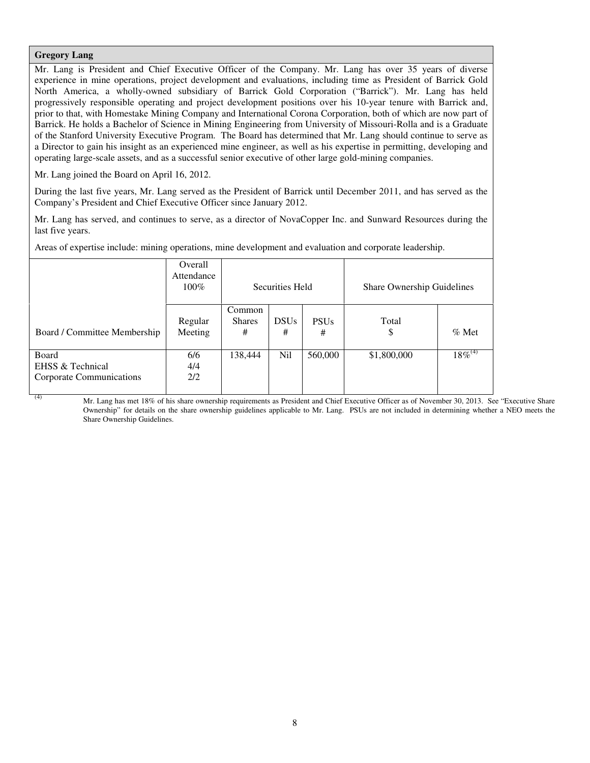## **Gregory Lang**

Mr. Lang is President and Chief Executive Officer of the Company. Mr. Lang has over 35 years of diverse experience in mine operations, project development and evaluations, including time as President of Barrick Gold North America, a wholly-owned subsidiary of Barrick Gold Corporation ("Barrick"). Mr. Lang has held progressively responsible operating and project development positions over his 10-year tenure with Barrick and, prior to that, with Homestake Mining Company and International Corona Corporation, both of which are now part of Barrick. He holds a Bachelor of Science in Mining Engineering from University of Missouri-Rolla and is a Graduate of the Stanford University Executive Program. The Board has determined that Mr. Lang should continue to serve as a Director to gain his insight as an experienced mine engineer, as well as his expertise in permitting, developing and operating large-scale assets, and as a successful senior executive of other large gold-mining companies.

Mr. Lang joined the Board on April 16, 2012.

During the last five years, Mr. Lang served as the President of Barrick until December 2011, and has served as the Company's President and Chief Executive Officer since January 2012.

Mr. Lang has served, and continues to serve, as a director of NovaCopper Inc. and Sunward Resources during the last five years.

Areas of expertise include: mining operations, mine development and evaluation and corporate leadership.

|                                                       | Overall<br>Attendance<br>100% | Securities Held              |                  |                  | Share Ownership Guidelines |              |
|-------------------------------------------------------|-------------------------------|------------------------------|------------------|------------------|----------------------------|--------------|
| Board / Committee Membership                          | Regular<br>Meeting            | Common<br><b>Shares</b><br># | <b>DSUs</b><br># | <b>PSUs</b><br># | Total<br>\$                | $%$ Met      |
| Board<br>EHSS & Technical<br>Corporate Communications | 6/6<br>4/4<br>2/2             | 138,444                      | Nil              | 560,000          | \$1,800,000                | $18\%^{(4)}$ |

Mr. Lang has met 18% of his share ownership requirements as President and Chief Executive Officer as of November 30, 2013. See "Executive Share Ownership" for details on the share ownership guidelines applicable to Mr. Lang. PSUs are not included in determining whether a NEO meets the Share Ownership Guidelines.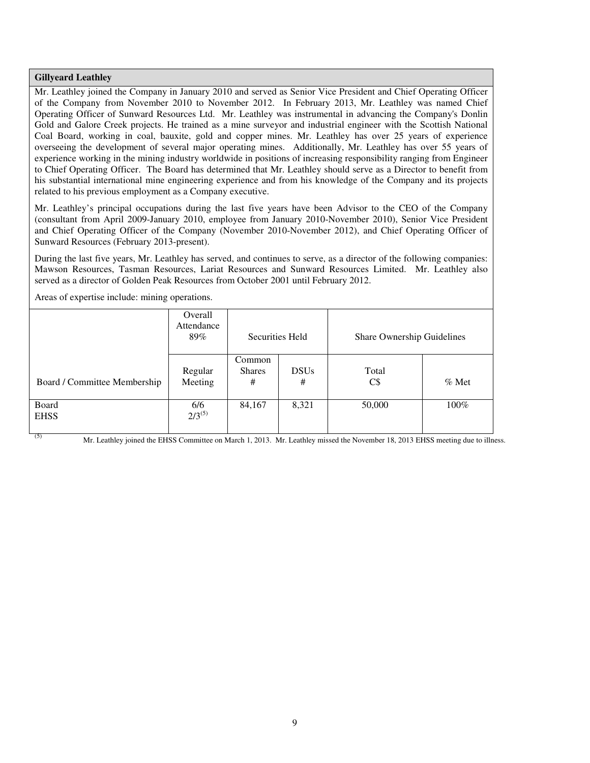### **Gillyeard Leathley**

Mr. Leathley joined the Company in January 2010 and served as Senior Vice President and Chief Operating Officer of the Company from November 2010 to November 2012. In February 2013, Mr. Leathley was named Chief Operating Officer of Sunward Resources Ltd. Mr. Leathley was instrumental in advancing the Company's Donlin Gold and Galore Creek projects. He trained as a mine surveyor and industrial engineer with the Scottish National Coal Board, working in coal, bauxite, gold and copper mines. Mr. Leathley has over 25 years of experience overseeing the development of several major operating mines. Additionally, Mr. Leathley has over 55 years of experience working in the mining industry worldwide in positions of increasing responsibility ranging from Engineer to Chief Operating Officer. The Board has determined that Mr. Leathley should serve as a Director to benefit from his substantial international mine engineering experience and from his knowledge of the Company and its projects related to his previous employment as a Company executive.

Mr. Leathley's principal occupations during the last five years have been Advisor to the CEO of the Company (consultant from April 2009-January 2010, employee from January 2010-November 2010), Senior Vice President and Chief Operating Officer of the Company (November 2010-November 2012), and Chief Operating Officer of Sunward Resources (February 2013-present).

During the last five years, Mr. Leathley has served, and continues to serve, as a director of the following companies: Mawson Resources, Tasman Resources, Lariat Resources and Sunward Resources Limited. Mr. Leathley also served as a director of Golden Peak Resources from October 2001 until February 2012.

|                              | Overall<br>Attendance<br>89% | Securities Held              |                  | Share Ownership Guidelines |          |
|------------------------------|------------------------------|------------------------------|------------------|----------------------------|----------|
| Board / Committee Membership | Regular<br>Meeting           | Common<br><b>Shares</b><br># | <b>DSUs</b><br># | Total<br>$C\$              | $\%$ Met |
| Board<br><b>EHSS</b>         | 6/6<br>$2/3^{(5)}$           | 84,167                       | 8,321            | 50,000                     | 100%     |

Areas of expertise include: mining operations.

<sup>(5)</sup> Mr. Leathley joined the EHSS Committee on March 1, 2013. Mr. Leathley missed the November 18, 2013 EHSS meeting due to illness.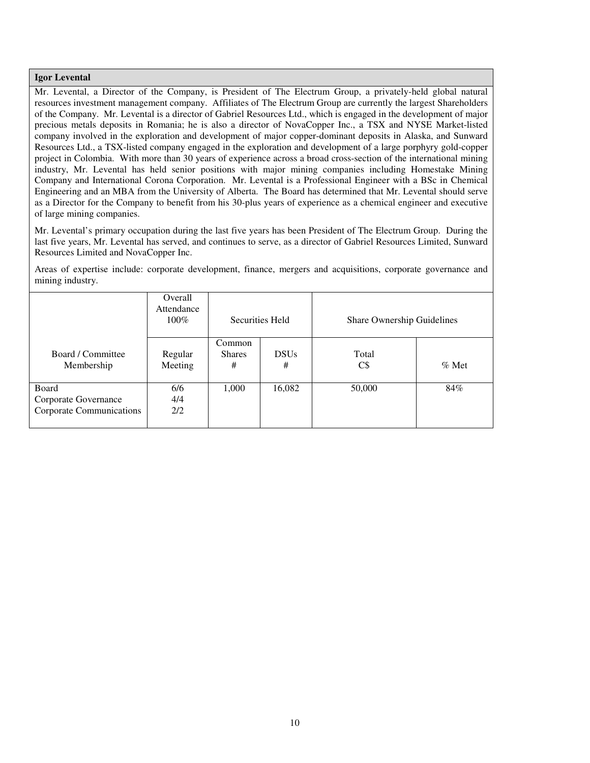### **Igor Levental**

Mr. Levental, a Director of the Company, is President of The Electrum Group, a privately-held global natural resources investment management company. Affiliates of The Electrum Group are currently the largest Shareholders of the Company. Mr. Levental is a director of Gabriel Resources Ltd., which is engaged in the development of major precious metals deposits in Romania; he is also a director of NovaCopper Inc., a TSX and NYSE Market-listed company involved in the exploration and development of major copper-dominant deposits in Alaska, and Sunward Resources Ltd., a TSX-listed company engaged in the exploration and development of a large porphyry gold-copper project in Colombia. With more than 30 years of experience across a broad cross-section of the international mining industry, Mr. Levental has held senior positions with major mining companies including Homestake Mining Company and International Corona Corporation. Mr. Levental is a Professional Engineer with a BSc in Chemical Engineering and an MBA from the University of Alberta. The Board has determined that Mr. Levental should serve as a Director for the Company to benefit from his 30-plus years of experience as a chemical engineer and executive of large mining companies.

Mr. Levental's primary occupation during the last five years has been President of The Electrum Group. During the last five years, Mr. Levental has served, and continues to serve, as a director of Gabriel Resources Limited, Sunward Resources Limited and NovaCopper Inc.

Areas of expertise include: corporate development, finance, mergers and acquisitions, corporate governance and mining industry.

|                                                           | Overall<br>Attendance<br>$100\%$ | Securities Held              |                  | Share Ownership Guidelines |         |
|-----------------------------------------------------------|----------------------------------|------------------------------|------------------|----------------------------|---------|
| Board / Committee<br>Membership                           | Regular<br>Meeting               | Common<br><b>Shares</b><br># | <b>DSUs</b><br># | Total<br>C\$               | $%$ Met |
| Board<br>Corporate Governance<br>Corporate Communications | 6/6<br>4/4<br>2/2                | 1,000                        | 16,082           | 50,000                     | 84%     |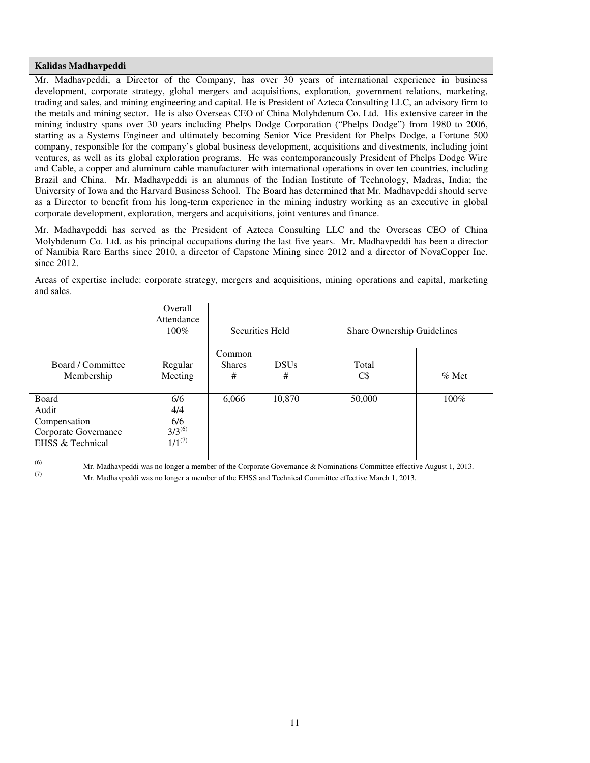### **Kalidas Madhavpeddi**

Mr. Madhavpeddi, a Director of the Company, has over 30 years of international experience in business development, corporate strategy, global mergers and acquisitions, exploration, government relations, marketing, trading and sales, and mining engineering and capital. He is President of Azteca Consulting LLC, an advisory firm to the metals and mining sector. He is also Overseas CEO of China Molybdenum Co. Ltd. His extensive career in the mining industry spans over 30 years including Phelps Dodge Corporation ("Phelps Dodge") from 1980 to 2006, starting as a Systems Engineer and ultimately becoming Senior Vice President for Phelps Dodge, a Fortune 500 company, responsible for the company's global business development, acquisitions and divestments, including joint ventures, as well as its global exploration programs. He was contemporaneously President of Phelps Dodge Wire and Cable, a copper and aluminum cable manufacturer with international operations in over ten countries, including Brazil and China. Mr. Madhavpeddi is an alumnus of the Indian Institute of Technology, Madras, India; the University of Iowa and the Harvard Business School. The Board has determined that Mr. Madhavpeddi should serve as a Director to benefit from his long-term experience in the mining industry working as an executive in global corporate development, exploration, mergers and acquisitions, joint ventures and finance.

Mr. Madhavpeddi has served as the President of Azteca Consulting LLC and the Overseas CEO of China Molybdenum Co. Ltd. as his principal occupations during the last five years. Mr. Madhavpeddi has been a director of Namibia Rare Earths since 2010, a director of Capstone Mining since 2012 and a director of NovaCopper Inc. since 2012.

Areas of expertise include: corporate strategy, mergers and acquisitions, mining operations and capital, marketing and sales.

|                                                                            | Overall<br>Attendance<br>$100\%$                | Securities Held              |                  | Share Ownership Guidelines |          |
|----------------------------------------------------------------------------|-------------------------------------------------|------------------------------|------------------|----------------------------|----------|
| Board / Committee<br>Membership                                            | Regular<br>Meeting                              | Common<br><b>Shares</b><br># | <b>DSUs</b><br># | Total<br>$C\$              | $\%$ Met |
| Board<br>Audit<br>Compensation<br>Corporate Governance<br>EHSS & Technical | 6/6<br>4/4<br>6/6<br>$3/3^{(6)}$<br>$1/1^{(7)}$ | 6,066                        | 10,870           | 50,000                     | $100\%$  |

(6) Mr. Madhavpeddi was no longer a member of the Corporate Governance & Nominations Committee effective August 1, 2013.

(7) Mr. Madhavpeddi was no longer a member of the EHSS and Technical Committee effective March 1, 2013.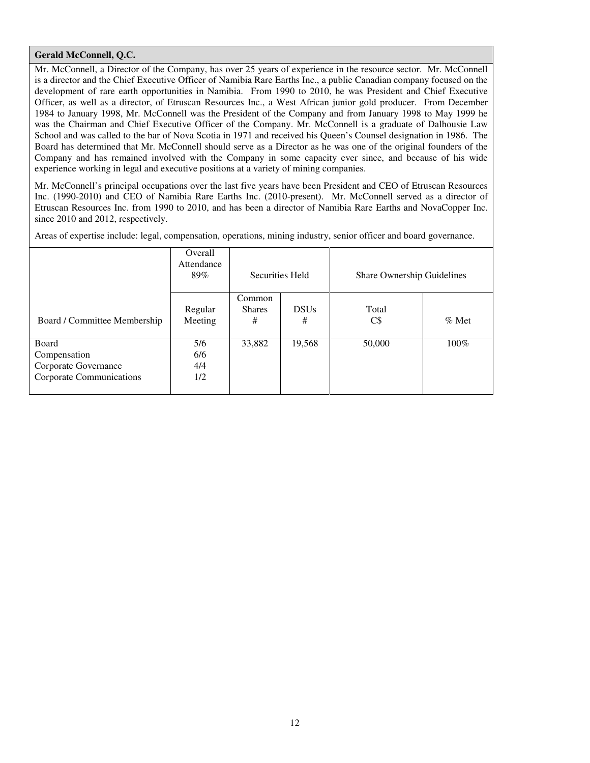## **Gerald McConnell, Q.C.**

Mr. McConnell, a Director of the Company, has over 25 years of experience in the resource sector. Mr. McConnell is a director and the Chief Executive Officer of Namibia Rare Earths Inc., a public Canadian company focused on the development of rare earth opportunities in Namibia. From 1990 to 2010, he was President and Chief Executive Officer, as well as a director, of Etruscan Resources Inc., a West African junior gold producer. From December 1984 to January 1998, Mr. McConnell was the President of the Company and from January 1998 to May 1999 he was the Chairman and Chief Executive Officer of the Company. Mr. McConnell is a graduate of Dalhousie Law School and was called to the bar of Nova Scotia in 1971 and received his Queen's Counsel designation in 1986. The Board has determined that Mr. McConnell should serve as a Director as he was one of the original founders of the Company and has remained involved with the Company in some capacity ever since, and because of his wide experience working in legal and executive positions at a variety of mining companies.

Mr. McConnell's principal occupations over the last five years have been President and CEO of Etruscan Resources Inc. (1990-2010) and CEO of Namibia Rare Earths Inc. (2010-present). Mr. McConnell served as a director of Etruscan Resources Inc. from 1990 to 2010, and has been a director of Namibia Rare Earths and NovaCopper Inc. since 2010 and 2012, respectively.

Areas of expertise include: legal, compensation, operations, mining industry, senior officer and board governance.

|                                                                           | Overall<br>Attendance<br>89% | Securities Held              |                  | Share Ownership Guidelines |          |  |
|---------------------------------------------------------------------------|------------------------------|------------------------------|------------------|----------------------------|----------|--|
| Board / Committee Membership                                              | Regular<br>Meeting           | Common<br><b>Shares</b><br># | <b>DSUs</b><br># | Total<br>$C\$              | $\%$ Met |  |
| Board<br>Compensation<br>Corporate Governance<br>Corporate Communications | 5/6<br>6/6<br>4/4<br>1/2     | 33,882                       | 19,568           | 50,000                     | 100%     |  |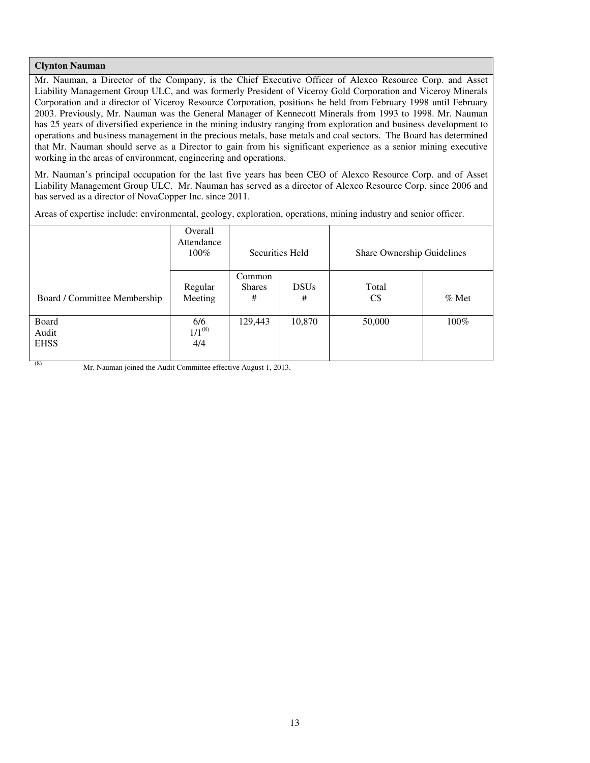### **Clynton Nauman**

Mr. Nauman, a Director of the Company, is the Chief Executive Officer of Alexco Resource Corp. and Asset Liability Management Group ULC, and was formerly President of Viceroy Gold Corporation and Viceroy Minerals Corporation and a director of Viceroy Resource Corporation, positions he held from February 1998 until February 2003. Previously, Mr. Nauman was the General Manager of Kennecott Minerals from 1993 to 1998. Mr. Nauman has 25 years of diversified experience in the mining industry ranging from exploration and business development to operations and business management in the precious metals, base metals and coal sectors. The Board has determined that Mr. Nauman should serve as a Director to gain from his significant experience as a senior mining executive working in the areas of environment, engineering and operations.

Mr. Nauman's principal occupation for the last five years has been CEO of Alexco Resource Corp. and of Asset Liability Management Group ULC. Mr. Nauman has served as a director of Alexco Resource Corp. since 2006 and has served as a director of NovaCopper Inc. since 2011.

Areas of expertise include: environmental, geology, exploration, operations, mining industry and senior officer.

|                               | Overall<br>Attendance<br>$100\%$ | Securities Held              |                  | Share Ownership Guidelines |         |
|-------------------------------|----------------------------------|------------------------------|------------------|----------------------------|---------|
| Board / Committee Membership  | Regular<br>Meeting               | Common<br><b>Shares</b><br># | <b>DSUs</b><br># | Total<br>C\$               | $%$ Met |
| Board<br>Audit<br><b>EHSS</b> | 6/6<br>$1/1^{(8)}$<br>4/4        | 129,443                      | 10,870           | 50,000                     | $100\%$ |

(8) Mr. Nauman joined the Audit Committee effective August 1, 2013.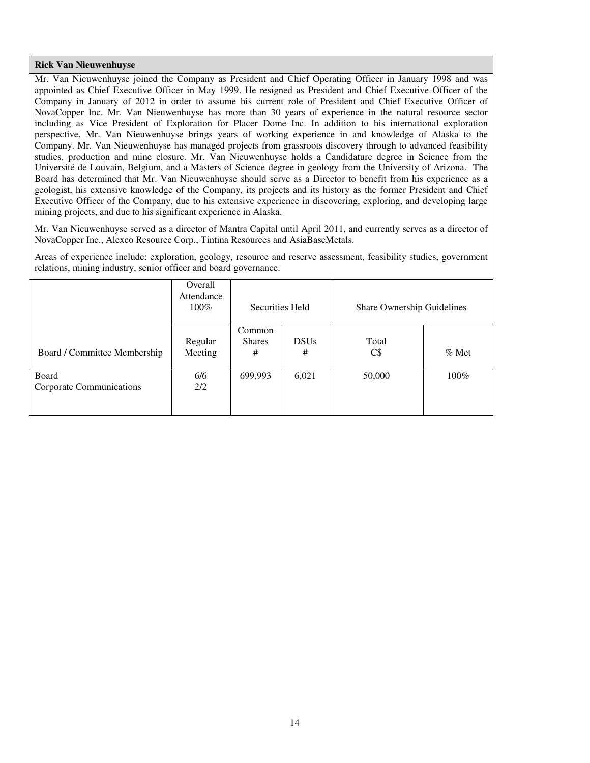### **Rick Van Nieuwenhuyse**

Mr. Van Nieuwenhuyse joined the Company as President and Chief Operating Officer in January 1998 and was appointed as Chief Executive Officer in May 1999. He resigned as President and Chief Executive Officer of the Company in January of 2012 in order to assume his current role of President and Chief Executive Officer of NovaCopper Inc. Mr. Van Nieuwenhuyse has more than 30 years of experience in the natural resource sector including as Vice President of Exploration for Placer Dome Inc. In addition to his international exploration perspective, Mr. Van Nieuwenhuyse brings years of working experience in and knowledge of Alaska to the Company. Mr. Van Nieuwenhuyse has managed projects from grassroots discovery through to advanced feasibility studies, production and mine closure. Mr. Van Nieuwenhuyse holds a Candidature degree in Science from the Université de Louvain, Belgium, and a Masters of Science degree in geology from the University of Arizona. The Board has determined that Mr. Van Nieuwenhuyse should serve as a Director to benefit from his experience as a geologist, his extensive knowledge of the Company, its projects and its history as the former President and Chief Executive Officer of the Company, due to his extensive experience in discovering, exploring, and developing large mining projects, and due to his significant experience in Alaska.

Mr. Van Nieuwenhuyse served as a director of Mantra Capital until April 2011, and currently serves as a director of NovaCopper Inc., Alexco Resource Corp., Tintina Resources and AsiaBaseMetals.

Areas of experience include: exploration, geology, resource and reserve assessment, feasibility studies, government relations, mining industry, senior officer and board governance.

|                                   | Overall<br>Attendance<br>$100\%$ | Securities Held              |                  | Share Ownership Guidelines |         |
|-----------------------------------|----------------------------------|------------------------------|------------------|----------------------------|---------|
| Board / Committee Membership      | Regular<br>Meeting               | Common<br><b>Shares</b><br># | <b>DSUs</b><br># | Total<br>$C\$              | $%$ Met |
| Board<br>Corporate Communications | 6/6<br>2/2                       | 699,993                      | 6,021            | 50,000                     | $100\%$ |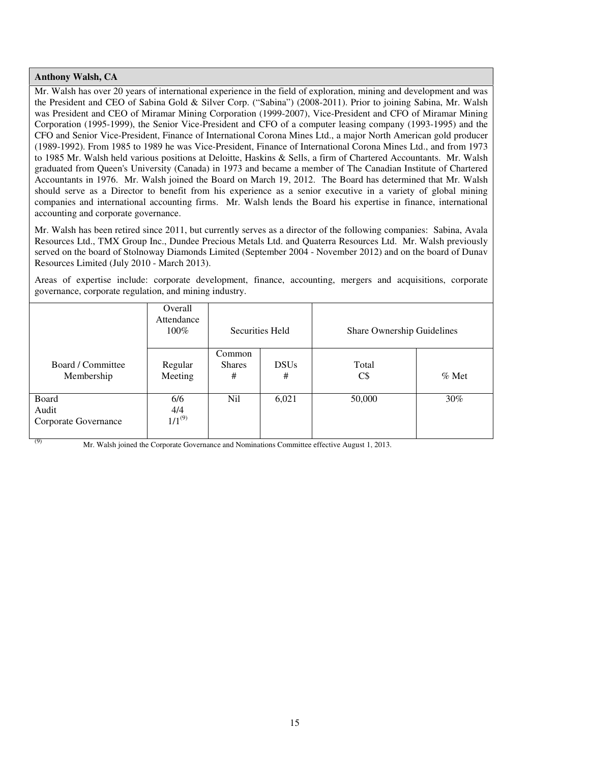### **Anthony Walsh, CA**

Mr. Walsh has over 20 years of international experience in the field of exploration, mining and development and was the President and CEO of Sabina Gold & Silver Corp. ("Sabina") (2008-2011). Prior to joining Sabina, Mr. Walsh was President and CEO of Miramar Mining Corporation (1999-2007), Vice-President and CFO of Miramar Mining Corporation (1995-1999), the Senior Vice-President and CFO of a computer leasing company (1993-1995) and the CFO and Senior Vice-President, Finance of International Corona Mines Ltd., a major North American gold producer (1989-1992). From 1985 to 1989 he was Vice-President, Finance of International Corona Mines Ltd., and from 1973 to 1985 Mr. Walsh held various positions at Deloitte, Haskins & Sells, a firm of Chartered Accountants. Mr. Walsh graduated from Queen's University (Canada) in 1973 and became a member of The Canadian Institute of Chartered Accountants in 1976. Mr. Walsh joined the Board on March 19, 2012. The Board has determined that Mr. Walsh should serve as a Director to benefit from his experience as a senior executive in a variety of global mining companies and international accounting firms. Mr. Walsh lends the Board his expertise in finance, international accounting and corporate governance.

Mr. Walsh has been retired since 2011, but currently serves as a director of the following companies: Sabina, Avala Resources Ltd., TMX Group Inc., Dundee Precious Metals Ltd. and Quaterra Resources Ltd. Mr. Walsh previously served on the board of Stolnoway Diamonds Limited (September 2004 - November 2012) and on the board of Dunav Resources Limited (July 2010 - March 2013).

Areas of expertise include: corporate development, finance, accounting, mergers and acquisitions, corporate governance, corporate regulation, and mining industry.

|                                        | Overall<br>Attendance<br>$100\%$ | Securities Held              |                  | Share Ownership Guidelines |         |
|----------------------------------------|----------------------------------|------------------------------|------------------|----------------------------|---------|
| Board / Committee<br>Membership        | Regular<br>Meeting               | Common<br><b>Shares</b><br># | <b>DSUs</b><br># | Total<br>$C\$              | $%$ Met |
| Board<br>Audit<br>Corporate Governance | 6/6<br>4/4<br>$1/1^{(9)}$        | Nil                          | 6,021            | 50,000                     | 30%     |

Mr. Walsh joined the Corporate Governance and Nominations Committee effective August 1, 2013.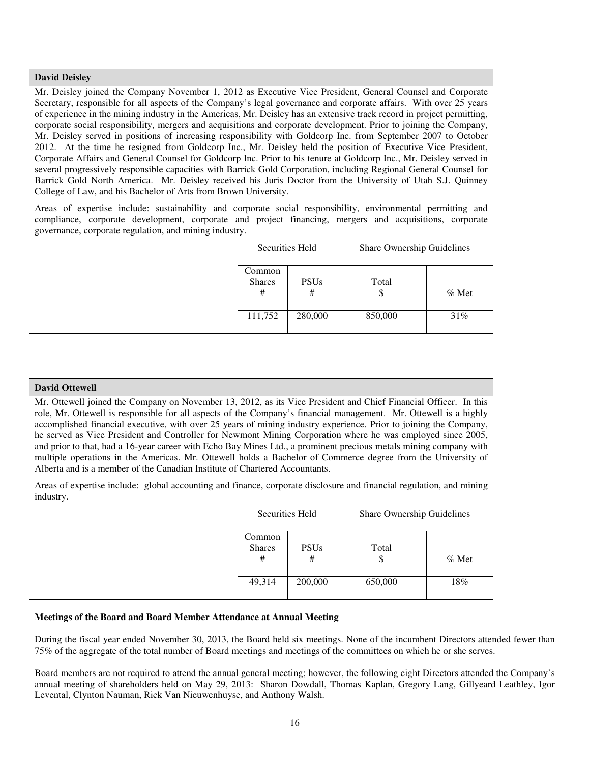## **David Deisley**

Mr. Deisley joined the Company November 1, 2012 as Executive Vice President, General Counsel and Corporate Secretary, responsible for all aspects of the Company's legal governance and corporate affairs. With over 25 years of experience in the mining industry in the Americas, Mr. Deisley has an extensive track record in project permitting, corporate social responsibility, mergers and acquisitions and corporate development. Prior to joining the Company, Mr. Deisley served in positions of increasing responsibility with Goldcorp Inc. from September 2007 to October 2012. At the time he resigned from Goldcorp Inc., Mr. Deisley held the position of Executive Vice President, Corporate Affairs and General Counsel for Goldcorp Inc. Prior to his tenure at Goldcorp Inc., Mr. Deisley served in several progressively responsible capacities with Barrick Gold Corporation, including Regional General Counsel for Barrick Gold North America. Mr. Deisley received his Juris Doctor from the University of Utah S.J. Quinney College of Law, and his Bachelor of Arts from Brown University.

Areas of expertise include: sustainability and corporate social responsibility, environmental permitting and compliance, corporate development, corporate and project financing, mergers and acquisitions, corporate governance, corporate regulation, and mining industry.

| Securities Held              |                  | Share Ownership Guidelines |         |
|------------------------------|------------------|----------------------------|---------|
| Common<br><b>Shares</b><br># | <b>PSUs</b><br># | Total                      | $%$ Met |
| 111,752                      | 280,000          | 850,000                    | 31%     |

#### **David Ottewell**

Mr. Ottewell joined the Company on November 13, 2012, as its Vice President and Chief Financial Officer. In this role, Mr. Ottewell is responsible for all aspects of the Company's financial management. Mr. Ottewell is a highly accomplished financial executive, with over 25 years of mining industry experience. Prior to joining the Company, he served as Vice President and Controller for Newmont Mining Corporation where he was employed since 2005, and prior to that, had a 16-year career with Echo Bay Mines Ltd., a prominent precious metals mining company with multiple operations in the Americas. Mr. Ottewell holds a Bachelor of Commerce degree from the University of Alberta and is a member of the Canadian Institute of Chartered Accountants.

Areas of expertise include: global accounting and finance, corporate disclosure and financial regulation, and mining industry.

| Securities Held              |                  | Share Ownership Guidelines |         |
|------------------------------|------------------|----------------------------|---------|
| Common<br><b>Shares</b><br># | <b>PSUs</b><br># | Total<br>P                 | $%$ Met |
| 49,314                       | 200,000          | 650,000                    | 18%     |

#### **Meetings of the Board and Board Member Attendance at Annual Meeting**

During the fiscal year ended November 30, 2013, the Board held six meetings. None of the incumbent Directors attended fewer than 75% of the aggregate of the total number of Board meetings and meetings of the committees on which he or she serves.

Board members are not required to attend the annual general meeting; however, the following eight Directors attended the Company's annual meeting of shareholders held on May 29, 2013: Sharon Dowdall, Thomas Kaplan, Gregory Lang, Gillyeard Leathley, Igor Levental, Clynton Nauman, Rick Van Nieuwenhuyse, and Anthony Walsh.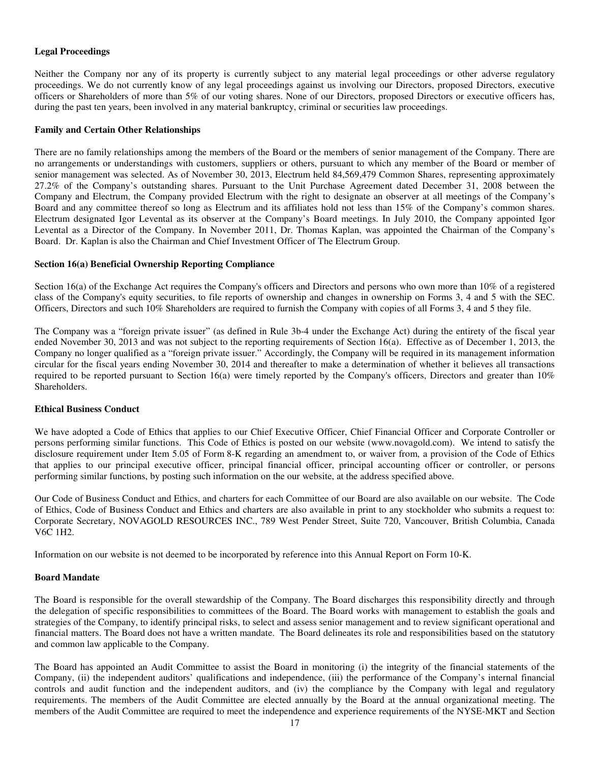### **Legal Proceedings**

Neither the Company nor any of its property is currently subject to any material legal proceedings or other adverse regulatory proceedings. We do not currently know of any legal proceedings against us involving our Directors, proposed Directors, executive officers or Shareholders of more than 5% of our voting shares. None of our Directors, proposed Directors or executive officers has, during the past ten years, been involved in any material bankruptcy, criminal or securities law proceedings.

#### **Family and Certain Other Relationships**

There are no family relationships among the members of the Board or the members of senior management of the Company. There are no arrangements or understandings with customers, suppliers or others, pursuant to which any member of the Board or member of senior management was selected. As of November 30, 2013, Electrum held 84,569,479 Common Shares, representing approximately 27.2% of the Company's outstanding shares. Pursuant to the Unit Purchase Agreement dated December 31, 2008 between the Company and Electrum, the Company provided Electrum with the right to designate an observer at all meetings of the Company's Board and any committee thereof so long as Electrum and its affiliates hold not less than 15% of the Company's common shares. Electrum designated Igor Levental as its observer at the Company's Board meetings. In July 2010, the Company appointed Igor Levental as a Director of the Company. In November 2011, Dr. Thomas Kaplan, was appointed the Chairman of the Company's Board. Dr. Kaplan is also the Chairman and Chief Investment Officer of The Electrum Group.

### **Section 16(a) Beneficial Ownership Reporting Compliance**

Section 16(a) of the Exchange Act requires the Company's officers and Directors and persons who own more than 10% of a registered class of the Company's equity securities, to file reports of ownership and changes in ownership on Forms 3, 4 and 5 with the SEC. Officers, Directors and such 10% Shareholders are required to furnish the Company with copies of all Forms 3, 4 and 5 they file.

The Company was a "foreign private issuer" (as defined in Rule 3b-4 under the Exchange Act) during the entirety of the fiscal year ended November 30, 2013 and was not subject to the reporting requirements of Section 16(a). Effective as of December 1, 2013, the Company no longer qualified as a "foreign private issuer." Accordingly, the Company will be required in its management information circular for the fiscal years ending November 30, 2014 and thereafter to make a determination of whether it believes all transactions required to be reported pursuant to Section 16(a) were timely reported by the Company's officers, Directors and greater than 10% Shareholders.

#### **Ethical Business Conduct**

We have adopted a Code of Ethics that applies to our Chief Executive Officer, Chief Financial Officer and Corporate Controller or persons performing similar functions. This Code of Ethics is posted on our website (www.novagold.com). We intend to satisfy the disclosure requirement under Item 5.05 of Form 8-K regarding an amendment to, or waiver from, a provision of the Code of Ethics that applies to our principal executive officer, principal financial officer, principal accounting officer or controller, or persons performing similar functions, by posting such information on the our website, at the address specified above.

Our Code of Business Conduct and Ethics, and charters for each Committee of our Board are also available on our website. The Code of Ethics, Code of Business Conduct and Ethics and charters are also available in print to any stockholder who submits a request to: Corporate Secretary, NOVAGOLD RESOURCES INC., 789 West Pender Street, Suite 720, Vancouver, British Columbia, Canada V6C 1H2.

Information on our website is not deemed to be incorporated by reference into this Annual Report on Form 10-K.

#### **Board Mandate**

The Board is responsible for the overall stewardship of the Company. The Board discharges this responsibility directly and through the delegation of specific responsibilities to committees of the Board. The Board works with management to establish the goals and strategies of the Company, to identify principal risks, to select and assess senior management and to review significant operational and financial matters. The Board does not have a written mandate. The Board delineates its role and responsibilities based on the statutory and common law applicable to the Company.

The Board has appointed an Audit Committee to assist the Board in monitoring (i) the integrity of the financial statements of the Company, (ii) the independent auditors' qualifications and independence, (iii) the performance of the Company's internal financial controls and audit function and the independent auditors, and (iv) the compliance by the Company with legal and regulatory requirements. The members of the Audit Committee are elected annually by the Board at the annual organizational meeting. The members of the Audit Committee are required to meet the independence and experience requirements of the NYSE-MKT and Section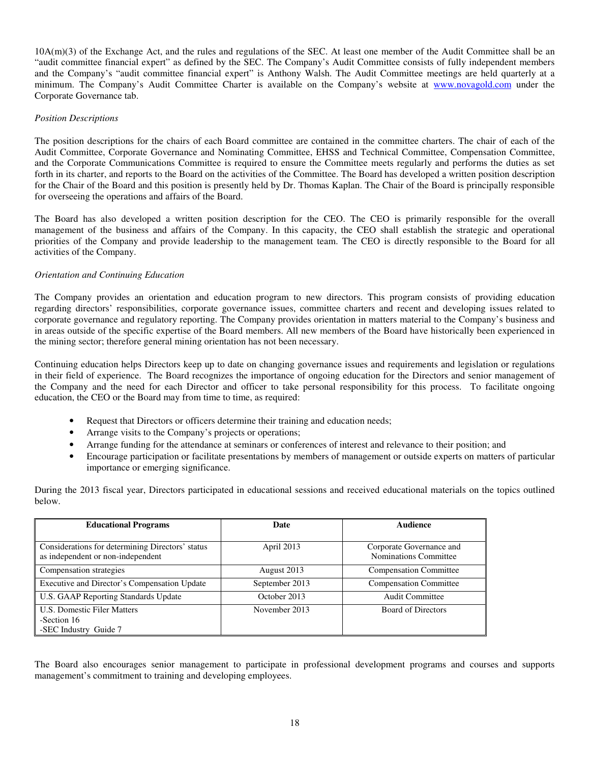10A(m)(3) of the Exchange Act, and the rules and regulations of the SEC. At least one member of the Audit Committee shall be an "audit committee financial expert" as defined by the SEC. The Company's Audit Committee consists of fully independent members and the Company's "audit committee financial expert" is Anthony Walsh. The Audit Committee meetings are held quarterly at a minimum. The Company's Audit Committee Charter is available on the Company's website at www.novagold.com under the Corporate Governance tab.

#### *Position Descriptions*

The position descriptions for the chairs of each Board committee are contained in the committee charters. The chair of each of the Audit Committee, Corporate Governance and Nominating Committee, EHSS and Technical Committee, Compensation Committee, and the Corporate Communications Committee is required to ensure the Committee meets regularly and performs the duties as set forth in its charter, and reports to the Board on the activities of the Committee. The Board has developed a written position description for the Chair of the Board and this position is presently held by Dr. Thomas Kaplan. The Chair of the Board is principally responsible for overseeing the operations and affairs of the Board.

The Board has also developed a written position description for the CEO. The CEO is primarily responsible for the overall management of the business and affairs of the Company. In this capacity, the CEO shall establish the strategic and operational priorities of the Company and provide leadership to the management team. The CEO is directly responsible to the Board for all activities of the Company.

## *Orientation and Continuing Education*

The Company provides an orientation and education program to new directors. This program consists of providing education regarding directors' responsibilities, corporate governance issues, committee charters and recent and developing issues related to corporate governance and regulatory reporting. The Company provides orientation in matters material to the Company's business and in areas outside of the specific expertise of the Board members. All new members of the Board have historically been experienced in the mining sector; therefore general mining orientation has not been necessary.

Continuing education helps Directors keep up to date on changing governance issues and requirements and legislation or regulations in their field of experience. The Board recognizes the importance of ongoing education for the Directors and senior management of the Company and the need for each Director and officer to take personal responsibility for this process. To facilitate ongoing education, the CEO or the Board may from time to time, as required:

- Request that Directors or officers determine their training and education needs;
- Arrange visits to the Company's projects or operations;
- Arrange funding for the attendance at seminars or conferences of interest and relevance to their position; and
- Encourage participation or facilitate presentations by members of management or outside experts on matters of particular importance or emerging significance.

During the 2013 fiscal year, Directors participated in educational sessions and received educational materials on the topics outlined below.

| <b>Educational Programs</b>                                                           | Date           | Audience                                          |
|---------------------------------------------------------------------------------------|----------------|---------------------------------------------------|
| Considerations for determining Directors' status<br>as independent or non-independent | April 2013     | Corporate Governance and<br>Nominations Committee |
| Compensation strategies                                                               | August 2013    | <b>Compensation Committee</b>                     |
| Executive and Director's Compensation Update                                          | September 2013 | <b>Compensation Committee</b>                     |
| U.S. GAAP Reporting Standards Update                                                  | October 2013   | Audit Committee                                   |
| <b>U.S. Domestic Filer Matters</b><br>-Section 16<br>-SEC Industry Guide 7            | November 2013  | <b>Board of Directors</b>                         |

The Board also encourages senior management to participate in professional development programs and courses and supports management's commitment to training and developing employees.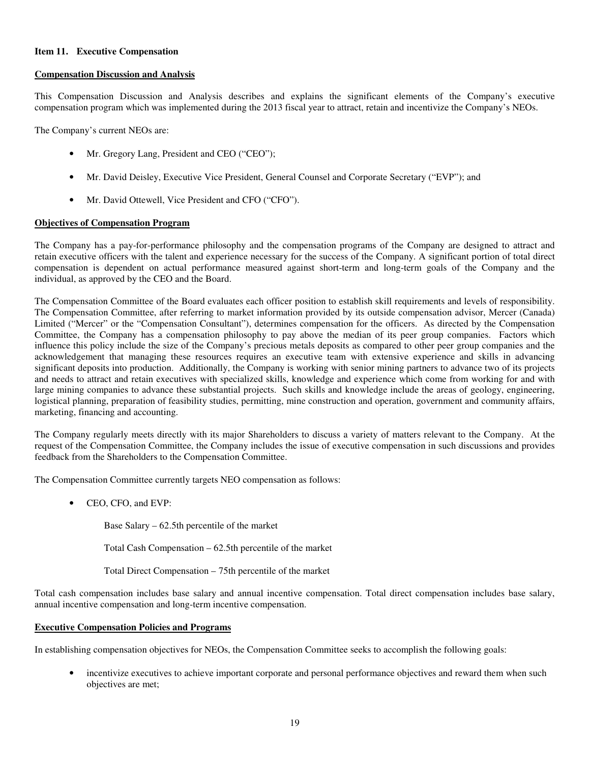### **Item 11. Executive Compensation**

### **Compensation Discussion and Analysis**

This Compensation Discussion and Analysis describes and explains the significant elements of the Company's executive compensation program which was implemented during the 2013 fiscal year to attract, retain and incentivize the Company's NEOs.

The Company's current NEOs are:

- Mr. Gregory Lang, President and CEO ("CEO");
- Mr. David Deisley, Executive Vice President, General Counsel and Corporate Secretary ("EVP"); and
- Mr. David Ottewell, Vice President and CFO ("CFO").

### **Objectives of Compensation Program**

The Company has a pay-for-performance philosophy and the compensation programs of the Company are designed to attract and retain executive officers with the talent and experience necessary for the success of the Company. A significant portion of total direct compensation is dependent on actual performance measured against short-term and long-term goals of the Company and the individual, as approved by the CEO and the Board.

The Compensation Committee of the Board evaluates each officer position to establish skill requirements and levels of responsibility. The Compensation Committee, after referring to market information provided by its outside compensation advisor, Mercer (Canada) Limited ("Mercer" or the "Compensation Consultant"), determines compensation for the officers. As directed by the Compensation Committee, the Company has a compensation philosophy to pay above the median of its peer group companies. Factors which influence this policy include the size of the Company's precious metals deposits as compared to other peer group companies and the acknowledgement that managing these resources requires an executive team with extensive experience and skills in advancing significant deposits into production. Additionally, the Company is working with senior mining partners to advance two of its projects and needs to attract and retain executives with specialized skills, knowledge and experience which come from working for and with large mining companies to advance these substantial projects. Such skills and knowledge include the areas of geology, engineering, logistical planning, preparation of feasibility studies, permitting, mine construction and operation, government and community affairs, marketing, financing and accounting.

The Company regularly meets directly with its major Shareholders to discuss a variety of matters relevant to the Company. At the request of the Compensation Committee, the Company includes the issue of executive compensation in such discussions and provides feedback from the Shareholders to the Compensation Committee.

The Compensation Committee currently targets NEO compensation as follows:

• CEO, CFO, and EVP:

Base Salary – 62.5th percentile of the market

Total Cash Compensation – 62.5th percentile of the market

Total Direct Compensation – 75th percentile of the market

Total cash compensation includes base salary and annual incentive compensation. Total direct compensation includes base salary, annual incentive compensation and long-term incentive compensation.

#### **Executive Compensation Policies and Programs**

In establishing compensation objectives for NEOs, the Compensation Committee seeks to accomplish the following goals:

incentivize executives to achieve important corporate and personal performance objectives and reward them when such objectives are met;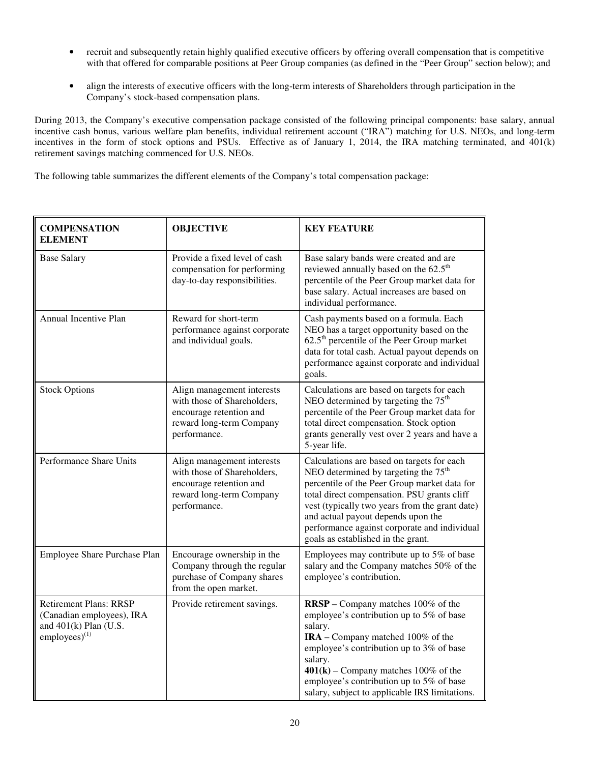- recruit and subsequently retain highly qualified executive officers by offering overall compensation that is competitive with that offered for comparable positions at Peer Group companies (as defined in the "Peer Group" section below); and
- align the interests of executive officers with the long-term interests of Shareholders through participation in the Company's stock-based compensation plans.

During 2013, the Company's executive compensation package consisted of the following principal components: base salary, annual incentive cash bonus, various welfare plan benefits, individual retirement account ("IRA") matching for U.S. NEOs, and long-term incentives in the form of stock options and PSUs. Effective as of January 1, 2014, the IRA matching terminated, and 401(k) retirement savings matching commenced for U.S. NEOs.

The following table summarizes the different elements of the Company's total compensation package:

| <b>COMPENSATION</b><br><b>ELEMENT</b>                                                                        | <b>OBJECTIVE</b>                                                                                                                 | <b>KEY FEATURE</b>                                                                                                                                                                                                                                                                                                                                                          |
|--------------------------------------------------------------------------------------------------------------|----------------------------------------------------------------------------------------------------------------------------------|-----------------------------------------------------------------------------------------------------------------------------------------------------------------------------------------------------------------------------------------------------------------------------------------------------------------------------------------------------------------------------|
| <b>Base Salary</b>                                                                                           | Provide a fixed level of cash<br>compensation for performing<br>day-to-day responsibilities.                                     | Base salary bands were created and are<br>reviewed annually based on the 62.5 <sup>th</sup><br>percentile of the Peer Group market data for<br>base salary. Actual increases are based on<br>individual performance.                                                                                                                                                        |
| Annual Incentive Plan                                                                                        | Reward for short-term<br>performance against corporate<br>and individual goals.                                                  | Cash payments based on a formula. Each<br>NEO has a target opportunity based on the<br>$62.5th$ percentile of the Peer Group market<br>data for total cash. Actual payout depends on<br>performance against corporate and individual<br>goals.                                                                                                                              |
| <b>Stock Options</b>                                                                                         | Align management interests<br>with those of Shareholders,<br>encourage retention and<br>reward long-term Company<br>performance. | Calculations are based on targets for each<br>NEO determined by targeting the 75 <sup>th</sup><br>percentile of the Peer Group market data for<br>total direct compensation. Stock option<br>grants generally vest over 2 years and have a<br>5-year life.                                                                                                                  |
| Performance Share Units                                                                                      | Align management interests<br>with those of Shareholders,<br>encourage retention and<br>reward long-term Company<br>performance. | Calculations are based on targets for each<br>NEO determined by targeting the 75 <sup>th</sup><br>percentile of the Peer Group market data for<br>total direct compensation. PSU grants cliff<br>vest (typically two years from the grant date)<br>and actual payout depends upon the<br>performance against corporate and individual<br>goals as established in the grant. |
| Employee Share Purchase Plan                                                                                 | Encourage ownership in the<br>Company through the regular<br>purchase of Company shares<br>from the open market.                 | Employees may contribute up to 5% of base<br>salary and the Company matches 50% of the<br>employee's contribution.                                                                                                                                                                                                                                                          |
| <b>Retirement Plans: RRSP</b><br>(Canadian employees), IRA<br>and $401(k)$ Plan (U.S.<br>employees) $^{(1)}$ | Provide retirement savings.                                                                                                      | <b>RRSP</b> – Company matches 100% of the<br>employee's contribution up to 5% of base<br>salary.<br>IRA - Company matched 100% of the<br>employee's contribution up to 3% of base<br>salary.<br>$401(k)$ – Company matches 100% of the<br>employee's contribution up to 5% of base<br>salary, subject to applicable IRS limitations.                                        |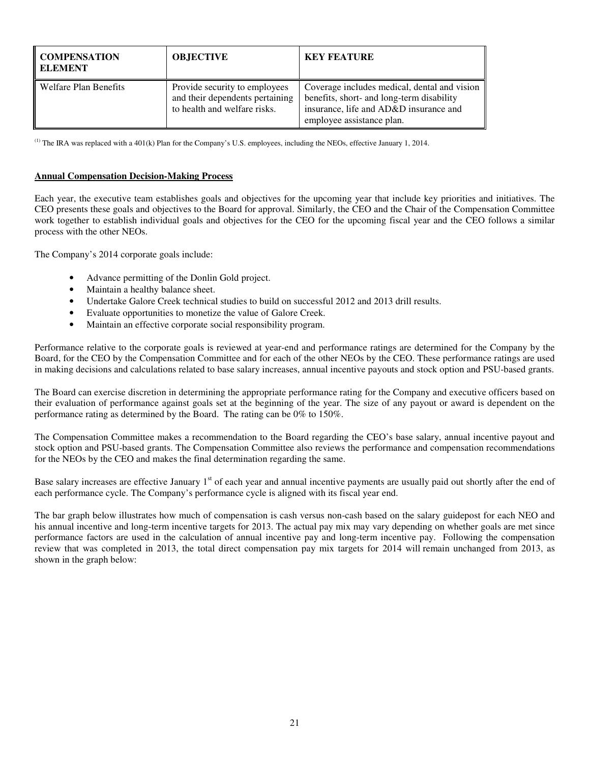| <b>COMPENSATION</b><br>ELEMENT | <b>OBJECTIVE</b>                                                                                 | <b>KEY FEATURE</b>                                                                                                                                               |
|--------------------------------|--------------------------------------------------------------------------------------------------|------------------------------------------------------------------------------------------------------------------------------------------------------------------|
| Welfare Plan Benefits          | Provide security to employees<br>and their dependents pertaining<br>to health and welfare risks. | Coverage includes medical, dental and vision<br>benefits, short- and long-term disability<br>insurance, life and AD&D insurance and<br>employee assistance plan. |

(1) The IRA was replaced with a 401(k) Plan for the Company's U.S. employees, including the NEOs, effective January 1, 2014.

### **Annual Compensation Decision-Making Process**

Each year, the executive team establishes goals and objectives for the upcoming year that include key priorities and initiatives. The CEO presents these goals and objectives to the Board for approval. Similarly, the CEO and the Chair of the Compensation Committee work together to establish individual goals and objectives for the CEO for the upcoming fiscal year and the CEO follows a similar process with the other NEOs.

The Company's 2014 corporate goals include:

- Advance permitting of the Donlin Gold project.
- Maintain a healthy balance sheet.
- Undertake Galore Creek technical studies to build on successful 2012 and 2013 drill results.
- Evaluate opportunities to monetize the value of Galore Creek.
- Maintain an effective corporate social responsibility program.

Performance relative to the corporate goals is reviewed at year-end and performance ratings are determined for the Company by the Board, for the CEO by the Compensation Committee and for each of the other NEOs by the CEO. These performance ratings are used in making decisions and calculations related to base salary increases, annual incentive payouts and stock option and PSU-based grants.

The Board can exercise discretion in determining the appropriate performance rating for the Company and executive officers based on their evaluation of performance against goals set at the beginning of the year. The size of any payout or award is dependent on the performance rating as determined by the Board. The rating can be 0% to 150%.

The Compensation Committee makes a recommendation to the Board regarding the CEO's base salary, annual incentive payout and stock option and PSU-based grants. The Compensation Committee also reviews the performance and compensation recommendations for the NEOs by the CEO and makes the final determination regarding the same.

Base salary increases are effective January 1<sup>st</sup> of each year and annual incentive payments are usually paid out shortly after the end of each performance cycle. The Company's performance cycle is aligned with its fiscal year end.

The bar graph below illustrates how much of compensation is cash versus non-cash based on the salary guidepost for each NEO and his annual incentive and long-term incentive targets for 2013. The actual pay mix may vary depending on whether goals are met since performance factors are used in the calculation of annual incentive pay and long-term incentive pay. Following the compensation review that was completed in 2013, the total direct compensation pay mix targets for 2014 will remain unchanged from 2013, as shown in the graph below: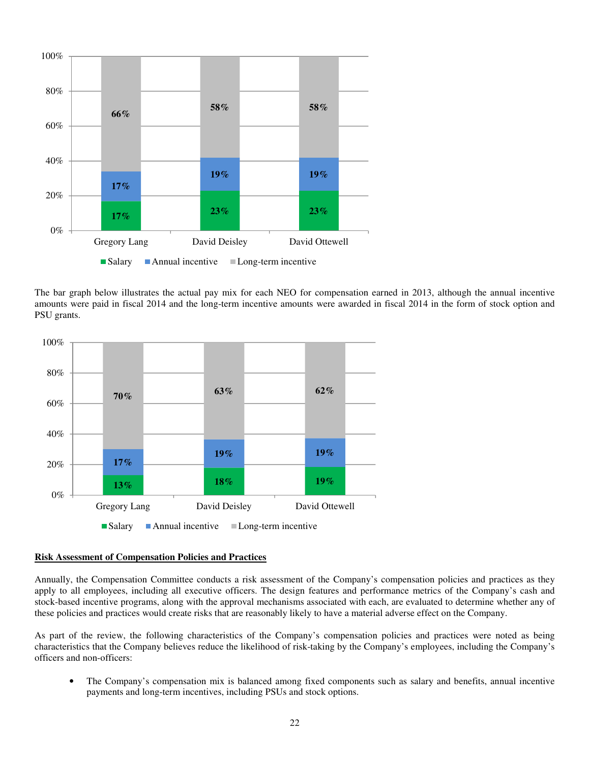

The bar graph below illustrates the actual pay mix for each NEO for compensation earned in 2013, although the annual incentive amounts were paid in fiscal 2014 and the long-term incentive amounts were awarded in fiscal 2014 in the form of stock option and PSU grants.



### **Risk Assessment of Compensation Policies and Practices**

Annually, the Compensation Committee conducts a risk assessment of the Company's compensation policies and practices as they apply to all employees, including all executive officers. The design features and performance metrics of the Company's cash and stock-based incentive programs, along with the approval mechanisms associated with each, are evaluated to determine whether any of these policies and practices would create risks that are reasonably likely to have a material adverse effect on the Company.

As part of the review, the following characteristics of the Company's compensation policies and practices were noted as being characteristics that the Company believes reduce the likelihood of risk-taking by the Company's employees, including the Company's officers and non-officers:

• The Company's compensation mix is balanced among fixed components such as salary and benefits, annual incentive payments and long-term incentives, including PSUs and stock options.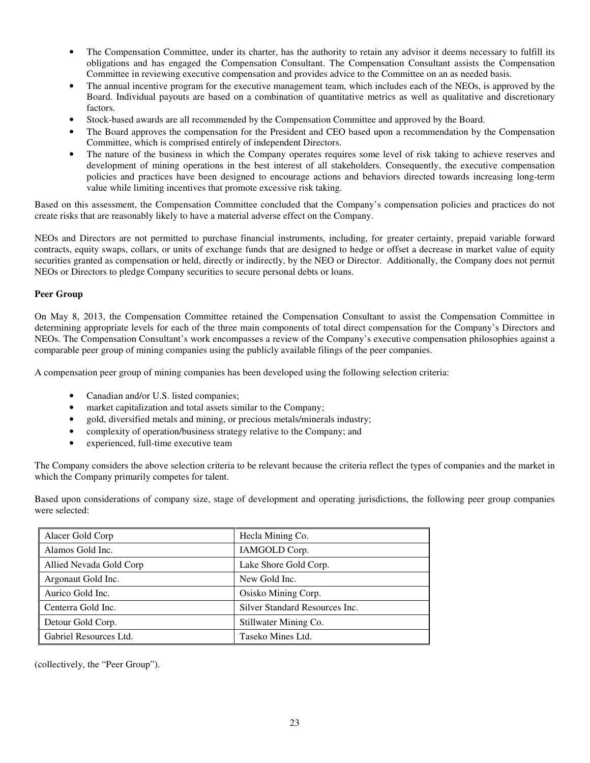- The Compensation Committee, under its charter, has the authority to retain any advisor it deems necessary to fulfill its obligations and has engaged the Compensation Consultant. The Compensation Consultant assists the Compensation Committee in reviewing executive compensation and provides advice to the Committee on an as needed basis.
- The annual incentive program for the executive management team, which includes each of the NEOs, is approved by the Board. Individual payouts are based on a combination of quantitative metrics as well as qualitative and discretionary factors.
- Stock-based awards are all recommended by the Compensation Committee and approved by the Board.
- The Board approves the compensation for the President and CEO based upon a recommendation by the Compensation Committee, which is comprised entirely of independent Directors.
- The nature of the business in which the Company operates requires some level of risk taking to achieve reserves and development of mining operations in the best interest of all stakeholders. Consequently, the executive compensation policies and practices have been designed to encourage actions and behaviors directed towards increasing long-term value while limiting incentives that promote excessive risk taking.

Based on this assessment, the Compensation Committee concluded that the Company's compensation policies and practices do not create risks that are reasonably likely to have a material adverse effect on the Company.

NEOs and Directors are not permitted to purchase financial instruments, including, for greater certainty, prepaid variable forward contracts, equity swaps, collars, or units of exchange funds that are designed to hedge or offset a decrease in market value of equity securities granted as compensation or held, directly or indirectly, by the NEO or Director. Additionally, the Company does not permit NEOs or Directors to pledge Company securities to secure personal debts or loans.

## **Peer Group**

On May 8, 2013, the Compensation Committee retained the Compensation Consultant to assist the Compensation Committee in determining appropriate levels for each of the three main components of total direct compensation for the Company's Directors and NEOs. The Compensation Consultant's work encompasses a review of the Company's executive compensation philosophies against a comparable peer group of mining companies using the publicly available filings of the peer companies.

A compensation peer group of mining companies has been developed using the following selection criteria:

- Canadian and/or U.S. listed companies;
- market capitalization and total assets similar to the Company;
- gold, diversified metals and mining, or precious metals/minerals industry;
- complexity of operation/business strategy relative to the Company; and
- experienced, full-time executive team

The Company considers the above selection criteria to be relevant because the criteria reflect the types of companies and the market in which the Company primarily competes for talent.

Based upon considerations of company size, stage of development and operating jurisdictions, the following peer group companies were selected:

| Alacer Gold Corp        | Hecla Mining Co.               |
|-------------------------|--------------------------------|
| Alamos Gold Inc.        | IAMGOLD Corp.                  |
| Allied Nevada Gold Corp | Lake Shore Gold Corp.          |
| Argonaut Gold Inc.      | New Gold Inc.                  |
| Aurico Gold Inc.        | Osisko Mining Corp.            |
| Centerra Gold Inc.      | Silver Standard Resources Inc. |
| Detour Gold Corp.       | Stillwater Mining Co.          |
| Gabriel Resources Ltd.  | Taseko Mines Ltd.              |

(collectively, the "Peer Group").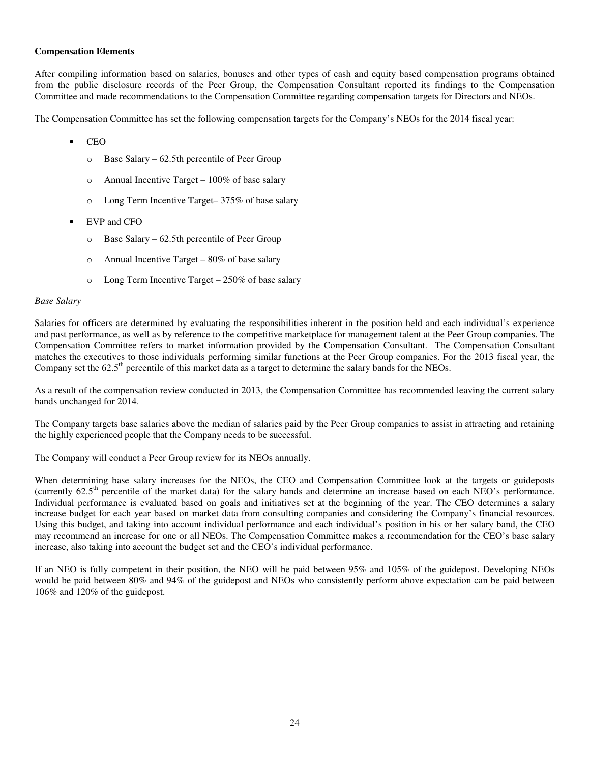#### **Compensation Elements**

After compiling information based on salaries, bonuses and other types of cash and equity based compensation programs obtained from the public disclosure records of the Peer Group, the Compensation Consultant reported its findings to the Compensation Committee and made recommendations to the Compensation Committee regarding compensation targets for Directors and NEOs.

The Compensation Committee has set the following compensation targets for the Company's NEOs for the 2014 fiscal year:

- CEO
	- o Base Salary 62.5th percentile of Peer Group
	- o Annual Incentive Target 100% of base salary
	- o Long Term Incentive Target– 375% of base salary
- EVP and CFO
	- o Base Salary 62.5th percentile of Peer Group
	- $\circ$  Annual Incentive Target 80% of base salary
	- o Long Term Incentive Target 250% of base salary

#### *Base Salary*

Salaries for officers are determined by evaluating the responsibilities inherent in the position held and each individual's experience and past performance, as well as by reference to the competitive marketplace for management talent at the Peer Group companies. The Compensation Committee refers to market information provided by the Compensation Consultant. The Compensation Consultant matches the executives to those individuals performing similar functions at the Peer Group companies. For the 2013 fiscal year, the Company set the  $62.5<sup>th</sup>$  percentile of this market data as a target to determine the salary bands for the NEOs.

As a result of the compensation review conducted in 2013, the Compensation Committee has recommended leaving the current salary bands unchanged for 2014.

The Company targets base salaries above the median of salaries paid by the Peer Group companies to assist in attracting and retaining the highly experienced people that the Company needs to be successful.

The Company will conduct a Peer Group review for its NEOs annually.

When determining base salary increases for the NEOs, the CEO and Compensation Committee look at the targets or guideposts (currently  $62.5<sup>th</sup>$  percentile of the market data) for the salary bands and determine an increase based on each NEO's performance. Individual performance is evaluated based on goals and initiatives set at the beginning of the year. The CEO determines a salary increase budget for each year based on market data from consulting companies and considering the Company's financial resources. Using this budget, and taking into account individual performance and each individual's position in his or her salary band, the CEO may recommend an increase for one or all NEOs. The Compensation Committee makes a recommendation for the CEO's base salary increase, also taking into account the budget set and the CEO's individual performance.

If an NEO is fully competent in their position, the NEO will be paid between 95% and 105% of the guidepost. Developing NEOs would be paid between 80% and 94% of the guidepost and NEOs who consistently perform above expectation can be paid between 106% and 120% of the guidepost.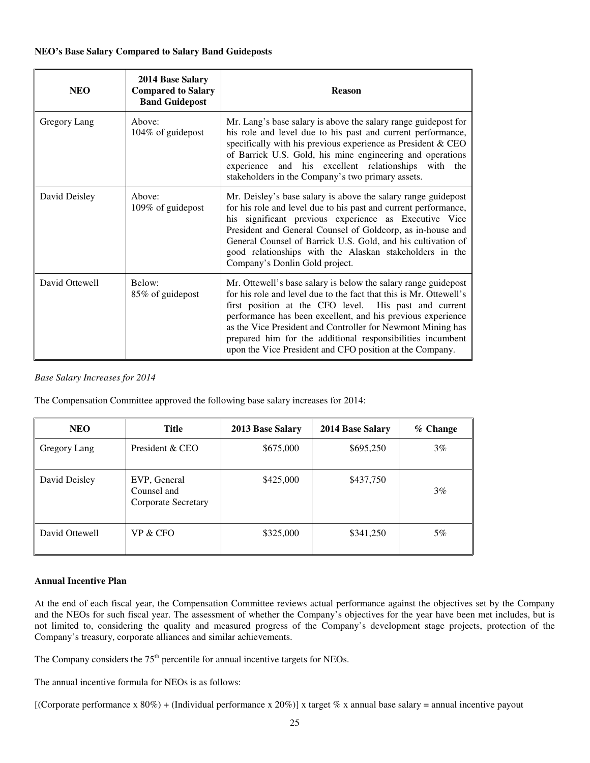| <b>NEO</b>     | 2014 Base Salary<br><b>Compared to Salary</b><br><b>Band Guidepost</b> | <b>Reason</b>                                                                                                                                                                                                                                                                                                                                                                                                                                         |
|----------------|------------------------------------------------------------------------|-------------------------------------------------------------------------------------------------------------------------------------------------------------------------------------------------------------------------------------------------------------------------------------------------------------------------------------------------------------------------------------------------------------------------------------------------------|
| Gregory Lang   | Above:<br>104% of guidepost                                            | Mr. Lang's base salary is above the salary range guidepost for<br>his role and level due to his past and current performance,<br>specifically with his previous experience as President & CEO<br>of Barrick U.S. Gold, his mine engineering and operations<br>experience and his excellent relationships with the<br>stakeholders in the Company's two primary assets.                                                                                |
| David Deisley  | Above:<br>109% of guidepost                                            | Mr. Deisley's base salary is above the salary range guidepost<br>for his role and level due to his past and current performance,<br>his significant previous experience as Executive Vice<br>President and General Counsel of Goldcorp, as in-house and<br>General Counsel of Barrick U.S. Gold, and his cultivation of<br>good relationships with the Alaskan stakeholders in the<br>Company's Donlin Gold project.                                  |
| David Ottewell | Below:<br>85% of guidepost                                             | Mr. Ottewell's base salary is below the salary range guidepost<br>for his role and level due to the fact that this is Mr. Ottewell's<br>first position at the CFO level. His past and current<br>performance has been excellent, and his previous experience<br>as the Vice President and Controller for Newmont Mining has<br>prepared him for the additional responsibilities incumbent<br>upon the Vice President and CFO position at the Company. |

## *Base Salary Increases for 2014*

The Compensation Committee approved the following base salary increases for 2014:

| <b>NEO</b>     | <b>Title</b>                                       | 2013 Base Salary | 2014 Base Salary | $%$ Change |
|----------------|----------------------------------------------------|------------------|------------------|------------|
| Gregory Lang   | President & CEO                                    | \$675,000        | \$695,250        | $3\%$      |
| David Deisley  | EVP, General<br>Counsel and<br>Corporate Secretary | \$425,000        | \$437,750        | $3\%$      |
| David Ottewell | VP & CFO                                           | \$325,000        | \$341,250        | $5\%$      |

## **Annual Incentive Plan**

At the end of each fiscal year, the Compensation Committee reviews actual performance against the objectives set by the Company and the NEOs for such fiscal year. The assessment of whether the Company's objectives for the year have been met includes, but is not limited to, considering the quality and measured progress of the Company's development stage projects, protection of the Company's treasury, corporate alliances and similar achievements.

The Company considers the  $75<sup>th</sup>$  percentile for annual incentive targets for NEOs.

The annual incentive formula for NEOs is as follows:

[(Corporate performance x 80%) + (Individual performance x 20%)] x target % x annual base salary = annual incentive payout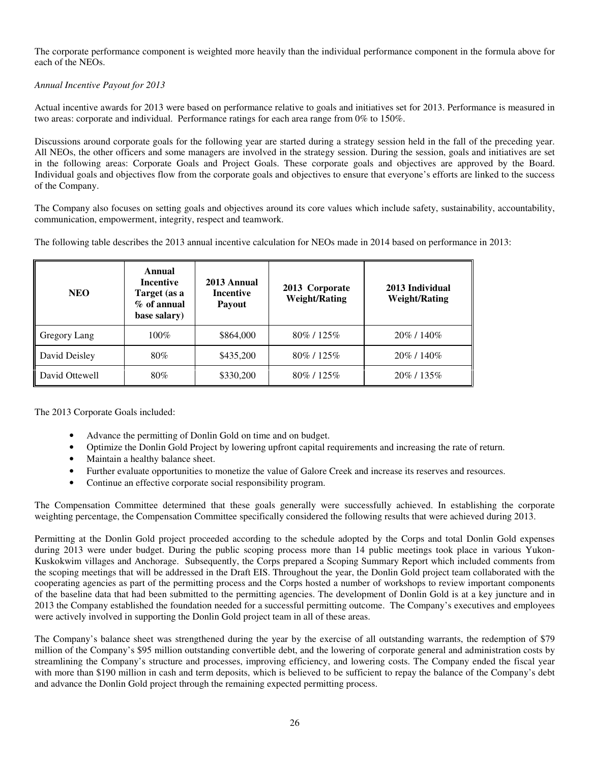The corporate performance component is weighted more heavily than the individual performance component in the formula above for each of the NEOs.

*Annual Incentive Payout for 2013* 

Actual incentive awards for 2013 were based on performance relative to goals and initiatives set for 2013. Performance is measured in two areas: corporate and individual. Performance ratings for each area range from 0% to 150%.

Discussions around corporate goals for the following year are started during a strategy session held in the fall of the preceding year. All NEOs, the other officers and some managers are involved in the strategy session. During the session, goals and initiatives are set in the following areas: Corporate Goals and Project Goals. These corporate goals and objectives are approved by the Board. Individual goals and objectives flow from the corporate goals and objectives to ensure that everyone's efforts are linked to the success of the Company.

The Company also focuses on setting goals and objectives around its core values which include safety, sustainability, accountability, communication, empowerment, integrity, respect and teamwork.

The following table describes the 2013 annual incentive calculation for NEOs made in 2014 based on performance in 2013:

| <b>NEO</b>     | Annual<br><b>Incentive</b><br>Target (as a<br>$%$ of annual<br>base salary) | 2013 Annual<br><b>Incentive</b><br><b>Payout</b> | 2013 Corporate<br><b>Weight/Rating</b> | 2013 Individual<br><b>Weight/Rating</b> |
|----------------|-----------------------------------------------------------------------------|--------------------------------------------------|----------------------------------------|-----------------------------------------|
| Gregory Lang   | $100\%$                                                                     | \$864,000                                        | 80\% / 125\%                           | 20\% / 140\%                            |
| David Deisley  | 80%                                                                         | \$435,200                                        | 80\% / 125\%                           | 20\% / 140\%                            |
| David Ottewell | 80%                                                                         | \$330,200                                        | 80\% / 125\%                           | 20\% / 135\%                            |

The 2013 Corporate Goals included:

- Advance the permitting of Donlin Gold on time and on budget.
- Optimize the Donlin Gold Project by lowering upfront capital requirements and increasing the rate of return.
- Maintain a healthy balance sheet.
- Further evaluate opportunities to monetize the value of Galore Creek and increase its reserves and resources.
- Continue an effective corporate social responsibility program.

The Compensation Committee determined that these goals generally were successfully achieved. In establishing the corporate weighting percentage, the Compensation Committee specifically considered the following results that were achieved during 2013.

Permitting at the Donlin Gold project proceeded according to the schedule adopted by the Corps and total Donlin Gold expenses during 2013 were under budget. During the public scoping process more than 14 public meetings took place in various Yukon-Kuskokwim villages and Anchorage. Subsequently, the Corps prepared a Scoping Summary Report which included comments from the scoping meetings that will be addressed in the Draft EIS. Throughout the year, the Donlin Gold project team collaborated with the cooperating agencies as part of the permitting process and the Corps hosted a number of workshops to review important components of the baseline data that had been submitted to the permitting agencies. The development of Donlin Gold is at a key juncture and in 2013 the Company established the foundation needed for a successful permitting outcome. The Company's executives and employees were actively involved in supporting the Donlin Gold project team in all of these areas.

The Company's balance sheet was strengthened during the year by the exercise of all outstanding warrants, the redemption of \$79 million of the Company's \$95 million outstanding convertible debt, and the lowering of corporate general and administration costs by streamlining the Company's structure and processes, improving efficiency, and lowering costs. The Company ended the fiscal year with more than \$190 million in cash and term deposits, which is believed to be sufficient to repay the balance of the Company's debt and advance the Donlin Gold project through the remaining expected permitting process.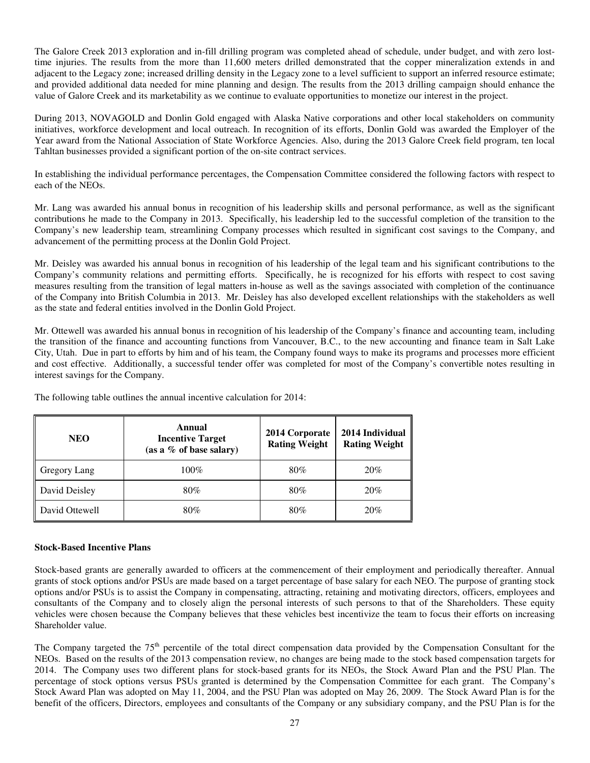The Galore Creek 2013 exploration and in-fill drilling program was completed ahead of schedule, under budget, and with zero losttime injuries. The results from the more than 11,600 meters drilled demonstrated that the copper mineralization extends in and adjacent to the Legacy zone; increased drilling density in the Legacy zone to a level sufficient to support an inferred resource estimate; and provided additional data needed for mine planning and design. The results from the 2013 drilling campaign should enhance the value of Galore Creek and its marketability as we continue to evaluate opportunities to monetize our interest in the project.

During 2013, NOVAGOLD and Donlin Gold engaged with Alaska Native corporations and other local stakeholders on community initiatives, workforce development and local outreach. In recognition of its efforts, Donlin Gold was awarded the Employer of the Year award from the National Association of State Workforce Agencies. Also, during the 2013 Galore Creek field program, ten local Tahltan businesses provided a significant portion of the on-site contract services.

In establishing the individual performance percentages, the Compensation Committee considered the following factors with respect to each of the NEOs.

Mr. Lang was awarded his annual bonus in recognition of his leadership skills and personal performance, as well as the significant contributions he made to the Company in 2013. Specifically, his leadership led to the successful completion of the transition to the Company's new leadership team, streamlining Company processes which resulted in significant cost savings to the Company, and advancement of the permitting process at the Donlin Gold Project.

Mr. Deisley was awarded his annual bonus in recognition of his leadership of the legal team and his significant contributions to the Company's community relations and permitting efforts. Specifically, he is recognized for his efforts with respect to cost saving measures resulting from the transition of legal matters in-house as well as the savings associated with completion of the continuance of the Company into British Columbia in 2013. Mr. Deisley has also developed excellent relationships with the stakeholders as well as the state and federal entities involved in the Donlin Gold Project.

Mr. Ottewell was awarded his annual bonus in recognition of his leadership of the Company's finance and accounting team, including the transition of the finance and accounting functions from Vancouver, B.C., to the new accounting and finance team in Salt Lake City, Utah. Due in part to efforts by him and of his team, the Company found ways to make its programs and processes more efficient and cost effective. Additionally, a successful tender offer was completed for most of the Company's convertible notes resulting in interest savings for the Company.

| <b>NEO</b>     | Annual<br><b>Incentive Target</b><br>(as a $\%$ of base salary) | 2014 Corporate<br><b>Rating Weight</b> | 2014 Individual<br><b>Rating Weight</b> |
|----------------|-----------------------------------------------------------------|----------------------------------------|-----------------------------------------|
| Gregory Lang   | $100\%$                                                         | 80%                                    | 20%                                     |
| David Deisley  | 80%                                                             | 80%                                    | 20%                                     |
| David Ottewell | 80%                                                             | 80%                                    | 20%                                     |

The following table outlines the annual incentive calculation for 2014:

## **Stock-Based Incentive Plans**

Stock-based grants are generally awarded to officers at the commencement of their employment and periodically thereafter. Annual grants of stock options and/or PSUs are made based on a target percentage of base salary for each NEO. The purpose of granting stock options and/or PSUs is to assist the Company in compensating, attracting, retaining and motivating directors, officers, employees and consultants of the Company and to closely align the personal interests of such persons to that of the Shareholders. These equity vehicles were chosen because the Company believes that these vehicles best incentivize the team to focus their efforts on increasing Shareholder value.

The Company targeted the 75<sup>th</sup> percentile of the total direct compensation data provided by the Compensation Consultant for the NEOs. Based on the results of the 2013 compensation review, no changes are being made to the stock based compensation targets for 2014. The Company uses two different plans for stock-based grants for its NEOs, the Stock Award Plan and the PSU Plan. The percentage of stock options versus PSUs granted is determined by the Compensation Committee for each grant. The Company's Stock Award Plan was adopted on May 11, 2004, and the PSU Plan was adopted on May 26, 2009. The Stock Award Plan is for the benefit of the officers, Directors, employees and consultants of the Company or any subsidiary company, and the PSU Plan is for the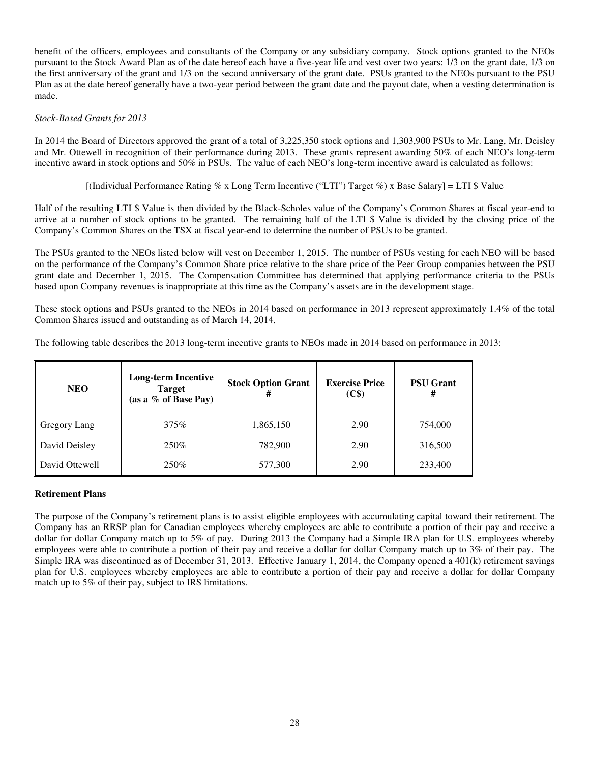benefit of the officers, employees and consultants of the Company or any subsidiary company. Stock options granted to the NEOs pursuant to the Stock Award Plan as of the date hereof each have a five-year life and vest over two years: 1/3 on the grant date, 1/3 on the first anniversary of the grant and 1/3 on the second anniversary of the grant date. PSUs granted to the NEOs pursuant to the PSU Plan as at the date hereof generally have a two-year period between the grant date and the payout date, when a vesting determination is made.

### *Stock-Based Grants for 2013*

In 2014 the Board of Directors approved the grant of a total of 3,225,350 stock options and 1,303,900 PSUs to Mr. Lang, Mr. Deisley and Mr. Ottewell in recognition of their performance during 2013. These grants represent awarding 50% of each NEO's long-term incentive award in stock options and 50% in PSUs. The value of each NEO's long-term incentive award is calculated as follows:

[(Individual Performance Rating % x Long Term Incentive ("LTI") Target %) x Base Salary] = LTI \$ Value

Half of the resulting LTI \$ Value is then divided by the Black-Scholes value of the Company's Common Shares at fiscal year-end to arrive at a number of stock options to be granted. The remaining half of the LTI \$ Value is divided by the closing price of the Company's Common Shares on the TSX at fiscal year-end to determine the number of PSUs to be granted.

The PSUs granted to the NEOs listed below will vest on December 1, 2015. The number of PSUs vesting for each NEO will be based on the performance of the Company's Common Share price relative to the share price of the Peer Group companies between the PSU grant date and December 1, 2015. The Compensation Committee has determined that applying performance criteria to the PSUs based upon Company revenues is inappropriate at this time as the Company's assets are in the development stage.

These stock options and PSUs granted to the NEOs in 2014 based on performance in 2013 represent approximately 1.4% of the total Common Shares issued and outstanding as of March 14, 2014.

|  | The following table describes the 2013 long-term incentive grants to NEOs made in 2014 based on performance in 2013: |
|--|----------------------------------------------------------------------------------------------------------------------|
|  |                                                                                                                      |

| <b>NEO</b>     | <b>Long-term Incentive</b><br><b>Target</b><br>(as a $%$ of Base Pay) | <b>Stock Option Grant</b><br># | <b>Exercise Price</b><br>(C\$) | <b>PSU Grant</b><br># |
|----------------|-----------------------------------------------------------------------|--------------------------------|--------------------------------|-----------------------|
| Gregory Lang   | 375%                                                                  | 1,865,150                      | 2.90                           | 754,000               |
| David Deisley  | 250%                                                                  | 782,900                        | 2.90                           | 316,500               |
| David Ottewell | 250%                                                                  | 577,300                        | 2.90                           | 233,400               |

## **Retirement Plans**

The purpose of the Company's retirement plans is to assist eligible employees with accumulating capital toward their retirement. The Company has an RRSP plan for Canadian employees whereby employees are able to contribute a portion of their pay and receive a dollar for dollar Company match up to 5% of pay. During 2013 the Company had a Simple IRA plan for U.S. employees whereby employees were able to contribute a portion of their pay and receive a dollar for dollar Company match up to 3% of their pay. The Simple IRA was discontinued as of December 31, 2013. Effective January 1, 2014, the Company opened a 401(k) retirement savings plan for U.S. employees whereby employees are able to contribute a portion of their pay and receive a dollar for dollar Company match up to 5% of their pay, subject to IRS limitations.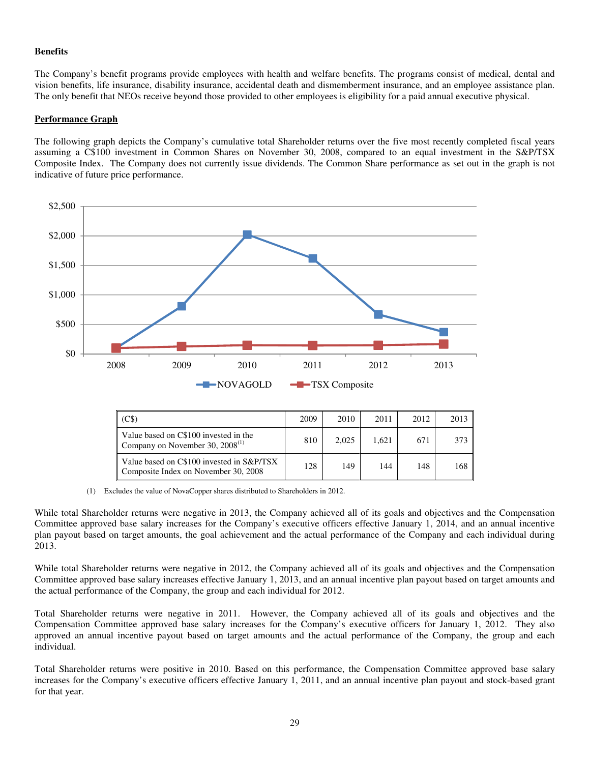### **Benefits**

The Company's benefit programs provide employees with health and welfare benefits. The programs consist of medical, dental and vision benefits, life insurance, disability insurance, accidental death and dismemberment insurance, and an employee assistance plan. The only benefit that NEOs receive beyond those provided to other employees is eligibility for a paid annual executive physical.

### **Performance Graph**

The following graph depicts the Company's cumulative total Shareholder returns over the five most recently completed fiscal years assuming a C\$100 investment in Common Shares on November 30, 2008, compared to an equal investment in the S&P/TSX Composite Index. The Company does not currently issue dividends. The Common Share performance as set out in the graph is not indicative of future price performance.



|                                                                                   | 2009 | 2010  | 2011  | 2012 | 2013 |
|-----------------------------------------------------------------------------------|------|-------|-------|------|------|
| Value based on C\$100 invested in the<br>Company on November 30, $2008^{(1)}$     | 810  | 2.025 | 1.621 | 671  | 373  |
| Value based on C\$100 invested in S&P/TSX<br>Composite Index on November 30, 2008 | 128  | 149   | 144   | 148  | 168  |

(1) Excludes the value of NovaCopper shares distributed to Shareholders in 2012.

While total Shareholder returns were negative in 2013, the Company achieved all of its goals and objectives and the Compensation Committee approved base salary increases for the Company's executive officers effective January 1, 2014, and an annual incentive plan payout based on target amounts, the goal achievement and the actual performance of the Company and each individual during 2013.

While total Shareholder returns were negative in 2012, the Company achieved all of its goals and objectives and the Compensation Committee approved base salary increases effective January 1, 2013, and an annual incentive plan payout based on target amounts and the actual performance of the Company, the group and each individual for 2012.

Total Shareholder returns were negative in 2011. However, the Company achieved all of its goals and objectives and the Compensation Committee approved base salary increases for the Company's executive officers for January 1, 2012. They also approved an annual incentive payout based on target amounts and the actual performance of the Company, the group and each individual.

Total Shareholder returns were positive in 2010. Based on this performance, the Compensation Committee approved base salary increases for the Company's executive officers effective January 1, 2011, and an annual incentive plan payout and stock-based grant for that year.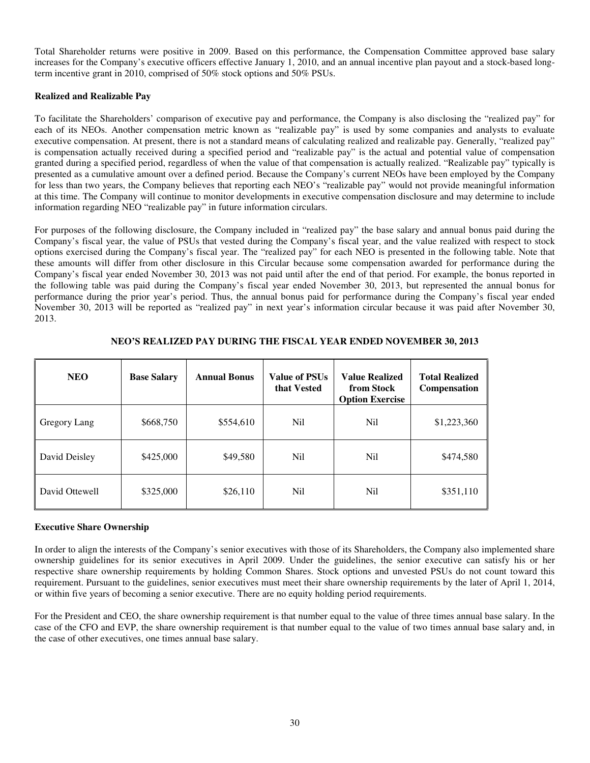Total Shareholder returns were positive in 2009. Based on this performance, the Compensation Committee approved base salary increases for the Company's executive officers effective January 1, 2010, and an annual incentive plan payout and a stock-based longterm incentive grant in 2010, comprised of 50% stock options and 50% PSUs.

## **Realized and Realizable Pay**

To facilitate the Shareholders' comparison of executive pay and performance, the Company is also disclosing the "realized pay" for each of its NEOs. Another compensation metric known as "realizable pay" is used by some companies and analysts to evaluate executive compensation. At present, there is not a standard means of calculating realized and realizable pay. Generally, "realized pay" is compensation actually received during a specified period and "realizable pay" is the actual and potential value of compensation granted during a specified period, regardless of when the value of that compensation is actually realized. "Realizable pay" typically is presented as a cumulative amount over a defined period. Because the Company's current NEOs have been employed by the Company for less than two years, the Company believes that reporting each NEO's "realizable pay" would not provide meaningful information at this time. The Company will continue to monitor developments in executive compensation disclosure and may determine to include information regarding NEO "realizable pay" in future information circulars.

For purposes of the following disclosure, the Company included in "realized pay" the base salary and annual bonus paid during the Company's fiscal year, the value of PSUs that vested during the Company's fiscal year, and the value realized with respect to stock options exercised during the Company's fiscal year. The "realized pay" for each NEO is presented in the following table. Note that these amounts will differ from other disclosure in this Circular because some compensation awarded for performance during the Company's fiscal year ended November 30, 2013 was not paid until after the end of that period. For example, the bonus reported in the following table was paid during the Company's fiscal year ended November 30, 2013, but represented the annual bonus for performance during the prior year's period. Thus, the annual bonus paid for performance during the Company's fiscal year ended November 30, 2013 will be reported as "realized pay" in next year's information circular because it was paid after November 30, 2013.

| <b>NEO</b>     | <b>Base Salary</b> | <b>Annual Bonus</b> | Value of PSUs<br>that Vested | <b>Value Realized</b><br>from Stock<br><b>Option Exercise</b> | <b>Total Realized</b><br><b>Compensation</b> |
|----------------|--------------------|---------------------|------------------------------|---------------------------------------------------------------|----------------------------------------------|
| Gregory Lang   | \$668,750          | \$554,610           | N <sub>il</sub>              | Nil                                                           | \$1,223,360                                  |
| David Deisley  | \$425,000          | \$49,580            | N <sub>il</sub>              | Ni1                                                           | \$474,580                                    |
| David Ottewell | \$325,000          | \$26,110            | N <sub>il</sub>              | Nil                                                           | \$351,110                                    |

# **NEO'S REALIZED PAY DURING THE FISCAL YEAR ENDED NOVEMBER 30, 2013**

## **Executive Share Ownership**

In order to align the interests of the Company's senior executives with those of its Shareholders, the Company also implemented share ownership guidelines for its senior executives in April 2009. Under the guidelines, the senior executive can satisfy his or her respective share ownership requirements by holding Common Shares. Stock options and unvested PSUs do not count toward this requirement. Pursuant to the guidelines, senior executives must meet their share ownership requirements by the later of April 1, 2014, or within five years of becoming a senior executive. There are no equity holding period requirements.

For the President and CEO, the share ownership requirement is that number equal to the value of three times annual base salary. In the case of the CFO and EVP, the share ownership requirement is that number equal to the value of two times annual base salary and, in the case of other executives, one times annual base salary.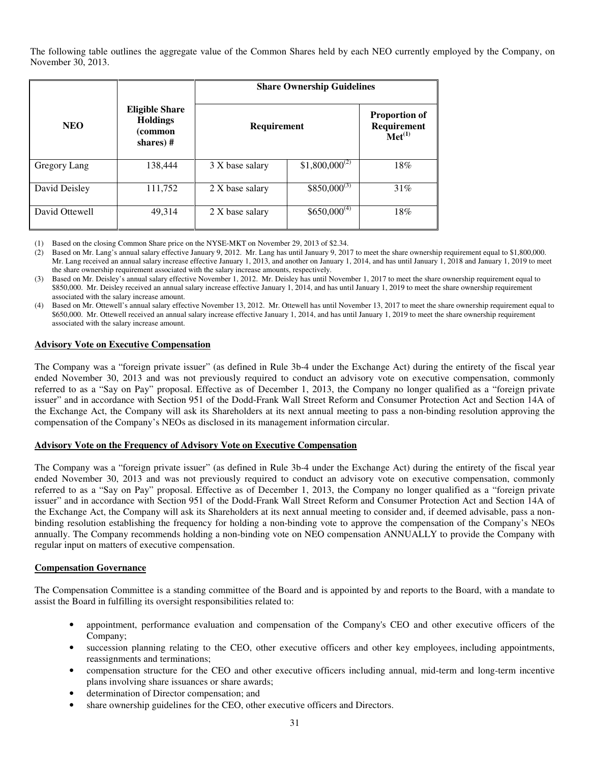The following table outlines the aggregate value of the Common Shares held by each NEO currently employed by the Company, on November 30, 2013.

|                |                                                                 | <b>Share Ownership Guidelines</b> |                                                                                                        |     |  |  |  |  |
|----------------|-----------------------------------------------------------------|-----------------------------------|--------------------------------------------------------------------------------------------------------|-----|--|--|--|--|
| <b>NEO</b>     | <b>Eligible Share</b><br><b>Holdings</b><br>(common<br>shares)# | Requirement                       | <b>Proportion of</b><br>$\begin{array}{c} \bf {\small Required} \\ \bf {\small Met}^{(1)} \end{array}$ |     |  |  |  |  |
| Gregory Lang   | 138,444                                                         | 3 X base salary                   | $$1,800,000^{(2)}$                                                                                     | 18% |  |  |  |  |
| David Deisley  | 111,752                                                         | 2 X base salary                   | $$850,000^{(3)}$                                                                                       | 31% |  |  |  |  |
| David Ottewell | 49,314                                                          | 2 X base salary                   | $$650,000^{(4)}$$                                                                                      | 18% |  |  |  |  |

(1) Based on the closing Common Share price on the NYSE-MKT on November 29, 2013 of \$2.34.

- (3) Based on Mr. Deisley's annual salary effective November 1, 2012. Mr. Deisley has until November 1, 2017 to meet the share ownership requirement equal to \$850,000. Mr. Deisley received an annual salary increase effective January 1, 2014, and has until January 1, 2019 to meet the share ownership requirement associated with the salary increase amount.
- (4) Based on Mr. Ottewell's annual salary effective November 13, 2012. Mr. Ottewell has until November 13, 2017 to meet the share ownership requirement equal to \$650,000. Mr. Ottewell received an annual salary increase effective January 1, 2014, and has until January 1, 2019 to meet the share ownership requirement associated with the salary increase amount.

#### **Advisory Vote on Executive Compensation**

The Company was a "foreign private issuer" (as defined in Rule 3b-4 under the Exchange Act) during the entirety of the fiscal year ended November 30, 2013 and was not previously required to conduct an advisory vote on executive compensation, commonly referred to as a "Say on Pay" proposal. Effective as of December 1, 2013, the Company no longer qualified as a "foreign private issuer" and in accordance with Section 951 of the Dodd-Frank Wall Street Reform and Consumer Protection Act and Section 14A of the Exchange Act, the Company will ask its Shareholders at its next annual meeting to pass a non-binding resolution approving the compensation of the Company's NEOs as disclosed in its management information circular.

#### **Advisory Vote on the Frequency of Advisory Vote on Executive Compensation**

The Company was a "foreign private issuer" (as defined in Rule 3b-4 under the Exchange Act) during the entirety of the fiscal year ended November 30, 2013 and was not previously required to conduct an advisory vote on executive compensation, commonly referred to as a "Say on Pay" proposal. Effective as of December 1, 2013, the Company no longer qualified as a "foreign private issuer" and in accordance with Section 951 of the Dodd-Frank Wall Street Reform and Consumer Protection Act and Section 14A of the Exchange Act, the Company will ask its Shareholders at its next annual meeting to consider and, if deemed advisable, pass a nonbinding resolution establishing the frequency for holding a non-binding vote to approve the compensation of the Company's NEOs annually. The Company recommends holding a non-binding vote on NEO compensation ANNUALLY to provide the Company with regular input on matters of executive compensation.

#### **Compensation Governance**

The Compensation Committee is a standing committee of the Board and is appointed by and reports to the Board, with a mandate to assist the Board in fulfilling its oversight responsibilities related to:

- appointment, performance evaluation and compensation of the Company's CEO and other executive officers of the Company;
- succession planning relating to the CEO, other executive officers and other key employees, including appointments, reassignments and terminations;
- compensation structure for the CEO and other executive officers including annual, mid-term and long-term incentive plans involving share issuances or share awards;
- determination of Director compensation; and
- share ownership guidelines for the CEO, other executive officers and Directors.

<sup>(2)</sup> Based on Mr. Lang's annual salary effective January 9, 2012. Mr. Lang has until January 9, 2017 to meet the share ownership requirement equal to \$1,800,000. Mr. Lang received an annual salary increase effective January 1, 2013, and another on January 1, 2014, and has until January 1, 2018 and January 1, 2019 to meet the share ownership requirement associated with the salary increase amounts, respectively.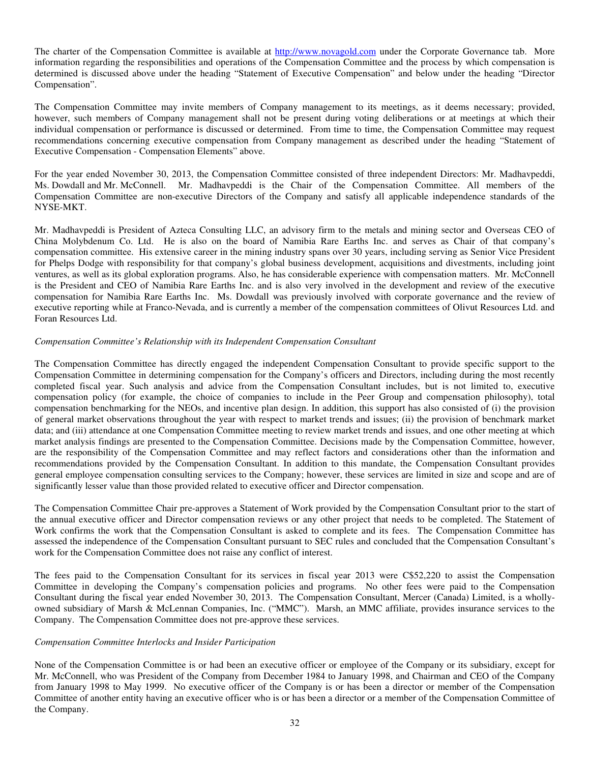The charter of the Compensation Committee is available at http://www.novagold.com under the Corporate Governance tab. More information regarding the responsibilities and operations of the Compensation Committee and the process by which compensation is determined is discussed above under the heading "Statement of Executive Compensation" and below under the heading "Director Compensation".

The Compensation Committee may invite members of Company management to its meetings, as it deems necessary; provided, however, such members of Company management shall not be present during voting deliberations or at meetings at which their individual compensation or performance is discussed or determined. From time to time, the Compensation Committee may request recommendations concerning executive compensation from Company management as described under the heading "Statement of Executive Compensation - Compensation Elements" above.

For the year ended November 30, 2013, the Compensation Committee consisted of three independent Directors: Mr. Madhavpeddi, Ms. Dowdall and Mr. McConnell. Mr. Madhavpeddi is the Chair of the Compensation Committee. All members of the Compensation Committee are non-executive Directors of the Company and satisfy all applicable independence standards of the NYSE-MKT.

Mr. Madhavpeddi is President of Azteca Consulting LLC, an advisory firm to the metals and mining sector and Overseas CEO of China Molybdenum Co. Ltd. He is also on the board of Namibia Rare Earths Inc. and serves as Chair of that company's compensation committee. His extensive career in the mining industry spans over 30 years, including serving as Senior Vice President for Phelps Dodge with responsibility for that company's global business development, acquisitions and divestments, including joint ventures, as well as its global exploration programs. Also, he has considerable experience with compensation matters. Mr. McConnell is the President and CEO of Namibia Rare Earths Inc. and is also very involved in the development and review of the executive compensation for Namibia Rare Earths Inc. Ms. Dowdall was previously involved with corporate governance and the review of executive reporting while at Franco-Nevada, and is currently a member of the compensation committees of Olivut Resources Ltd. and Foran Resources Ltd.

### *Compensation Committee's Relationship with its Independent Compensation Consultant*

The Compensation Committee has directly engaged the independent Compensation Consultant to provide specific support to the Compensation Committee in determining compensation for the Company's officers and Directors, including during the most recently completed fiscal year. Such analysis and advice from the Compensation Consultant includes, but is not limited to, executive compensation policy (for example, the choice of companies to include in the Peer Group and compensation philosophy), total compensation benchmarking for the NEOs, and incentive plan design. In addition, this support has also consisted of (i) the provision of general market observations throughout the year with respect to market trends and issues; (ii) the provision of benchmark market data; and (iii) attendance at one Compensation Committee meeting to review market trends and issues, and one other meeting at which market analysis findings are presented to the Compensation Committee. Decisions made by the Compensation Committee, however, are the responsibility of the Compensation Committee and may reflect factors and considerations other than the information and recommendations provided by the Compensation Consultant. In addition to this mandate, the Compensation Consultant provides general employee compensation consulting services to the Company; however, these services are limited in size and scope and are of significantly lesser value than those provided related to executive officer and Director compensation.

The Compensation Committee Chair pre-approves a Statement of Work provided by the Compensation Consultant prior to the start of the annual executive officer and Director compensation reviews or any other project that needs to be completed. The Statement of Work confirms the work that the Compensation Consultant is asked to complete and its fees. The Compensation Committee has assessed the independence of the Compensation Consultant pursuant to SEC rules and concluded that the Compensation Consultant's work for the Compensation Committee does not raise any conflict of interest.

The fees paid to the Compensation Consultant for its services in fiscal year 2013 were C\$52,220 to assist the Compensation Committee in developing the Company's compensation policies and programs. No other fees were paid to the Compensation Consultant during the fiscal year ended November 30, 2013. The Compensation Consultant, Mercer (Canada) Limited, is a whollyowned subsidiary of Marsh & McLennan Companies, Inc. ("MMC"). Marsh, an MMC affiliate, provides insurance services to the Company. The Compensation Committee does not pre-approve these services.

#### *Compensation Committee Interlocks and Insider Participation*

None of the Compensation Committee is or had been an executive officer or employee of the Company or its subsidiary, except for Mr. McConnell, who was President of the Company from December 1984 to January 1998, and Chairman and CEO of the Company from January 1998 to May 1999. No executive officer of the Company is or has been a director or member of the Compensation Committee of another entity having an executive officer who is or has been a director or a member of the Compensation Committee of the Company.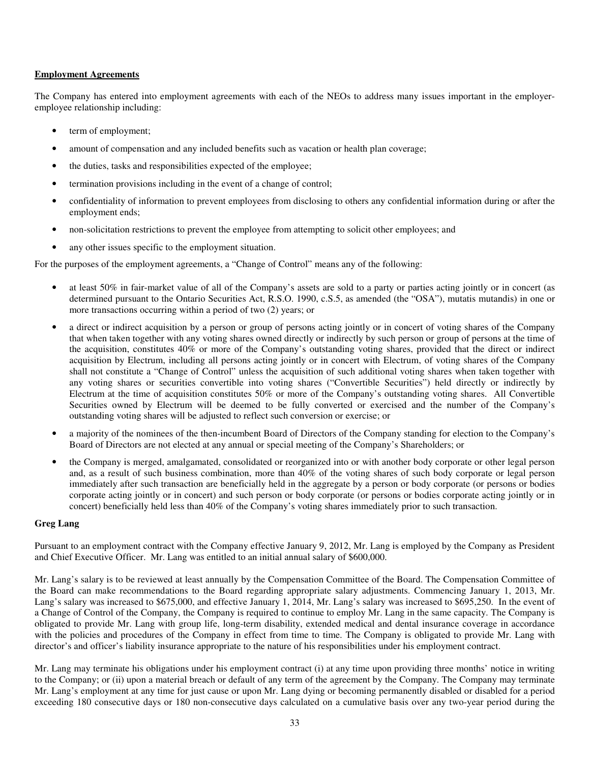### **Employment Agreements**

The Company has entered into employment agreements with each of the NEOs to address many issues important in the employeremployee relationship including:

- term of employment;
- amount of compensation and any included benefits such as vacation or health plan coverage;
- the duties, tasks and responsibilities expected of the employee;
- termination provisions including in the event of a change of control;
- confidentiality of information to prevent employees from disclosing to others any confidential information during or after the employment ends;
- non-solicitation restrictions to prevent the employee from attempting to solicit other employees; and
- any other issues specific to the employment situation.

For the purposes of the employment agreements, a "Change of Control" means any of the following:

- at least 50% in fair-market value of all of the Company's assets are sold to a party or parties acting jointly or in concert (as determined pursuant to the Ontario Securities Act, R.S.O. 1990, c.S.5, as amended (the "OSA"), mutatis mutandis) in one or more transactions occurring within a period of two (2) years; or
- a direct or indirect acquisition by a person or group of persons acting jointly or in concert of voting shares of the Company that when taken together with any voting shares owned directly or indirectly by such person or group of persons at the time of the acquisition, constitutes 40% or more of the Company's outstanding voting shares, provided that the direct or indirect acquisition by Electrum, including all persons acting jointly or in concert with Electrum, of voting shares of the Company shall not constitute a "Change of Control" unless the acquisition of such additional voting shares when taken together with any voting shares or securities convertible into voting shares ("Convertible Securities") held directly or indirectly by Electrum at the time of acquisition constitutes 50% or more of the Company's outstanding voting shares. All Convertible Securities owned by Electrum will be deemed to be fully converted or exercised and the number of the Company's outstanding voting shares will be adjusted to reflect such conversion or exercise; or
- a majority of the nominees of the then-incumbent Board of Directors of the Company standing for election to the Company's Board of Directors are not elected at any annual or special meeting of the Company's Shareholders; or
- the Company is merged, amalgamated, consolidated or reorganized into or with another body corporate or other legal person and, as a result of such business combination, more than 40% of the voting shares of such body corporate or legal person immediately after such transaction are beneficially held in the aggregate by a person or body corporate (or persons or bodies corporate acting jointly or in concert) and such person or body corporate (or persons or bodies corporate acting jointly or in concert) beneficially held less than 40% of the Company's voting shares immediately prior to such transaction.

## **Greg Lang**

Pursuant to an employment contract with the Company effective January 9, 2012, Mr. Lang is employed by the Company as President and Chief Executive Officer. Mr. Lang was entitled to an initial annual salary of \$600,000.

Mr. Lang's salary is to be reviewed at least annually by the Compensation Committee of the Board. The Compensation Committee of the Board can make recommendations to the Board regarding appropriate salary adjustments. Commencing January 1, 2013, Mr. Lang's salary was increased to \$675,000, and effective January 1, 2014, Mr. Lang's salary was increased to \$695,250. In the event of a Change of Control of the Company, the Company is required to continue to employ Mr. Lang in the same capacity. The Company is obligated to provide Mr. Lang with group life, long-term disability, extended medical and dental insurance coverage in accordance with the policies and procedures of the Company in effect from time to time. The Company is obligated to provide Mr. Lang with director's and officer's liability insurance appropriate to the nature of his responsibilities under his employment contract.

Mr. Lang may terminate his obligations under his employment contract (i) at any time upon providing three months' notice in writing to the Company; or (ii) upon a material breach or default of any term of the agreement by the Company. The Company may terminate Mr. Lang's employment at any time for just cause or upon Mr. Lang dying or becoming permanently disabled or disabled for a period exceeding 180 consecutive days or 180 non-consecutive days calculated on a cumulative basis over any two-year period during the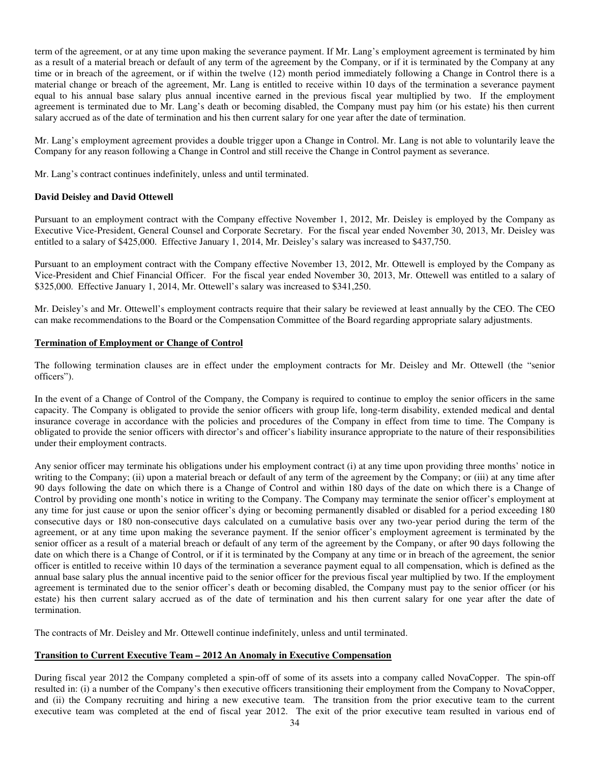term of the agreement, or at any time upon making the severance payment. If Mr. Lang's employment agreement is terminated by him as a result of a material breach or default of any term of the agreement by the Company, or if it is terminated by the Company at any time or in breach of the agreement, or if within the twelve (12) month period immediately following a Change in Control there is a material change or breach of the agreement, Mr. Lang is entitled to receive within 10 days of the termination a severance payment equal to his annual base salary plus annual incentive earned in the previous fiscal year multiplied by two. If the employment agreement is terminated due to Mr. Lang's death or becoming disabled, the Company must pay him (or his estate) his then current salary accrued as of the date of termination and his then current salary for one year after the date of termination.

Mr. Lang's employment agreement provides a double trigger upon a Change in Control. Mr. Lang is not able to voluntarily leave the Company for any reason following a Change in Control and still receive the Change in Control payment as severance.

Mr. Lang's contract continues indefinitely, unless and until terminated.

### **David Deisley and David Ottewell**

Pursuant to an employment contract with the Company effective November 1, 2012, Mr. Deisley is employed by the Company as Executive Vice-President, General Counsel and Corporate Secretary. For the fiscal year ended November 30, 2013, Mr. Deisley was entitled to a salary of \$425,000. Effective January 1, 2014, Mr. Deisley's salary was increased to \$437,750.

Pursuant to an employment contract with the Company effective November 13, 2012, Mr. Ottewell is employed by the Company as Vice-President and Chief Financial Officer. For the fiscal year ended November 30, 2013, Mr. Ottewell was entitled to a salary of \$325,000. Effective January 1, 2014, Mr. Ottewell's salary was increased to \$341,250.

Mr. Deisley's and Mr. Ottewell's employment contracts require that their salary be reviewed at least annually by the CEO. The CEO can make recommendations to the Board or the Compensation Committee of the Board regarding appropriate salary adjustments.

#### **Termination of Employment or Change of Control**

The following termination clauses are in effect under the employment contracts for Mr. Deisley and Mr. Ottewell (the "senior officers").

In the event of a Change of Control of the Company, the Company is required to continue to employ the senior officers in the same capacity. The Company is obligated to provide the senior officers with group life, long-term disability, extended medical and dental insurance coverage in accordance with the policies and procedures of the Company in effect from time to time. The Company is obligated to provide the senior officers with director's and officer's liability insurance appropriate to the nature of their responsibilities under their employment contracts.

Any senior officer may terminate his obligations under his employment contract (i) at any time upon providing three months' notice in writing to the Company; (ii) upon a material breach or default of any term of the agreement by the Company; or (iii) at any time after 90 days following the date on which there is a Change of Control and within 180 days of the date on which there is a Change of Control by providing one month's notice in writing to the Company. The Company may terminate the senior officer's employment at any time for just cause or upon the senior officer's dying or becoming permanently disabled or disabled for a period exceeding 180 consecutive days or 180 non-consecutive days calculated on a cumulative basis over any two-year period during the term of the agreement, or at any time upon making the severance payment. If the senior officer's employment agreement is terminated by the senior officer as a result of a material breach or default of any term of the agreement by the Company, or after 90 days following the date on which there is a Change of Control, or if it is terminated by the Company at any time or in breach of the agreement, the senior officer is entitled to receive within 10 days of the termination a severance payment equal to all compensation, which is defined as the annual base salary plus the annual incentive paid to the senior officer for the previous fiscal year multiplied by two. If the employment agreement is terminated due to the senior officer's death or becoming disabled, the Company must pay to the senior officer (or his estate) his then current salary accrued as of the date of termination and his then current salary for one year after the date of termination.

The contracts of Mr. Deisley and Mr. Ottewell continue indefinitely, unless and until terminated.

## **Transition to Current Executive Team – 2012 An Anomaly in Executive Compensation**

During fiscal year 2012 the Company completed a spin-off of some of its assets into a company called NovaCopper. The spin-off resulted in: (i) a number of the Company's then executive officers transitioning their employment from the Company to NovaCopper, and (ii) the Company recruiting and hiring a new executive team. The transition from the prior executive team to the current executive team was completed at the end of fiscal year 2012. The exit of the prior executive team resulted in various end of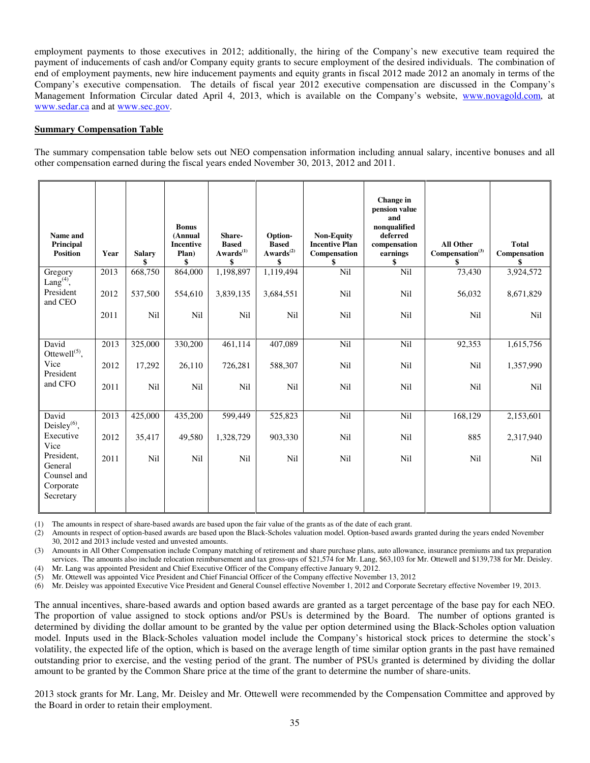employment payments to those executives in 2012; additionally, the hiring of the Company's new executive team required the payment of inducements of cash and/or Company equity grants to secure employment of the desired individuals. The combination of end of employment payments, new hire inducement payments and equity grants in fiscal 2012 made 2012 an anomaly in terms of the Company's executive compensation. The details of fiscal year 2012 executive compensation are discussed in the Company's Management Information Circular dated April 4, 2013, which is available on the Company's website, www.novagold.com, at www.sedar.ca and at www.sec.gov.

### **Summary Compensation Table**

The summary compensation table below sets out NEO compensation information including annual salary, incentive bonuses and all other compensation earned during the fiscal years ended November 30, 2013, 2012 and 2011.

| Name and<br>Principal<br><b>Position</b>                       | Year | <b>Salary</b> | <b>Bonus</b><br>(Annual<br><b>Incentive</b><br>Plan)<br>\$ | Share-<br><b>Based</b><br>$\mathbf{Awards}^{(1)}$<br>\$ | Option-<br><b>Based</b><br>$\mathbf{Awards}^{(2)}$<br>\$ | <b>Non-Equity</b><br><b>Incentive Plan</b><br>Compensation<br>\$ | Change in<br>pension value<br>and<br>nonqualified<br>deferred<br>compensation<br>earnings<br>\$ | <b>All Other</b><br>Compensation <sup>(3)</sup><br>\$ | <b>Total</b><br>Compensation<br>S |
|----------------------------------------------------------------|------|---------------|------------------------------------------------------------|---------------------------------------------------------|----------------------------------------------------------|------------------------------------------------------------------|-------------------------------------------------------------------------------------------------|-------------------------------------------------------|-----------------------------------|
| Gregory<br>Lang $(4)$ ,                                        | 2013 | 668,750       | 864,000                                                    | 1,198,897                                               | 1,119,494                                                | Nil                                                              | Nil                                                                                             | 73,430                                                | 3,924,572                         |
| President<br>and CEO                                           | 2012 | 537,500       | 554,610                                                    | 3,839,135                                               | 3,684,551                                                | Nil                                                              | Nil                                                                                             | 56,032                                                | 8,671,829                         |
|                                                                | 2011 | Nil           | Nil                                                        | Nil                                                     | Nil                                                      | Nil                                                              | Nil                                                                                             | Nil                                                   | Nil                               |
| David<br>Ottewell $^{(5)}$ ,                                   | 2013 | 325,000       | 330,200                                                    | 461,114                                                 | 407,089                                                  | Nil                                                              | Nil                                                                                             | 92,353                                                | 1,615,756                         |
| Vice<br>President                                              | 2012 | 17,292        | 26,110                                                     | 726,281                                                 | 588,307                                                  | Nil                                                              | Nil                                                                                             | Nil                                                   | 1,357,990                         |
| and CFO                                                        | 2011 | Nil           | Nil                                                        | N <sub>il</sub>                                         | Nil                                                      | Nil                                                              | Nil                                                                                             | Nil                                                   | Nil                               |
| David                                                          | 2013 | 425,000       | 435,200                                                    | 599,449                                                 | 525,823                                                  | Nil                                                              | Nil                                                                                             | 168,129                                               | 2,153,601                         |
| Deisley $^{(6)}$ ,<br>Executive<br>Vice                        | 2012 | 35,417        | 49,580                                                     | 1,328,729                                               | 903,330                                                  | Nil                                                              | Nil                                                                                             | 885                                                   | 2,317,940                         |
| President,<br>General<br>Counsel and<br>Corporate<br>Secretary | 2011 | Nil           | Nil                                                        | Nil                                                     | Nil                                                      | Nil                                                              | Nil                                                                                             | Nil                                                   | Nil                               |

(1) The amounts in respect of share-based awards are based upon the fair value of the grants as of the date of each grant.

(2) Amounts in respect of option-based awards are based upon the Black-Scholes valuation model. Option-based awards granted during the years ended November 30, 2012 and 2013 include vested and unvested amounts.

(3) Amounts in All Other Compensation include Company matching of retirement and share purchase plans, auto allowance, insurance premiums and tax preparation services. The amounts also include relocation reimbursement and tax gross-ups of \$21,574 for Mr. Lang, \$63,103 for Mr. Ottewell and \$139,738 for Mr. Deisley.

(4) Mr. Lang was appointed President and Chief Executive Officer of the Company effective January 9, 2012.

(5) Mr. Ottewell was appointed Vice President and Chief Financial Officer of the Company effective November 13, 2012

(6) Mr. Deisley was appointed Executive Vice President and General Counsel effective November 1, 2012 and Corporate Secretary effective November 19, 2013.

The annual incentives, share-based awards and option based awards are granted as a target percentage of the base pay for each NEO. The proportion of value assigned to stock options and/or PSUs is determined by the Board. The number of options granted is determined by dividing the dollar amount to be granted by the value per option determined using the Black-Scholes option valuation model. Inputs used in the Black-Scholes valuation model include the Company's historical stock prices to determine the stock's volatility, the expected life of the option, which is based on the average length of time similar option grants in the past have remained outstanding prior to exercise, and the vesting period of the grant. The number of PSUs granted is determined by dividing the dollar amount to be granted by the Common Share price at the time of the grant to determine the number of share-units.

2013 stock grants for Mr. Lang, Mr. Deisley and Mr. Ottewell were recommended by the Compensation Committee and approved by the Board in order to retain their employment.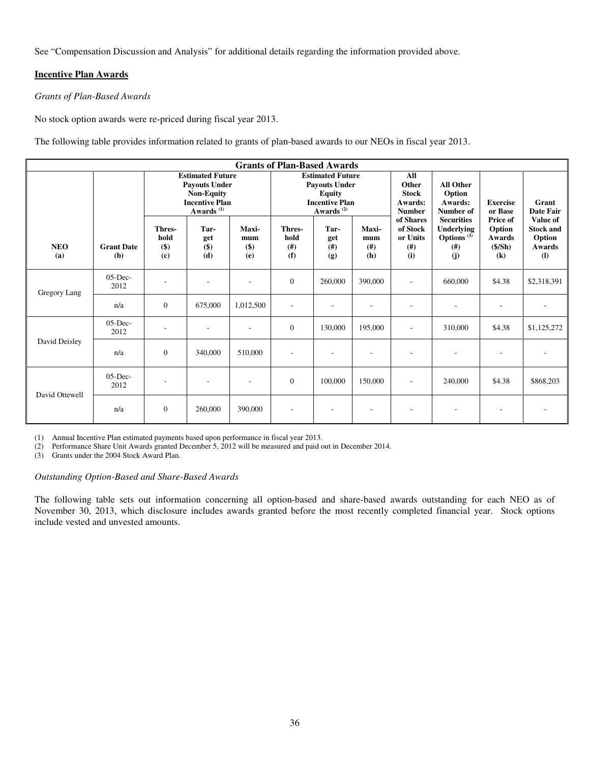See "Compensation Discussion and Analysis" for additional details regarding the information provided above.

## **Incentive Plan Awards**

## *Grants of Plan-Based Awards*

No stock option awards were re-priced during fiscal year 2013.

The following table provides information related to grants of plan-based awards to our NEOs in fiscal year 2013.

|                   | <b>Grants of Plan-Based Awards</b> |                                                                                                                        |                               |                                |                                                                                                                    |                            |                             |                                                          |                                                                          |                                                  |                                                                         |
|-------------------|------------------------------------|------------------------------------------------------------------------------------------------------------------------|-------------------------------|--------------------------------|--------------------------------------------------------------------------------------------------------------------|----------------------------|-----------------------------|----------------------------------------------------------|--------------------------------------------------------------------------|--------------------------------------------------|-------------------------------------------------------------------------|
|                   |                                    | <b>Estimated Future</b><br><b>Payouts Under</b><br><b>Non-Equity</b><br><b>Incentive Plan</b><br>Awards <sup>(1)</sup> |                               |                                | <b>Estimated Future</b><br><b>Payouts Under</b><br><b>Equity</b><br><b>Incentive Plan</b><br>Awards <sup>(2)</sup> |                            |                             | All<br>Other<br><b>Stock</b><br>Awards:<br><b>Number</b> | <b>All Other</b><br>Option<br>Awards:<br>Number of                       | <b>Exercise</b><br>or Base                       | Grant<br><b>Date Fair</b>                                               |
| <b>NEO</b><br>(a) | <b>Grant Date</b><br>(b)           | Thres-<br>hold<br>$($ \$)<br>(c)                                                                                       | Tar-<br>get<br>$($ \$)<br>(d) | Maxi-<br>mum<br>$($ \$)<br>(e) | Thres-<br>hold<br>(# )<br>(f)                                                                                      | Tar-<br>get<br>(# )<br>(g) | Maxi-<br>mum<br>(f#)<br>(h) | of Shares<br>of Stock<br>or Units<br>(# )<br>(i)         | <b>Securities</b><br>Underlying<br>Options <sup>(3)</sup><br>(# )<br>(j) | Price of<br>Option<br>Awards<br>$(\$/Sh)$<br>(k) | <b>Value of</b><br><b>Stock and</b><br>Option<br>Awards<br>$\mathbf{I}$ |
| Gregory Lang      | $05$ -Dec-<br>2012                 | ۰                                                                                                                      |                               |                                | $\theta$                                                                                                           | 260,000                    | 390,000                     | ٠                                                        | 660,000                                                                  | \$4.38                                           | \$2,318,391                                                             |
|                   | n/a                                | $\mathbf{0}$                                                                                                           | 675,000                       | 1,012,500                      | ٠                                                                                                                  | ۰                          | $\overline{a}$              | ٠                                                        |                                                                          | $\overline{\phantom{a}}$                         |                                                                         |
|                   | $05$ -Dec-<br>2012                 | ٠                                                                                                                      |                               |                                | $\theta$                                                                                                           | 130,000                    | 195,000                     | ٠                                                        | 310,000                                                                  | \$4.38                                           | \$1,125,272                                                             |
| David Deisley     | n/a                                | $\mathbf{0}$                                                                                                           | 340,000                       | 510,000                        | $\overline{\phantom{a}}$                                                                                           |                            | $\overline{\phantom{a}}$    |                                                          |                                                                          | ٠                                                |                                                                         |
| David Ottewell    | $05$ -Dec-<br>2012                 |                                                                                                                        |                               |                                | $\Omega$                                                                                                           | 100,000                    | 150,000                     |                                                          | 240,000                                                                  | \$4.38                                           | \$868,203                                                               |
|                   | n/a                                | $\mathbf{0}$                                                                                                           | 260,000                       | 390,000                        |                                                                                                                    |                            |                             |                                                          |                                                                          | ٠                                                |                                                                         |

(1) Annual Incentive Plan estimated payments based upon performance in fiscal year 2013.

(2) Performance Share Unit Awards granted December 5, 2012 will be measured and paid out in December 2014.

Grants under the 2004 Stock Award Plan.

## *Outstanding Option-Based and Share-Based Awards*

The following table sets out information concerning all option-based and share-based awards outstanding for each NEO as of November 30, 2013, which disclosure includes awards granted before the most recently completed financial year. Stock options include vested and unvested amounts.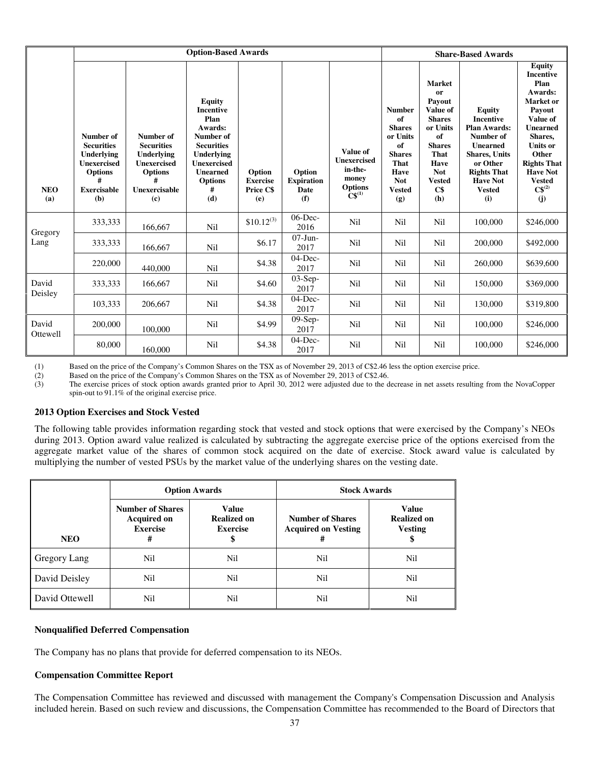|                   |                                                                                                                        |                                                                                                                   | <b>Option-Based Awards</b>                                                                                                                                                                |                                               |                                            |                                                                                                                  |                                                                                                                                      |                                                                                                                                                                              | <b>Share-Based Awards</b>                                                                                                                                                                      |                                                                                                                                                                                                                                          |
|-------------------|------------------------------------------------------------------------------------------------------------------------|-------------------------------------------------------------------------------------------------------------------|-------------------------------------------------------------------------------------------------------------------------------------------------------------------------------------------|-----------------------------------------------|--------------------------------------------|------------------------------------------------------------------------------------------------------------------|--------------------------------------------------------------------------------------------------------------------------------------|------------------------------------------------------------------------------------------------------------------------------------------------------------------------------|------------------------------------------------------------------------------------------------------------------------------------------------------------------------------------------------|------------------------------------------------------------------------------------------------------------------------------------------------------------------------------------------------------------------------------------------|
| <b>NEO</b><br>(a) | Number of<br><b>Securities</b><br>Underlying<br><b>Unexercised</b><br><b>Options</b><br>#<br><b>Exercisable</b><br>(b) | Number of<br><b>Securities</b><br>Underlying<br><b>Unexercised</b><br><b>Options</b><br>#<br>Unexercisable<br>(c) | <b>Equity</b><br><b>Incentive</b><br>Plan<br>Awards:<br><b>Number of</b><br><b>Securities</b><br><b>Underlying</b><br><b>Unexercised</b><br><b>Unearned</b><br><b>Options</b><br>#<br>(d) | Option<br><b>Exercise</b><br>Price C\$<br>(e) | Option<br><b>Expiration</b><br>Date<br>(f) | Value of<br><b>Unexercised</b><br>in-the-<br>money<br><b>Options</b><br>$\mathbf{\hat{C}}\mathbf{\hat{S}}^{(1)}$ | <b>Number</b><br>of<br><b>Shares</b><br>or Units<br>of<br><b>Shares</b><br><b>That</b><br>Have<br><b>Not</b><br><b>Vested</b><br>(g) | <b>Market</b><br><sub>or</sub><br>Payout<br>Value of<br><b>Shares</b><br>or Units<br>of<br><b>Shares</b><br><b>That</b><br>Have<br><b>Not</b><br><b>Vested</b><br>C\$<br>(h) | <b>Equity</b><br><b>Incentive</b><br><b>Plan Awards:</b><br>Number of<br><b>Unearned</b><br><b>Shares</b> , Units<br>or Other<br><b>Rights That</b><br><b>Have Not</b><br><b>Vested</b><br>(i) | <b>Equity</b><br><b>Incentive</b><br>Plan<br>Awards:<br><b>Market</b> or<br>Payout<br>Value of<br><b>Unearned</b><br>Shares,<br><b>Units or</b><br>Other<br><b>Rights That</b><br><b>Have Not</b><br><b>Vested</b><br>$C\$ ^{(2)}<br>(i) |
| Gregory           | 333,333                                                                                                                | 166,667                                                                                                           | Nil                                                                                                                                                                                       | $$10.12^{(3)}$                                | $06$ -Dec-<br>2016                         | <b>Nil</b>                                                                                                       | Nil                                                                                                                                  | Nil                                                                                                                                                                          | 100,000                                                                                                                                                                                        | \$246,000                                                                                                                                                                                                                                |
| Lang              | 333,333                                                                                                                | 166,667                                                                                                           | Nil                                                                                                                                                                                       | \$6.17                                        | $07-J$ un-<br>2017                         | <b>Nil</b>                                                                                                       | Nil                                                                                                                                  | Nil                                                                                                                                                                          | 200,000                                                                                                                                                                                        | \$492,000                                                                                                                                                                                                                                |
|                   | 220,000                                                                                                                | 440,000                                                                                                           | Nil                                                                                                                                                                                       | \$4.38                                        | $04$ -Dec-<br>2017                         | <b>Nil</b>                                                                                                       | Nil                                                                                                                                  | Nil                                                                                                                                                                          | 260,000                                                                                                                                                                                        | \$639,600                                                                                                                                                                                                                                |
| David<br>Deisley  | 333,333                                                                                                                | 166,667                                                                                                           | Nil                                                                                                                                                                                       | \$4.60                                        | $03-Sep-$<br>2017                          | <b>Nil</b>                                                                                                       | Nil                                                                                                                                  | Nil                                                                                                                                                                          | 150,000                                                                                                                                                                                        | \$369,000                                                                                                                                                                                                                                |
|                   | 103,333                                                                                                                | 206,667                                                                                                           | Nil                                                                                                                                                                                       | \$4.38                                        | $04$ -Dec-<br>2017                         | <b>Nil</b>                                                                                                       | Nil                                                                                                                                  | Nil                                                                                                                                                                          | 130,000                                                                                                                                                                                        | \$319,800                                                                                                                                                                                                                                |
| David<br>Ottewell | 200,000                                                                                                                | 100,000                                                                                                           | Nil                                                                                                                                                                                       | \$4.99                                        | 09-Sep-<br>2017                            | <b>Nil</b>                                                                                                       | Nil                                                                                                                                  | Nil                                                                                                                                                                          | 100,000                                                                                                                                                                                        | \$246,000                                                                                                                                                                                                                                |
|                   | 80,000                                                                                                                 | 160,000                                                                                                           | Nil                                                                                                                                                                                       | \$4.38                                        | $04$ -Dec-<br>2017                         | Nil                                                                                                              | Nil                                                                                                                                  | Nil                                                                                                                                                                          | 100,000                                                                                                                                                                                        | \$246,000                                                                                                                                                                                                                                |

(1) Based on the price of the Company's Common Shares on the TSX as of November 29, 2013 of C\$2.46 less the option exercise price.<br>
(2) Based on the price of the Company's Common Shares on the TSX as of November 29, 2013 o

(2) Based on the price of the Company's Common Shares on the TSX as of November 29, 2013 of C\$2.46.<br>
(3) The exercise prices of stock option awards granted prior to April 30, 2012 were adjusted due to the d

The exercise prices of stock option awards granted prior to April 30, 2012 were adjusted due to the decrease in net assets resulting from the NovaCopper spin-out to 91.1% of the original exercise price.

## **2013 Option Exercises and Stock Vested**

The following table provides information regarding stock that vested and stock options that were exercised by the Company's NEOs during 2013. Option award value realized is calculated by subtracting the aggregate exercise price of the options exercised from the aggregate market value of the shares of common stock acquired on the date of exercise. Stock award value is calculated by multiplying the number of vested PSUs by the market value of the underlying shares on the vesting date.

|                |                                                                       | <b>Option Awards</b>                                  | <b>Stock Awards</b> |                                               |  |  |
|----------------|-----------------------------------------------------------------------|-------------------------------------------------------|---------------------|-----------------------------------------------|--|--|
| <b>NEO</b>     | <b>Number of Shares</b><br><b>Acquired on</b><br><b>Exercise</b><br># | <b>Value</b><br><b>Realized on</b><br><b>Exercise</b> |                     | Value<br><b>Realized on</b><br><b>Vesting</b> |  |  |
| Gregory Lang   | Nil                                                                   | Nil                                                   | Nil                 | Nil                                           |  |  |
| David Deisley  | Nil                                                                   | Nil                                                   | Nil                 | Nil                                           |  |  |
| David Ottewell | Nil                                                                   | Nil                                                   | Nil                 | Nil                                           |  |  |

### **Nonqualified Deferred Compensation**

The Company has no plans that provide for deferred compensation to its NEOs.

## **Compensation Committee Report**

The Compensation Committee has reviewed and discussed with management the Company's Compensation Discussion and Analysis included herein. Based on such review and discussions, the Compensation Committee has recommended to the Board of Directors that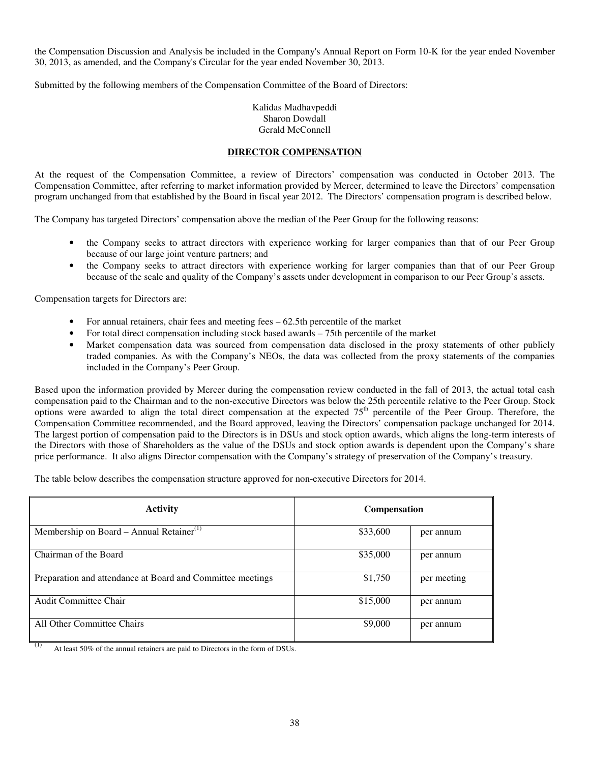the Compensation Discussion and Analysis be included in the Company's Annual Report on Form 10-K for the year ended November 30, 2013, as amended, and the Company's Circular for the year ended November 30, 2013.

Submitted by the following members of the Compensation Committee of the Board of Directors:

Kalidas Madhavpeddi Sharon Dowdall Gerald McConnell

## **DIRECTOR COMPENSATION**

At the request of the Compensation Committee, a review of Directors' compensation was conducted in October 2013. The Compensation Committee, after referring to market information provided by Mercer, determined to leave the Directors' compensation program unchanged from that established by the Board in fiscal year 2012. The Directors' compensation program is described below.

The Company has targeted Directors' compensation above the median of the Peer Group for the following reasons:

- the Company seeks to attract directors with experience working for larger companies than that of our Peer Group because of our large joint venture partners; and
- the Company seeks to attract directors with experience working for larger companies than that of our Peer Group because of the scale and quality of the Company's assets under development in comparison to our Peer Group's assets.

Compensation targets for Directors are:

- For annual retainers, chair fees and meeting fees 62.5th percentile of the market
- For total direct compensation including stock based awards 75th percentile of the market
- Market compensation data was sourced from compensation data disclosed in the proxy statements of other publicly traded companies. As with the Company's NEOs, the data was collected from the proxy statements of the companies included in the Company's Peer Group.

Based upon the information provided by Mercer during the compensation review conducted in the fall of 2013, the actual total cash compensation paid to the Chairman and to the non-executive Directors was below the 25th percentile relative to the Peer Group. Stock options were awarded to align the total direct compensation at the expected 75<sup>th</sup> percentile of the Peer Group. Therefore, the Compensation Committee recommended, and the Board approved, leaving the Directors' compensation package unchanged for 2014. The largest portion of compensation paid to the Directors is in DSUs and stock option awards, which aligns the long-term interests of the Directors with those of Shareholders as the value of the DSUs and stock option awards is dependent upon the Company's share price performance. It also aligns Director compensation with the Company's strategy of preservation of the Company's treasury.

The table below describes the compensation structure approved for non-executive Directors for 2014.

| <b>Activity</b>                                            | <b>Compensation</b> |             |  |  |  |
|------------------------------------------------------------|---------------------|-------------|--|--|--|
| Membership on Board – Annual Retainer <sup>(1)</sup>       | \$33,600            | per annum   |  |  |  |
| Chairman of the Board                                      | \$35,000            | per annum   |  |  |  |
| Preparation and attendance at Board and Committee meetings | \$1,750             | per meeting |  |  |  |
| Audit Committee Chair                                      | \$15,000            | per annum   |  |  |  |
| All Other Committee Chairs                                 | \$9,000             | per annum   |  |  |  |

 $(1)$  At least 50% of the annual retainers are paid to Directors in the form of DSUs.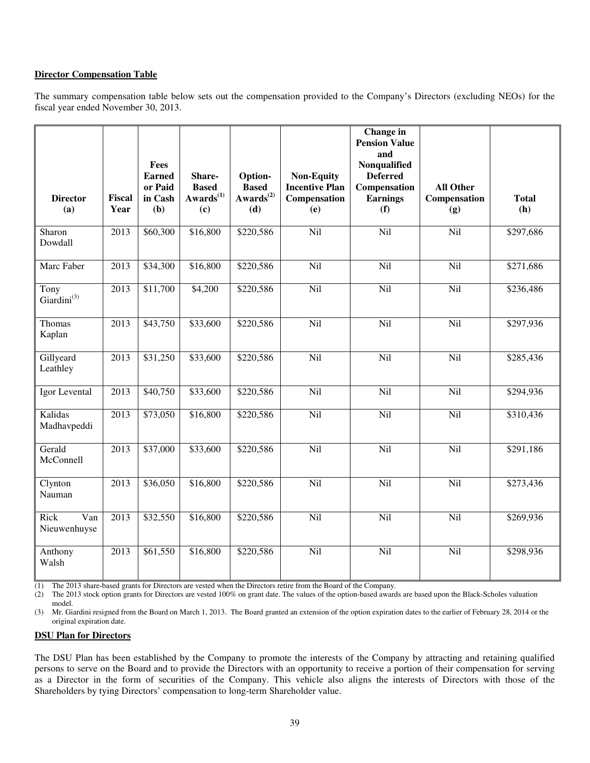## **Director Compensation Table**

The summary compensation table below sets out the compensation provided to the Company's Directors (excluding NEOs) for the fiscal year ended November 30, 2013.

| <b>Director</b><br>(a)          | <b>Fiscal</b><br>Year | Fees<br><b>Earned</b><br>or Paid<br>in Cash<br>(b) | Share-<br><b>Based</b><br>$Awards^{(1)}$<br>(c) | Option-<br><b>Based</b><br>$Awards^{(2)}$<br>(d) | <b>Non-Equity</b><br><b>Incentive Plan</b><br>Compensation<br>(e) | Change in<br><b>Pension Value</b><br>and<br>Nonqualified<br><b>Deferred</b><br>Compensation<br><b>Earnings</b><br>(f) | <b>All Other</b><br>Compensation<br>(g) | <b>Total</b><br>(h) |
|---------------------------------|-----------------------|----------------------------------------------------|-------------------------------------------------|--------------------------------------------------|-------------------------------------------------------------------|-----------------------------------------------------------------------------------------------------------------------|-----------------------------------------|---------------------|
| Sharon<br>Dowdall               | 2013                  | \$60,300                                           | \$16,800                                        | \$220,586                                        | Nil                                                               | Nil                                                                                                                   | Nil                                     | \$297,686           |
| Marc Faber                      | 2013                  | \$34,300                                           | \$16,800                                        | \$220,586                                        | Nil                                                               | Nil                                                                                                                   | Nil                                     | \$271,686           |
| Tony<br>Giardini <sup>(3)</sup> | $\overline{20}13$     | \$11,700                                           | \$4,200                                         | \$220,586                                        | Nil                                                               | Nil                                                                                                                   | Nil                                     | \$236,486           |
| Thomas<br>Kaplan                | 2013                  | \$43,750                                           | \$33,600                                        | \$220,586                                        | Nil                                                               | Nil                                                                                                                   | Nil                                     | \$297,936           |
| Gillyeard<br>Leathley           | 2013                  | \$31,250                                           | \$33,600                                        | \$220,586                                        | Nil                                                               | Nil                                                                                                                   | Nil                                     | \$285,436           |
| Igor Levental                   | 2013                  | \$40,750                                           | \$33,600                                        | \$220,586                                        | Nil                                                               | Nil                                                                                                                   | Nil                                     | \$294,936           |
| Kalidas<br>Madhavpeddi          | 2013                  | \$73,050                                           | \$16,800                                        | \$220,586                                        | Nil                                                               | Nil                                                                                                                   | Nil                                     | \$310,436           |
| Gerald<br>McConnell             | 2013                  | \$37,000                                           | \$33,600                                        | \$220,586                                        | Nil                                                               | Nil                                                                                                                   | Nil                                     | \$291,186           |
| Clynton<br>Nauman               | 2013                  | \$36,050                                           | \$16,800                                        | \$220,586                                        | Nil                                                               | <b>Nil</b>                                                                                                            | Nil                                     | \$273,436           |
| Rick<br>Van<br>Nieuwenhuyse     | 2013                  | \$32,550                                           | \$16,800                                        | \$220,586                                        | Nil                                                               | Nil                                                                                                                   | Nil                                     | \$269,936           |
| Anthony<br>Walsh                | 2013                  | \$61,550                                           | \$16,800                                        | \$220,586                                        | Nil                                                               | Nil                                                                                                                   | Nil                                     | \$298,936           |

(1) The 2013 share-based grants for Directors are vested when the Directors retire from the Board of the Company.

(2) The 2013 stock option grants for Directors are vested 100% on grant date. The values of the option-based awards are based upon the Black-Scholes valuation model.

(3) Mr. Giardini resigned from the Board on March 1, 2013. The Board granted an extension of the option expiration dates to the earlier of February 28, 2014 or the original expiration date.

#### **DSU Plan for Directors**

The DSU Plan has been established by the Company to promote the interests of the Company by attracting and retaining qualified persons to serve on the Board and to provide the Directors with an opportunity to receive a portion of their compensation for serving as a Director in the form of securities of the Company. This vehicle also aligns the interests of Directors with those of the Shareholders by tying Directors' compensation to long-term Shareholder value.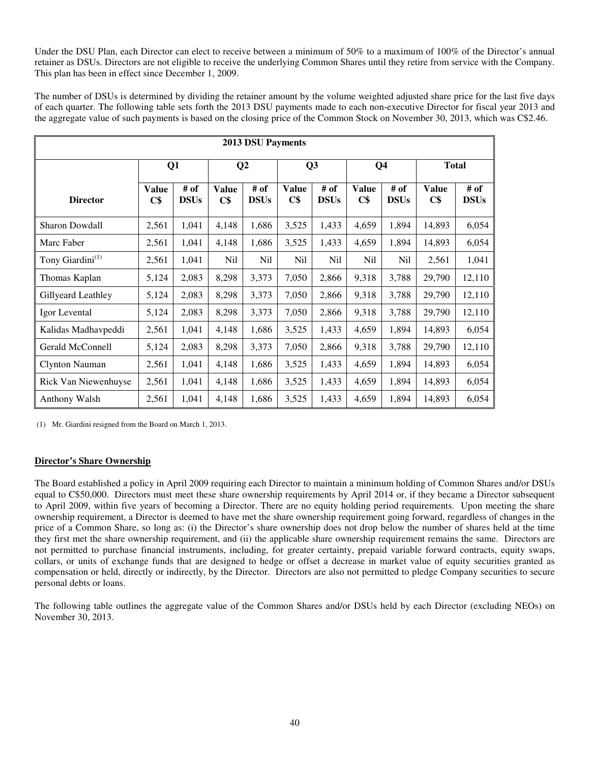Under the DSU Plan, each Director can elect to receive between a minimum of 50% to a maximum of 100% of the Director's annual retainer as DSUs. Directors are not eligible to receive the underlying Common Shares until they retire from service with the Company. This plan has been in effect since December 1, 2009.

The number of DSUs is determined by dividing the retainer amount by the volume weighted adjusted share price for the last five days of each quarter. The following table sets forth the 2013 DSU payments made to each non-executive Director for fiscal year 2013 and the aggregate value of such payments is based on the closing price of the Common Stock on November 30, 2013, which was C\$2.46.

| <b>2013 DSU Payments</b>     |                     |                     |                     |                     |                     |                     |                     |                     |                     |                     |
|------------------------------|---------------------|---------------------|---------------------|---------------------|---------------------|---------------------|---------------------|---------------------|---------------------|---------------------|
|                              |                     | Q1                  |                     | $\bf Q2$            |                     | Q <sub>3</sub>      | Q <sub>4</sub>      |                     | <b>Total</b>        |                     |
| <b>Director</b>              | <b>Value</b><br>C\$ | # of<br><b>DSUs</b> | <b>Value</b><br>C\$ | # of<br><b>DSUs</b> | <b>Value</b><br>C\$ | # of<br><b>DSUs</b> | <b>Value</b><br>C\$ | # of<br><b>DSUs</b> | <b>Value</b><br>C\$ | # of<br><b>DSUs</b> |
| Sharon Dowdall               | 2,561               | 1,041               | 4,148               | 1,686               | 3,525               | 1,433               | 4,659               | 1,894               | 14,893              | 6,054               |
| Marc Faber                   | 2,561               | 1,041               | 4,148               | 1,686               | 3,525               | 1,433               | 4,659               | 1,894               | 14,893              | 6,054               |
| Tony Giardini <sup>(1)</sup> | 2,561               | 1,041               | Nil                 | Nil                 | Nil                 | Nil                 | Nil                 | N <sub>il</sub>     | 2,561               | 1,041               |
| Thomas Kaplan                | 5,124               | 2,083               | 8,298               | 3,373               | 7,050               | 2,866               | 9,318               | 3,788               | 29,790              | 12,110              |
| Gillyeard Leathley           | 5,124               | 2,083               | 8,298               | 3,373               | 7,050               | 2,866               | 9,318               | 3,788               | 29,790              | 12,110              |
| Igor Levental                | 5,124               | 2,083               | 8,298               | 3,373               | 7,050               | 2,866               | 9,318               | 3,788               | 29,790              | 12,110              |
| Kalidas Madhavpeddi          | 2,561               | 1,041               | 4,148               | 1,686               | 3,525               | 1,433               | 4,659               | 1,894               | 14,893              | 6,054               |
| Gerald McConnell             | 5,124               | 2,083               | 8,298               | 3,373               | 7,050               | 2,866               | 9,318               | 3,788               | 29,790              | 12,110              |
| Clynton Nauman               | 2,561               | 1,041               | 4,148               | 1,686               | 3,525               | 1,433               | 4,659               | 1,894               | 14,893              | 6,054               |
| Rick Van Niewenhuyse         | 2,561               | 1,041               | 4,148               | 1,686               | 3,525               | 1,433               | 4,659               | 1,894               | 14,893              | 6,054               |
| <b>Anthony Walsh</b>         | 2,561               | 1,041               | 4,148               | 1,686               | 3,525               | 1,433               | 4,659               | 1,894               | 14,893              | 6,054               |

(1) Mr. Giardini resigned from the Board on March 1, 2013.

## **Director's Share Ownership**

The Board established a policy in April 2009 requiring each Director to maintain a minimum holding of Common Shares and/or DSUs equal to C\$50,000. Directors must meet these share ownership requirements by April 2014 or, if they became a Director subsequent to April 2009, within five years of becoming a Director. There are no equity holding period requirements. Upon meeting the share ownership requirement, a Director is deemed to have met the share ownership requirement going forward, regardless of changes in the price of a Common Share, so long as: (i) the Director's share ownership does not drop below the number of shares held at the time they first met the share ownership requirement, and (ii) the applicable share ownership requirement remains the same. Directors are not permitted to purchase financial instruments, including, for greater certainty, prepaid variable forward contracts, equity swaps, collars, or units of exchange funds that are designed to hedge or offset a decrease in market value of equity securities granted as compensation or held, directly or indirectly, by the Director. Directors are also not permitted to pledge Company securities to secure personal debts or loans.

The following table outlines the aggregate value of the Common Shares and/or DSUs held by each Director (excluding NEOs) on November 30, 2013.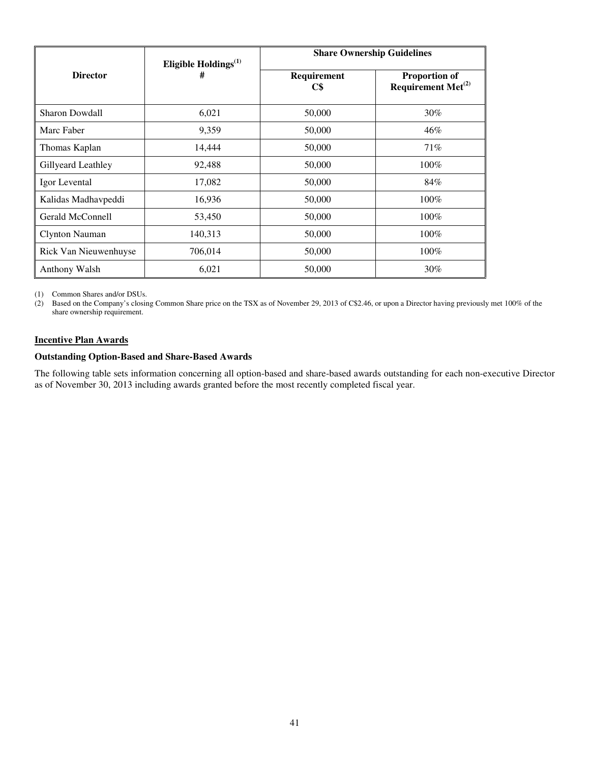|                       | Eligible Holdings <sup>(1)</sup> | <b>Share Ownership Guidelines</b> |                                                  |  |  |  |
|-----------------------|----------------------------------|-----------------------------------|--------------------------------------------------|--|--|--|
| <b>Director</b>       | #                                | Requirement<br>C\$                | <b>Proportion of</b><br>Requirement Met $^{(2)}$ |  |  |  |
| <b>Sharon Dowdall</b> | 6,021                            | 50,000                            | $30\%$                                           |  |  |  |
| Marc Faber            | 9,359                            | 50,000                            | 46%                                              |  |  |  |
| Thomas Kaplan         | 14,444                           | 50,000                            | 71%                                              |  |  |  |
| Gillyeard Leathley    | 92,488                           | 50,000                            | $100\%$                                          |  |  |  |
| Igor Levental         | 17,082                           | 50,000                            | 84%                                              |  |  |  |
| Kalidas Madhavpeddi   | 16,936                           | 50,000                            | 100%                                             |  |  |  |
| Gerald McConnell      | 53,450                           | 50,000                            | 100%                                             |  |  |  |
| <b>Clynton Nauman</b> | 140,313                          | 50,000                            | 100%                                             |  |  |  |
| Rick Van Nieuwenhuyse | 706,014                          | 50,000                            | 100%                                             |  |  |  |
| Anthony Walsh         | 6,021                            | 50,000                            | 30%                                              |  |  |  |

(1) Common Shares and/or DSUs.<br>(2) Based on the Company's closin

Based on the Company's closing Common Share price on the TSX as of November 29, 2013 of C\$2.46, or upon a Director having previously met 100% of the share ownership requirement.

## **Incentive Plan Awards**

# **Outstanding Option-Based and Share-Based Awards**

The following table sets information concerning all option-based and share-based awards outstanding for each non-executive Director as of November 30, 2013 including awards granted before the most recently completed fiscal year.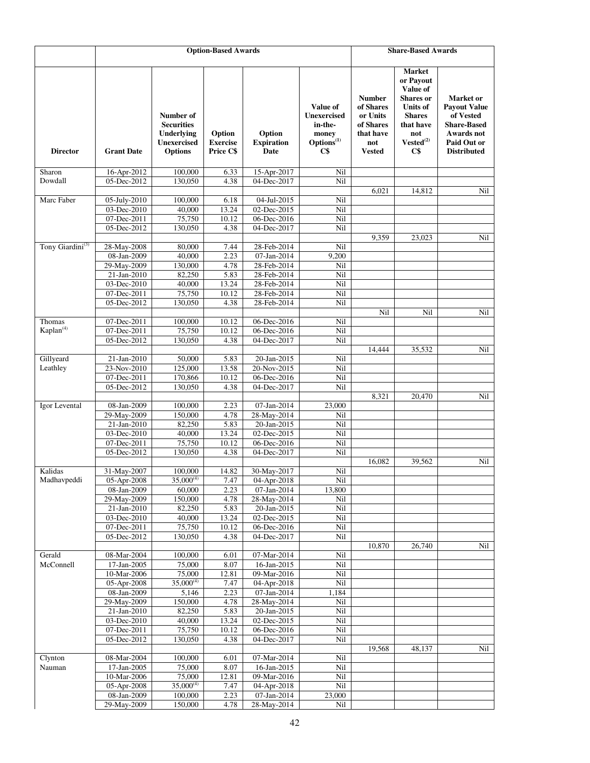|                              |                                  |                                                                               | <b>Option-Based Awards</b>             |                                     |                                                                                     | <b>Share-Based Awards</b>                                                                |                                                                                                                                             |                                                                                                                        |
|------------------------------|----------------------------------|-------------------------------------------------------------------------------|----------------------------------------|-------------------------------------|-------------------------------------------------------------------------------------|------------------------------------------------------------------------------------------|---------------------------------------------------------------------------------------------------------------------------------------------|------------------------------------------------------------------------------------------------------------------------|
| <b>Director</b>              | <b>Grant Date</b>                | Number of<br><b>Securities</b><br>Underlying<br>Unexercised<br><b>Options</b> | Option<br><b>Exercise</b><br>Price C\$ | Option<br><b>Expiration</b><br>Date | Value of<br><b>Unexercised</b><br>in-the-<br>money<br>Options <sup>(1)</sup><br>C\$ | <b>Number</b><br>of Shares<br>or Units<br>of Shares<br>that have<br>not<br><b>Vested</b> | <b>Market</b><br>or Payout<br>Value of<br><b>Shares</b> or<br><b>Units of</b><br><b>Shares</b><br>that have<br>not<br>$Vested^{(2)}$<br>C\$ | Market or<br><b>Payout Value</b><br>of Vested<br><b>Share-Based</b><br>Awards not<br>Paid Out or<br><b>Distributed</b> |
| Sharon                       | 16-Apr-2012                      | 100,000                                                                       | 6.33                                   | 15-Apr-2017                         | Nil                                                                                 |                                                                                          |                                                                                                                                             |                                                                                                                        |
| Dowdall                      | 05-Dec-2012                      | 130,050                                                                       | 4.38                                   | 04-Dec-2017                         | Nil                                                                                 |                                                                                          |                                                                                                                                             |                                                                                                                        |
| Marc Faber                   | 05-July-2010                     | 100,000                                                                       | 6.18                                   | 04-Jul-2015                         | Nil                                                                                 | 6,021                                                                                    | 14,812                                                                                                                                      | Nil                                                                                                                    |
|                              | 03-Dec-2010                      | 40,000                                                                        | 13.24                                  | $02 - Dec - 2015$                   | Nil                                                                                 |                                                                                          |                                                                                                                                             |                                                                                                                        |
|                              | 07-Dec-2011                      | 75,750                                                                        | 10.12                                  | 06-Dec-2016                         | Nil                                                                                 |                                                                                          |                                                                                                                                             |                                                                                                                        |
|                              | 05-Dec-2012                      | 130,050                                                                       | 4.38                                   | 04-Dec-2017                         | Nil                                                                                 |                                                                                          |                                                                                                                                             |                                                                                                                        |
| Tony Giardini <sup>(3)</sup> | 28-May-2008                      | 80,000                                                                        | 7.44                                   | 28-Feb-2014                         | Nil                                                                                 | 9,359                                                                                    | 23,023                                                                                                                                      | Nil                                                                                                                    |
|                              | 08-Jan-2009                      | 40,000                                                                        | 2.23                                   | 07-Jan-2014                         | 9,200                                                                               |                                                                                          |                                                                                                                                             |                                                                                                                        |
|                              | 29-May-2009                      | 130,000                                                                       | 4.78                                   | 28-Feb-2014                         | Nil                                                                                 |                                                                                          |                                                                                                                                             |                                                                                                                        |
|                              | 21-Jan-2010                      | 82,250                                                                        | 5.83                                   | 28-Feb-2014                         | Nil                                                                                 |                                                                                          |                                                                                                                                             |                                                                                                                        |
|                              | 03-Dec-2010                      | 40,000                                                                        | 13.24                                  | 28-Feb-2014                         | Nil                                                                                 |                                                                                          |                                                                                                                                             |                                                                                                                        |
|                              | 07-Dec-2011<br>05-Dec-2012       | 75,750<br>130,050                                                             | 10.12<br>4.38                          | 28-Feb-2014<br>28-Feb-2014          | Nil<br>Nil                                                                          |                                                                                          |                                                                                                                                             |                                                                                                                        |
|                              |                                  |                                                                               |                                        |                                     |                                                                                     | Nil                                                                                      | Nil                                                                                                                                         | Nil                                                                                                                    |
| Thomas                       | 07-Dec-2011                      | 100,000                                                                       | 10.12                                  | 06-Dec-2016                         | Nil                                                                                 |                                                                                          |                                                                                                                                             |                                                                                                                        |
| Kaplan <sup>(4)</sup>        | $07 - Dec - 2011$                | 75,750                                                                        | 10.12                                  | 06-Dec-2016                         | Nil                                                                                 |                                                                                          |                                                                                                                                             |                                                                                                                        |
|                              | 05-Dec-2012                      | 130,050                                                                       | 4.38                                   | 04-Dec-2017                         | Nil                                                                                 | 14,444                                                                                   | 35,532                                                                                                                                      | Nil                                                                                                                    |
| Gillyeard                    | 21-Jan-2010                      | 50,000                                                                        | 5.83                                   | 20-Jan-2015                         | Nil                                                                                 |                                                                                          |                                                                                                                                             |                                                                                                                        |
| Leathley                     | 23-Nov-2010                      | 125,000                                                                       | 13.58                                  | 20-Nov-2015                         | Nil                                                                                 |                                                                                          |                                                                                                                                             |                                                                                                                        |
|                              | 07-Dec-2011                      | 170,866                                                                       | 10.12                                  | 06-Dec-2016                         | Nil                                                                                 |                                                                                          |                                                                                                                                             |                                                                                                                        |
|                              | 05-Dec-2012                      | 130,050                                                                       | 4.38                                   | 04-Dec-2017                         | Nil                                                                                 |                                                                                          |                                                                                                                                             |                                                                                                                        |
| Igor Levental                | 08-Jan-2009                      | 100,000                                                                       | 2.23                                   | 07-Jan-2014                         | 23,000                                                                              | 8,321                                                                                    | 20,470                                                                                                                                      | Nil                                                                                                                    |
|                              | 29-May-2009                      | 150,000                                                                       | 4.78                                   | 28-May-2014                         | Nil                                                                                 |                                                                                          |                                                                                                                                             |                                                                                                                        |
|                              | 21-Jan-2010                      | 82,250                                                                        | 5.83                                   | 20-Jan-2015                         | Nil                                                                                 |                                                                                          |                                                                                                                                             |                                                                                                                        |
|                              | 03-Dec-2010                      | 40,000                                                                        | 13.24                                  | 02-Dec-2015                         | Nil                                                                                 |                                                                                          |                                                                                                                                             |                                                                                                                        |
|                              | 07-Dec-2011                      | 75,750                                                                        | 10.12                                  | 06-Dec-2016                         | Nil                                                                                 |                                                                                          |                                                                                                                                             |                                                                                                                        |
|                              | 05-Dec-2012                      | 130,050                                                                       | 4.38                                   | 04-Dec-2017                         | Nil                                                                                 | 16,082                                                                                   | 39,562                                                                                                                                      | Nil                                                                                                                    |
| Kalidas                      | 31-May-2007                      | 100,000                                                                       | 14.82                                  | 30-May-2017                         | Nil                                                                                 |                                                                                          |                                                                                                                                             |                                                                                                                        |
| Madhavpeddi                  | 05-Apr-2008                      | $35,000^{(4)}$                                                                | 7.47                                   | 04-Apr-2018                         | Nil                                                                                 |                                                                                          |                                                                                                                                             |                                                                                                                        |
|                              | 08-Jan-2009                      | 60,000                                                                        | 2.23                                   | 07-Jan-2014                         | 13,800                                                                              |                                                                                          |                                                                                                                                             |                                                                                                                        |
|                              | 29-May-2009                      | 150,000                                                                       | 4.78                                   | 28-May-2014                         | Nil                                                                                 |                                                                                          |                                                                                                                                             |                                                                                                                        |
|                              | 21-Jan-2010<br>03-Dec-2010       | 82,250<br>40,000                                                              | 5.83<br>13.24                          | 20-Jan-2015<br>02-Dec-2015          | Nil<br>Nil                                                                          |                                                                                          |                                                                                                                                             |                                                                                                                        |
|                              | 07-Dec-2011                      | 75,750                                                                        | 10.12                                  | 06-Dec-2016                         | Nil                                                                                 |                                                                                          |                                                                                                                                             |                                                                                                                        |
|                              | 05-Dec-2012                      | 130,050                                                                       | 4.38                                   | 04-Dec-2017                         | Nil                                                                                 |                                                                                          |                                                                                                                                             |                                                                                                                        |
|                              |                                  |                                                                               |                                        |                                     |                                                                                     | 10,870                                                                                   | 26,740                                                                                                                                      | Nil                                                                                                                    |
| Gerald<br>McConnell          | 08-Mar-2004                      | 100,000                                                                       | 6.01                                   | 07-Mar-2014                         | Nil                                                                                 |                                                                                          |                                                                                                                                             |                                                                                                                        |
|                              | $17 - Jan - 2005$<br>10-Mar-2006 | 75,000<br>75,000                                                              | 8.07<br>12.81                          | 16-Jan-2015<br>09-Mar-2016          | Nil<br>Nil                                                                          |                                                                                          |                                                                                                                                             |                                                                                                                        |
|                              | 05-Apr-2008                      | $35,000^{(4)}$                                                                | 7.47                                   | 04-Apr-2018                         | Nil                                                                                 |                                                                                          |                                                                                                                                             |                                                                                                                        |
|                              | 08-Jan-2009                      | 5,146                                                                         | 2.23                                   | 07-Jan-2014                         | 1,184                                                                               |                                                                                          |                                                                                                                                             |                                                                                                                        |
|                              | 29-May-2009                      | 150,000                                                                       | 4.78                                   | 28-May-2014                         | Nil                                                                                 |                                                                                          |                                                                                                                                             |                                                                                                                        |
|                              | 21-Jan-2010<br>03-Dec-2010       | 82,250<br>40,000                                                              | 5.83<br>13.24                          | 20-Jan-2015<br>02-Dec-2015          | Nil<br>Nil                                                                          |                                                                                          |                                                                                                                                             |                                                                                                                        |
|                              | 07-Dec-2011                      | 75,750                                                                        | 10.12                                  | 06-Dec-2016                         | Nil                                                                                 |                                                                                          |                                                                                                                                             |                                                                                                                        |
|                              | 05-Dec-2012                      | 130,050                                                                       | 4.38                                   | $04 - Dec - 2017$                   | Nil                                                                                 |                                                                                          |                                                                                                                                             |                                                                                                                        |
|                              |                                  |                                                                               |                                        |                                     |                                                                                     | 19,568                                                                                   | 48,137                                                                                                                                      | Nil                                                                                                                    |
| Clynton                      | 08-Mar-2004                      | 100,000                                                                       | 6.01                                   | 07-Mar-2014                         | Nil                                                                                 |                                                                                          |                                                                                                                                             |                                                                                                                        |
| Nauman                       | 17-Jan-2005                      | 75,000                                                                        | 8.07                                   | 16-Jan-2015                         | Nil                                                                                 |                                                                                          |                                                                                                                                             |                                                                                                                        |
|                              | 10-Mar-2006<br>05-Apr-2008       | 75,000<br>$35,000^{(4)}$                                                      | 12.81<br>7.47                          | 09-Mar-2016<br>04-Apr-2018          | Nil<br>Nil                                                                          |                                                                                          |                                                                                                                                             |                                                                                                                        |
|                              | 08-Jan-2009                      | 100,000                                                                       | 2.23                                   | 07-Jan-2014                         | 23,000                                                                              |                                                                                          |                                                                                                                                             |                                                                                                                        |
|                              | 29-May-2009                      | 150,000                                                                       | 4.78                                   | 28-May-2014                         | Nil                                                                                 |                                                                                          |                                                                                                                                             |                                                                                                                        |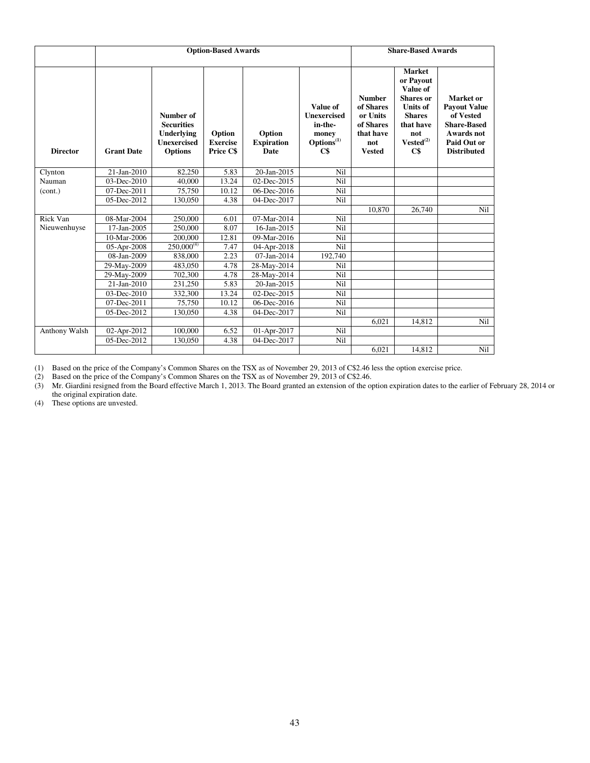|                 |                           |                                                                                             | <b>Option-Based Awards</b>             |                                     |                                                                                                                   | <b>Share-Based Awards</b>                                                                |                                                                                                                                                      |                                                                                                                               |
|-----------------|---------------------------|---------------------------------------------------------------------------------------------|----------------------------------------|-------------------------------------|-------------------------------------------------------------------------------------------------------------------|------------------------------------------------------------------------------------------|------------------------------------------------------------------------------------------------------------------------------------------------------|-------------------------------------------------------------------------------------------------------------------------------|
| <b>Director</b> | <b>Grant Date</b>         | Number of<br><b>Securities</b><br><b>Underlying</b><br><b>Unexercised</b><br><b>Options</b> | Option<br><b>Exercise</b><br>Price C\$ | Option<br><b>Expiration</b><br>Date | Value of<br><b>Unexercised</b><br>in-the-<br>money<br>$\overrightarrow{\mathrm{Options}}^{(1)}$<br>$\mathbf{C}\$$ | <b>Number</b><br>of Shares<br>or Units<br>of Shares<br>that have<br>not<br><b>Vested</b> | <b>Market</b><br>or Payout<br>Value of<br><b>Shares</b> or<br><b>Units of</b><br><b>Shares</b><br>that have<br>not<br>$\mathbf{Vested}^{(2)}$<br>C\$ | Market or<br><b>Payout Value</b><br>of Vested<br><b>Share-Based</b><br><b>Awards</b> not<br>Paid Out or<br><b>Distributed</b> |
| Clynton         | 21-Jan-2010               | 82,250                                                                                      | 5.83                                   | 20-Jan-2015                         | Nil                                                                                                               |                                                                                          |                                                                                                                                                      |                                                                                                                               |
| Nauman          | $\overline{03}$ -Dec-2010 | 40,000                                                                                      | 13.24                                  | 02-Dec-2015                         | Nil                                                                                                               |                                                                                          |                                                                                                                                                      |                                                                                                                               |
| (cont.)         | 07-Dec-2011               | 75,750                                                                                      | 10.12                                  | 06-Dec-2016                         | Nil                                                                                                               |                                                                                          |                                                                                                                                                      |                                                                                                                               |
|                 | 05-Dec-2012               | 130,050                                                                                     | 4.38                                   | 04-Dec-2017                         | Nil                                                                                                               |                                                                                          |                                                                                                                                                      |                                                                                                                               |
|                 |                           |                                                                                             |                                        |                                     |                                                                                                                   | 10,870                                                                                   | 26,740                                                                                                                                               | Nil                                                                                                                           |
| Rick Van        | 08-Mar-2004               | 250,000                                                                                     | 6.01                                   | 07-Mar-2014                         | Nil                                                                                                               |                                                                                          |                                                                                                                                                      |                                                                                                                               |
| Nieuwenhuyse    | 17-Jan-2005               | 250,000                                                                                     | 8.07                                   | 16-Jan-2015                         | Nil                                                                                                               |                                                                                          |                                                                                                                                                      |                                                                                                                               |
|                 | 10-Mar-2006               | 200,000                                                                                     | 12.81                                  | 09-Mar-2016                         | Nil                                                                                                               |                                                                                          |                                                                                                                                                      |                                                                                                                               |
|                 | 05-Apr-2008               | $250,000^{(4)}$                                                                             | 7.47                                   | 04-Apr-2018                         | Nil                                                                                                               |                                                                                          |                                                                                                                                                      |                                                                                                                               |
|                 | 08-Jan-2009               | 838,000                                                                                     | 2.23                                   | 07-Jan-2014                         | 192,740                                                                                                           |                                                                                          |                                                                                                                                                      |                                                                                                                               |
|                 | 29-May-2009               | 483,050                                                                                     | 4.78                                   | 28-May-2014                         | Nil                                                                                                               |                                                                                          |                                                                                                                                                      |                                                                                                                               |
|                 | 29-May-2009               | 702,300                                                                                     | 4.78                                   | 28-May-2014                         | Nil                                                                                                               |                                                                                          |                                                                                                                                                      |                                                                                                                               |
|                 | 21-Jan-2010               | 231,250                                                                                     | 5.83                                   | 20-Jan-2015                         | Nil                                                                                                               |                                                                                          |                                                                                                                                                      |                                                                                                                               |
|                 | $03$ -Dec-2010            | 332,300                                                                                     | 13.24                                  | 02-Dec-2015                         | Nil                                                                                                               |                                                                                          |                                                                                                                                                      |                                                                                                                               |
|                 | 07-Dec-2011               | 75,750                                                                                      | 10.12                                  | 06-Dec-2016                         | Nil                                                                                                               |                                                                                          |                                                                                                                                                      |                                                                                                                               |
|                 | 05-Dec-2012               | 130,050                                                                                     | 4.38                                   | 04-Dec-2017                         | Nil                                                                                                               |                                                                                          |                                                                                                                                                      |                                                                                                                               |
|                 |                           |                                                                                             |                                        |                                     |                                                                                                                   | 6,021                                                                                    | 14,812                                                                                                                                               | Nil                                                                                                                           |
| Anthony Walsh   | 02-Apr-2012               | 100,000                                                                                     | 6.52                                   | 01-Apr-2017                         | Nil                                                                                                               |                                                                                          |                                                                                                                                                      |                                                                                                                               |
|                 | 05-Dec-2012               | 130,050                                                                                     | 4.38                                   | 04-Dec-2017                         | Nil                                                                                                               |                                                                                          |                                                                                                                                                      |                                                                                                                               |
|                 |                           |                                                                                             |                                        |                                     |                                                                                                                   | 6.021                                                                                    | 14.812                                                                                                                                               | Nil                                                                                                                           |

(1) Based on the price of the Company's Common Shares on the TSX as of November 29, 2013 of C\$2.46 less the option exercise price.

(2) Based on the price of the Company's Common Shares on the TSX as of November 29, 2013 of C\$2.46.

(3) Mr. Giardini resigned from the Board effective March 1, 2013. The Board granted an extension of the option expiration dates to the earlier of February 28, 2014 or the original expiration date.

(4) These options are unvested.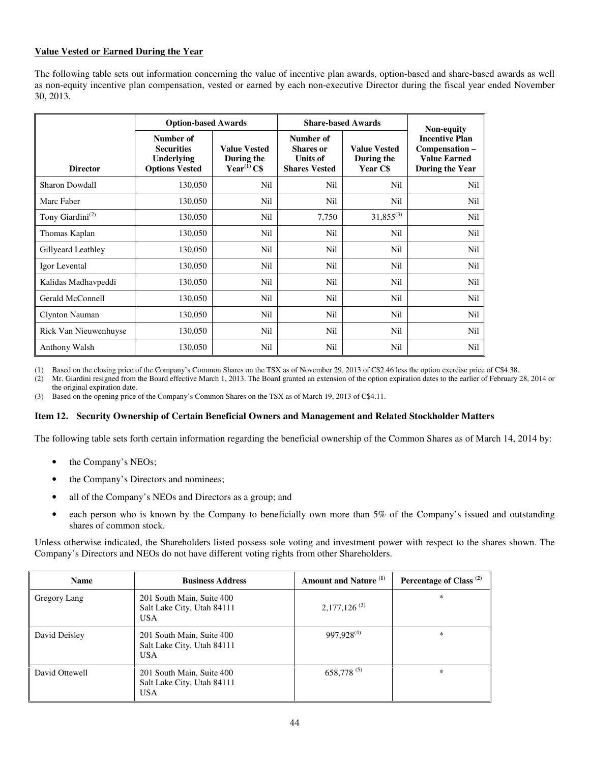## **Value Vested or Earned During the Year**

The following table sets out information concerning the value of incentive plan awards, option-based and share-based awards as well as non-equity incentive plan compensation, vested or earned by each non-executive Director during the fiscal year ended November 30, 2013.

| <b>Option-based Awards</b>   |                                                                       |                                                        |                                                                          | <b>Share-based Awards</b>                     | Non-equity                                                                        |
|------------------------------|-----------------------------------------------------------------------|--------------------------------------------------------|--------------------------------------------------------------------------|-----------------------------------------------|-----------------------------------------------------------------------------------|
| <b>Director</b>              | Number of<br><b>Securities</b><br>Underlying<br><b>Options Vested</b> | <b>Value Vested</b><br>During the<br>Year $^{(1)}$ C\$ | Number of<br><b>Shares</b> or<br><b>Units of</b><br><b>Shares Vested</b> | <b>Value Vested</b><br>During the<br>Year C\$ | <b>Incentive Plan</b><br>Compensation -<br><b>Value Earned</b><br>During the Year |
| <b>Sharon Dowdall</b>        | 130,050                                                               | Nil                                                    | Nil                                                                      | Nil                                           | Nil                                                                               |
| Marc Faber                   | 130,050                                                               | Nil                                                    | Nil                                                                      | Nil                                           | Nil                                                                               |
| Tony Giardini <sup>(2)</sup> | 130,050                                                               | Nil                                                    | 7,750                                                                    | $31,855^{(3)}$                                | Nil                                                                               |
| Thomas Kaplan                | 130,050                                                               | Nil                                                    | Nil                                                                      | Nil                                           | Nil                                                                               |
| Gillyeard Leathley           | 130,050                                                               | Nil                                                    | Nil                                                                      | Nil                                           | Nil                                                                               |
| Igor Levental                | 130,050                                                               | Nil                                                    | Nil                                                                      | Nil                                           | Nil                                                                               |
| Kalidas Madhavpeddi          | 130,050                                                               | Nil                                                    | Nil                                                                      | Nil                                           | Nil                                                                               |
| Gerald McConnell             | 130,050                                                               | Nil                                                    | Nil                                                                      | Nil                                           | Nil                                                                               |
| <b>Clynton Nauman</b>        | 130,050                                                               | <b>Nil</b>                                             | Nil                                                                      | Nil                                           | Nil                                                                               |
| Rick Van Nieuwenhuyse        | 130,050                                                               | Nil                                                    | Nil                                                                      | Nil                                           | Nil                                                                               |
| Anthony Walsh                | 130,050                                                               | Nil                                                    | <b>Nil</b>                                                               | Nil                                           | Nil                                                                               |

(1) Based on the closing price of the Company's Common Shares on the TSX as of November 29, 2013 of C\$2.46 less the option exercise price of C\$4.38.

(2) Mr. Giardini resigned from the Board effective March 1, 2013. The Board granted an extension of the option expiration dates to the earlier of February 28, 2014 or the original expiration date.

(3) Based on the opening price of the Company's Common Shares on the TSX as of March 19, 2013 of C\$4.11.

#### **Item 12. Security Ownership of Certain Beneficial Owners and Management and Related Stockholder Matters**

The following table sets forth certain information regarding the beneficial ownership of the Common Shares as of March 14, 2014 by:

- the Company's NEOs;
- the Company's Directors and nominees;
- all of the Company's NEOs and Directors as a group; and
- each person who is known by the Company to beneficially own more than 5% of the Company's issued and outstanding shares of common stock.

Unless otherwise indicated, the Shareholders listed possess sole voting and investment power with respect to the shares shown. The Company's Directors and NEOs do not have different voting rights from other Shareholders.

| <b>Name</b>    | <b>Business Address</b>                                               | Amount and Nature <sup>(1)</sup> | Percentage of Class <sup>(2)</sup> |
|----------------|-----------------------------------------------------------------------|----------------------------------|------------------------------------|
| Gregory Lang   | 201 South Main, Suite 400<br>Salt Lake City, Utah 84111<br><b>USA</b> | $2,177,126^{(3)}$                | $\ast$                             |
| David Deisley  | 201 South Main, Suite 400<br>Salt Lake City, Utah 84111<br><b>USA</b> | 997,928 <sup>(4)</sup>           | $\ast$                             |
| David Ottewell | 201 South Main, Suite 400<br>Salt Lake City, Utah 84111<br><b>USA</b> | $658,778^{(5)}$                  | $\ast$                             |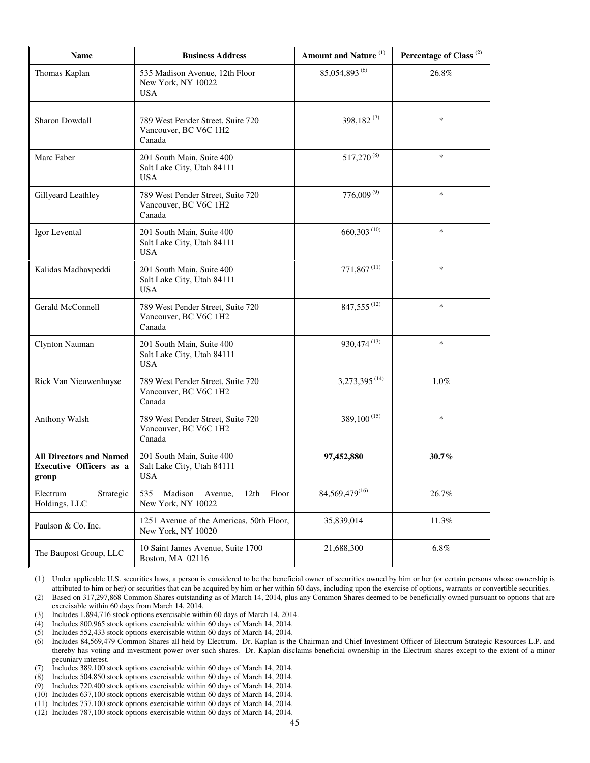| Name                                                               | <b>Business Address</b>                                               | Amount and Nature <sup>(1)</sup> | Percentage of Class <sup>(2)</sup> |
|--------------------------------------------------------------------|-----------------------------------------------------------------------|----------------------------------|------------------------------------|
| Thomas Kaplan                                                      | 535 Madison Avenue, 12th Floor<br>New York, NY 10022<br>USA           | 85,054,893 <sup>(6)</sup>        | 26.8%                              |
| Sharon Dowdall                                                     | 789 West Pender Street, Suite 720<br>Vancouver, BC V6C 1H2<br>Canada  | 398,182 $(7)$                    | $\ast$                             |
| Marc Faber                                                         | 201 South Main, Suite 400<br>Salt Lake City, Utah 84111<br><b>USA</b> | 517,270 <sup>(8)</sup>           | $\ast$                             |
| Gillyeard Leathley                                                 | 789 West Pender Street, Suite 720<br>Vancouver, BC V6C 1H2<br>Canada  | $776,009^{(9)}$                  | $\ast$                             |
| Igor Levental                                                      | 201 South Main, Suite 400<br>Salt Lake City, Utah 84111<br>USA        | $660,303$ <sup>(10)</sup>        | $\ast$                             |
| Kalidas Madhavpeddi                                                | 201 South Main, Suite 400<br>Salt Lake City, Utah 84111<br><b>USA</b> | $771,867$ <sup>(11)</sup>        | $\ast$                             |
| Gerald McConnell                                                   | 789 West Pender Street, Suite 720<br>Vancouver, BC V6C 1H2<br>Canada  | $847,555^{(12)}$                 | $\ast$                             |
| Clynton Nauman                                                     | 201 South Main, Suite 400<br>Salt Lake City, Utah 84111<br>USA        | 930,474 <sup>(13)</sup>          | $\ast$                             |
| Rick Van Nieuwenhuyse                                              | 789 West Pender Street, Suite 720<br>Vancouver, BC V6C 1H2<br>Canada  | 3,273,395 <sup>(14)</sup>        | 1.0%                               |
| Anthony Walsh                                                      | 789 West Pender Street, Suite 720<br>Vancouver, BC V6C 1H2<br>Canada  | $389,100^{(15)}$                 | $\ast$                             |
| <b>All Directors and Named</b><br>Executive Officers as a<br>group | 201 South Main, Suite 400<br>Salt Lake City, Utah 84111<br><b>USA</b> | 97,452,880                       | 30.7%                              |
| Electrum<br>Strategic<br>Holdings, LLC                             | Madison<br>Avenue,<br>535<br>12th<br>Floor<br>New York, NY 10022      | 84,569,479(16)                   | 26.7%                              |
| Paulson & Co. Inc.                                                 | 1251 Avenue of the Americas, 50th Floor,<br>New York, NY 10020        | 35,839,014                       | 11.3%                              |
| The Baupost Group, LLC                                             | 10 Saint James Avenue, Suite 1700<br>Boston, MA 02116                 | 21,688,300                       | 6.8%                               |

(1) Under applicable U.S. securities laws, a person is considered to be the beneficial owner of securities owned by him or her (or certain persons whose ownership is attributed to him or her) or securities that can be acquired by him or her within 60 days, including upon the exercise of options, warrants or convertible securities.

(2) Based on 317,297,868 Common Shares outstanding as of March 14, 2014, plus any Common Shares deemed to be beneficially owned pursuant to options that are exercisable within 60 days from March 14, 2014.

(3) Includes 1,894,716 stock options exercisable within 60 days of March 14, 2014.

Includes 800,965 stock options exercisable within 60 days of March 14, 2014.

(5) Includes 552,433 stock options exercisable within 60 days of March 14, 2014.

(6) Includes 84,569,479 Common Shares all held by Electrum. Dr. Kaplan is the Chairman and Chief Investment Officer of Electrum Strategic Resources L.P. and thereby has voting and investment power over such shares. Dr. Kaplan disclaims beneficial ownership in the Electrum shares except to the extent of a minor pecuniary interest.

(7) Includes 389,100 stock options exercisable within 60 days of March 14, 2014.

Includes 504,850 stock options exercisable within 60 days of March 14, 2014.

(9) Includes 720,400 stock options exercisable within 60 days of March 14, 2014.

(10) Includes 637,100 stock options exercisable within 60 days of March 14, 2014.

(11) Includes 737,100 stock options exercisable within 60 days of March 14, 2014.

(12) Includes 787,100 stock options exercisable within 60 days of March 14, 2014.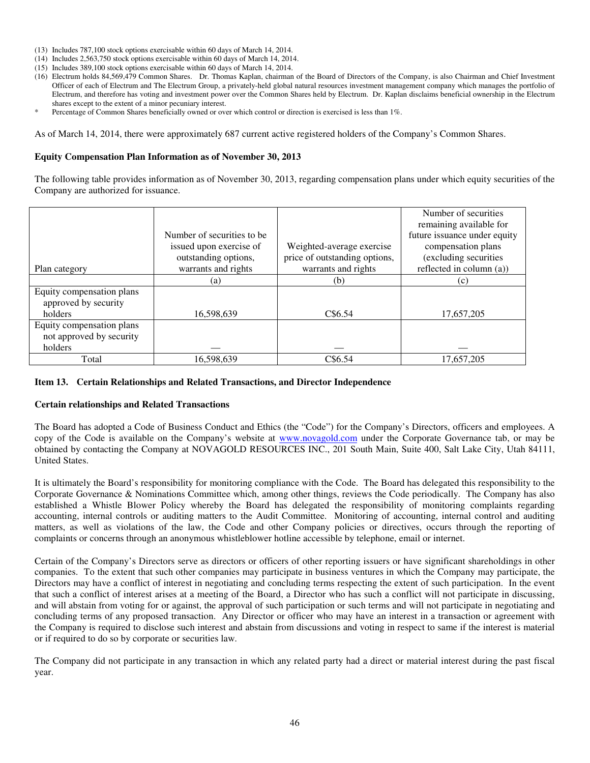- (13) Includes 787,100 stock options exercisable within 60 days of March 14, 2014.
- (14) Includes 2,563,750 stock options exercisable within 60 days of March 14, 2014.
- (15) Includes 389,100 stock options exercisable within 60 days of March 14, 2014.
- (16) Electrum holds 84,569,479 Common Shares. Dr. Thomas Kaplan, chairman of the Board of Directors of the Company, is also Chairman and Chief Investment Officer of each of Electrum and The Electrum Group, a privately-held global natural resources investment management company which manages the portfolio of Electrum, and therefore has voting and investment power over the Common Shares held by Electrum. Dr. Kaplan disclaims beneficial ownership in the Electrum shares except to the extent of a minor pecuniary interest.
- Percentage of Common Shares beneficially owned or over which control or direction is exercised is less than 1%.

As of March 14, 2014, there were approximately 687 current active registered holders of the Company's Common Shares.

#### **Equity Compensation Plan Information as of November 30, 2013**

The following table provides information as of November 30, 2013, regarding compensation plans under which equity securities of the Company are authorized for issuance.

|                           |                             |                               | Number of securities<br>remaining available for |
|---------------------------|-----------------------------|-------------------------------|-------------------------------------------------|
|                           | Number of securities to be. |                               | future issuance under equity                    |
|                           | issued upon exercise of     | Weighted-average exercise     | compensation plans                              |
|                           | outstanding options,        | price of outstanding options, | (excluding securities                           |
| Plan category             | warrants and rights         | warrants and rights           | reflected in column (a))                        |
|                           | (a)                         | (b)                           | (c)                                             |
| Equity compensation plans |                             |                               |                                                 |
| approved by security      |                             |                               |                                                 |
| holders                   | 16,598,639                  | C\$6.54                       | 17,657,205                                      |
| Equity compensation plans |                             |                               |                                                 |
| not approved by security  |                             |                               |                                                 |
| holders                   |                             |                               |                                                 |
| Total                     | 16.598.639                  | C\$6.54                       | 17.657.205                                      |

### **Item 13. Certain Relationships and Related Transactions, and Director Independence**

#### **Certain relationships and Related Transactions**

The Board has adopted a Code of Business Conduct and Ethics (the "Code") for the Company's Directors, officers and employees. A copy of the Code is available on the Company's website at www.novagold.com under the Corporate Governance tab, or may be obtained by contacting the Company at NOVAGOLD RESOURCES INC., 201 South Main, Suite 400, Salt Lake City, Utah 84111, United States.

It is ultimately the Board's responsibility for monitoring compliance with the Code. The Board has delegated this responsibility to the Corporate Governance & Nominations Committee which, among other things, reviews the Code periodically. The Company has also established a Whistle Blower Policy whereby the Board has delegated the responsibility of monitoring complaints regarding accounting, internal controls or auditing matters to the Audit Committee. Monitoring of accounting, internal control and auditing matters, as well as violations of the law, the Code and other Company policies or directives, occurs through the reporting of complaints or concerns through an anonymous whistleblower hotline accessible by telephone, email or internet.

Certain of the Company's Directors serve as directors or officers of other reporting issuers or have significant shareholdings in other companies. To the extent that such other companies may participate in business ventures in which the Company may participate, the Directors may have a conflict of interest in negotiating and concluding terms respecting the extent of such participation. In the event that such a conflict of interest arises at a meeting of the Board, a Director who has such a conflict will not participate in discussing, and will abstain from voting for or against, the approval of such participation or such terms and will not participate in negotiating and concluding terms of any proposed transaction. Any Director or officer who may have an interest in a transaction or agreement with the Company is required to disclose such interest and abstain from discussions and voting in respect to same if the interest is material or if required to do so by corporate or securities law.

The Company did not participate in any transaction in which any related party had a direct or material interest during the past fiscal year.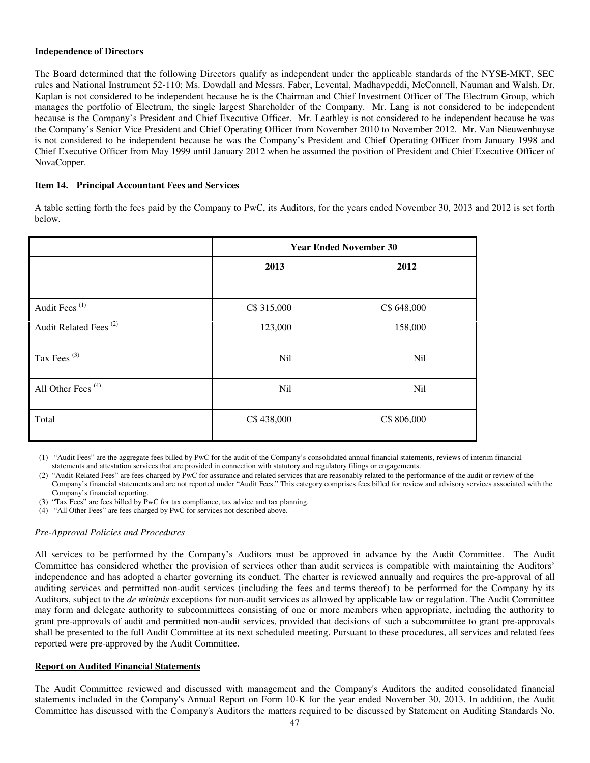#### **Independence of Directors**

The Board determined that the following Directors qualify as independent under the applicable standards of the NYSE-MKT, SEC rules and National Instrument 52-110: Ms. Dowdall and Messrs. Faber, Levental, Madhavpeddi, McConnell, Nauman and Walsh. Dr. Kaplan is not considered to be independent because he is the Chairman and Chief Investment Officer of The Electrum Group, which manages the portfolio of Electrum, the single largest Shareholder of the Company. Mr. Lang is not considered to be independent because is the Company's President and Chief Executive Officer. Mr. Leathley is not considered to be independent because he was the Company's Senior Vice President and Chief Operating Officer from November 2010 to November 2012. Mr. Van Nieuwenhuyse is not considered to be independent because he was the Company's President and Chief Operating Officer from January 1998 and Chief Executive Officer from May 1999 until January 2012 when he assumed the position of President and Chief Executive Officer of NovaCopper.

## **Item 14. Principal Accountant Fees and Services**

A table setting forth the fees paid by the Company to PwC, its Auditors, for the years ended November 30, 2013 and 2012 is set forth below.

|                                   | <b>Year Ended November 30</b> |             |  |
|-----------------------------------|-------------------------------|-------------|--|
|                                   | 2013                          | 2012        |  |
|                                   |                               |             |  |
| Audit Fees <sup>(1)</sup>         | C\$ 315,000                   | C\$ 648,000 |  |
| Audit Related Fees <sup>(2)</sup> | 123,000                       | 158,000     |  |
| Tax Fees <sup>(3)</sup>           | Nil                           | <b>Nil</b>  |  |
| All Other Fees <sup>(4)</sup>     | Nil                           | <b>Nil</b>  |  |
| Total                             | C\$438,000                    | C\$ 806,000 |  |

(1) "Audit Fees" are the aggregate fees billed by PwC for the audit of the Company's consolidated annual financial statements, reviews of interim financial statements and attestation services that are provided in connection with statutory and regulatory filings or engagements.

(2) "Audit-Related Fees" are fees charged by PwC for assurance and related services that are reasonably related to the performance of the audit or review of the Company's financial statements and are not reported under "Audit Fees." This category comprises fees billed for review and advisory services associated with the Company's financial reporting.

(3) "Tax Fees" are fees billed by PwC for tax compliance, tax advice and tax planning.

(4) "All Other Fees" are fees charged by PwC for services not described above.

## *Pre-Approval Policies and Procedures*

All services to be performed by the Company's Auditors must be approved in advance by the Audit Committee. The Audit Committee has considered whether the provision of services other than audit services is compatible with maintaining the Auditors' independence and has adopted a charter governing its conduct. The charter is reviewed annually and requires the pre-approval of all auditing services and permitted non-audit services (including the fees and terms thereof) to be performed for the Company by its Auditors, subject to the *de minimis* exceptions for non-audit services as allowed by applicable law or regulation. The Audit Committee may form and delegate authority to subcommittees consisting of one or more members when appropriate, including the authority to grant pre-approvals of audit and permitted non-audit services, provided that decisions of such a subcommittee to grant pre-approvals shall be presented to the full Audit Committee at its next scheduled meeting. Pursuant to these procedures, all services and related fees reported were pre-approved by the Audit Committee.

#### **Report on Audited Financial Statements**

The Audit Committee reviewed and discussed with management and the Company's Auditors the audited consolidated financial statements included in the Company's Annual Report on Form 10-K for the year ended November 30, 2013. In addition, the Audit Committee has discussed with the Company's Auditors the matters required to be discussed by Statement on Auditing Standards No.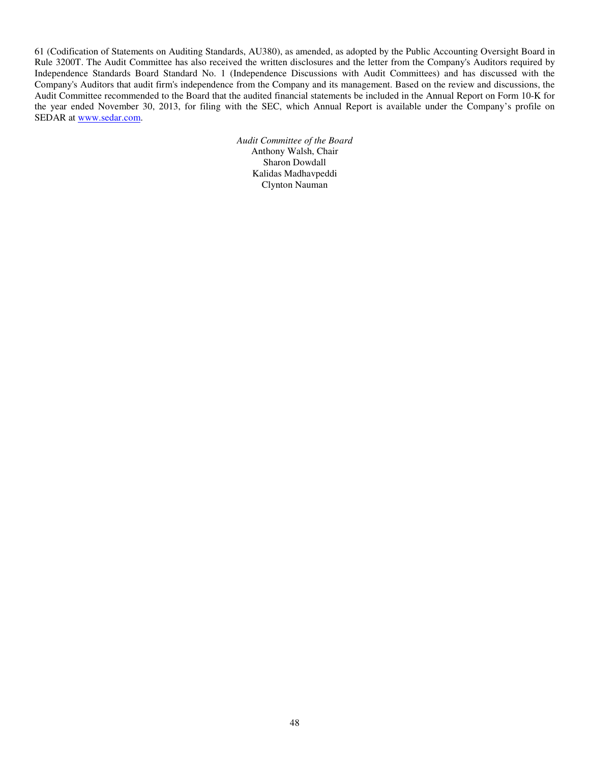61 (Codification of Statements on Auditing Standards, AU380), as amended, as adopted by the Public Accounting Oversight Board in Rule 3200T. The Audit Committee has also received the written disclosures and the letter from the Company's Auditors required by Independence Standards Board Standard No. 1 (Independence Discussions with Audit Committees) and has discussed with the Company's Auditors that audit firm's independence from the Company and its management. Based on the review and discussions, the Audit Committee recommended to the Board that the audited financial statements be included in the Annual Report on Form 10-K for the year ended November 30, 2013, for filing with the SEC, which Annual Report is available under the Company's profile on SEDAR at www.sedar.com.

> *Audit Committee of the Board* Anthony Walsh, Chair Sharon Dowdall Kalidas Madhavpeddi Clynton Nauman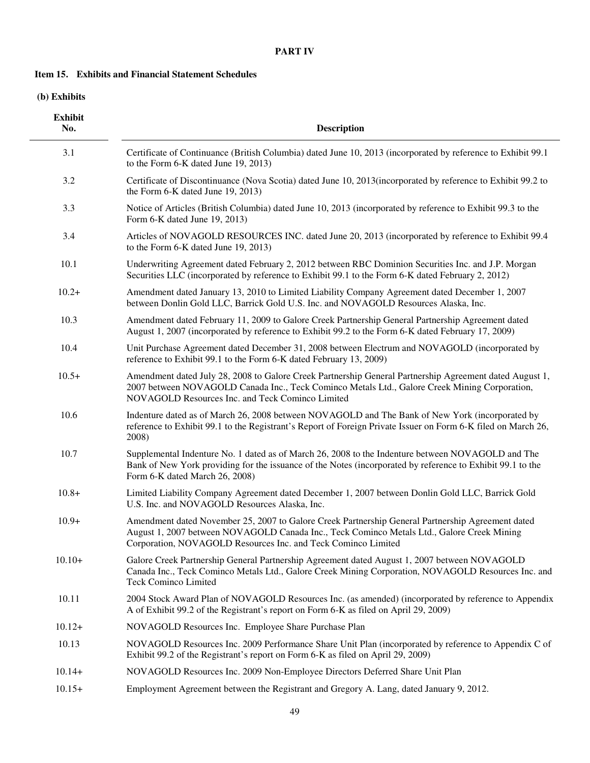## **PART IV**

## **Item 15. Exhibits and Financial Statement Schedules**

 **(b) Exhibits** 

| <b>Exhibit</b><br>No. | <b>Description</b>                                                                                                                                                                                                                                               |
|-----------------------|------------------------------------------------------------------------------------------------------------------------------------------------------------------------------------------------------------------------------------------------------------------|
| 3.1                   | Certificate of Continuance (British Columbia) dated June 10, 2013 (incorporated by reference to Exhibit 99.1)<br>to the Form 6-K dated June 19, 2013)                                                                                                            |
| 3.2                   | Certificate of Discontinuance (Nova Scotia) dated June 10, 2013 (incorporated by reference to Exhibit 99.2 to<br>the Form 6-K dated June 19, 2013)                                                                                                               |
| 3.3                   | Notice of Articles (British Columbia) dated June 10, 2013 (incorporated by reference to Exhibit 99.3 to the<br>Form 6-K dated June 19, 2013)                                                                                                                     |
| 3.4                   | Articles of NOVAGOLD RESOURCES INC. dated June 20, 2013 (incorporated by reference to Exhibit 99.4<br>to the Form 6-K dated June 19, 2013)                                                                                                                       |
| 10.1                  | Underwriting Agreement dated February 2, 2012 between RBC Dominion Securities Inc. and J.P. Morgan<br>Securities LLC (incorporated by reference to Exhibit 99.1 to the Form 6-K dated February 2, 2012)                                                          |
| $10.2+$               | Amendment dated January 13, 2010 to Limited Liability Company Agreement dated December 1, 2007<br>between Donlin Gold LLC, Barrick Gold U.S. Inc. and NOVAGOLD Resources Alaska, Inc.                                                                            |
| 10.3                  | Amendment dated February 11, 2009 to Galore Creek Partnership General Partnership Agreement dated<br>August 1, 2007 (incorporated by reference to Exhibit 99.2 to the Form 6-K dated February 17, 2009)                                                          |
| 10.4                  | Unit Purchase Agreement dated December 31, 2008 between Electrum and NOVAGOLD (incorporated by<br>reference to Exhibit 99.1 to the Form 6-K dated February 13, 2009)                                                                                             |
| $10.5+$               | Amendment dated July 28, 2008 to Galore Creek Partnership General Partnership Agreement dated August 1,<br>2007 between NOVAGOLD Canada Inc., Teck Cominco Metals Ltd., Galore Creek Mining Corporation,<br>NOVAGOLD Resources Inc. and Teck Cominco Limited     |
| 10.6                  | Indenture dated as of March 26, 2008 between NOVAGOLD and The Bank of New York (incorporated by<br>reference to Exhibit 99.1 to the Registrant's Report of Foreign Private Issuer on Form 6-K filed on March 26,<br>2008)                                        |
| 10.7                  | Supplemental Indenture No. 1 dated as of March 26, 2008 to the Indenture between NOVAGOLD and The<br>Bank of New York providing for the issuance of the Notes (incorporated by reference to Exhibit 99.1 to the<br>Form 6-K dated March 26, 2008)                |
| $10.8+$               | Limited Liability Company Agreement dated December 1, 2007 between Donlin Gold LLC, Barrick Gold<br>U.S. Inc. and NOVAGOLD Resources Alaska, Inc.                                                                                                                |
| $10.9+$               | Amendment dated November 25, 2007 to Galore Creek Partnership General Partnership Agreement dated<br>August 1, 2007 between NOVAGOLD Canada Inc., Teck Cominco Metals Ltd., Galore Creek Mining<br>Corporation, NOVAGOLD Resources Inc. and Teck Cominco Limited |
| $10.10+$              | Galore Creek Partnership General Partnership Agreement dated August 1, 2007 between NOVAGOLD<br>Canada Inc., Teck Cominco Metals Ltd., Galore Creek Mining Corporation, NOVAGOLD Resources Inc. and<br><b>Teck Cominco Limited</b>                               |
| 10.11                 | 2004 Stock Award Plan of NOVAGOLD Resources Inc. (as amended) (incorporated by reference to Appendix<br>A of Exhibit 99.2 of the Registrant's report on Form 6-K as filed on April 29, 2009)                                                                     |
| $10.12+$              | NOVAGOLD Resources Inc. Employee Share Purchase Plan                                                                                                                                                                                                             |
| 10.13                 | NOVAGOLD Resources Inc. 2009 Performance Share Unit Plan (incorporated by reference to Appendix C of<br>Exhibit 99.2 of the Registrant's report on Form 6-K as filed on April 29, 2009)                                                                          |
| $10.14+$              | NOVAGOLD Resources Inc. 2009 Non-Employee Directors Deferred Share Unit Plan                                                                                                                                                                                     |
| $10.15+$              | Employment Agreement between the Registrant and Gregory A. Lang, dated January 9, 2012.                                                                                                                                                                          |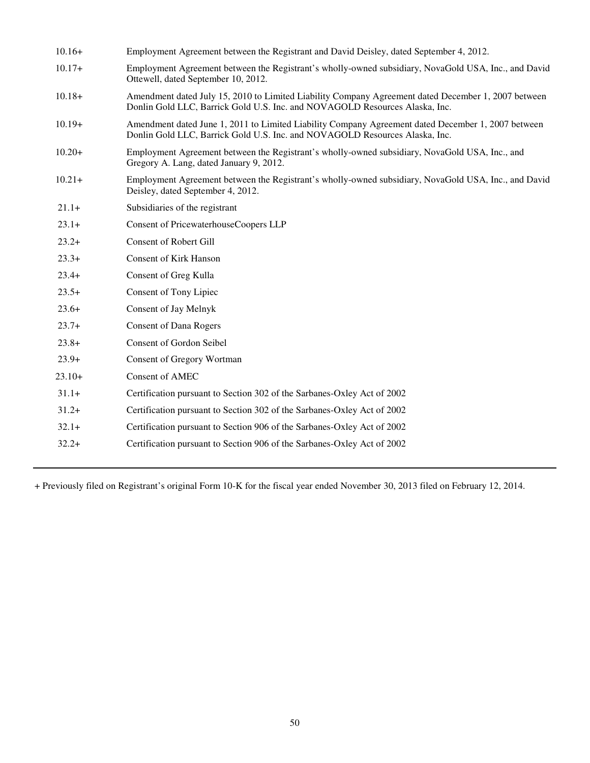| $10.16+$ | Employment Agreement between the Registrant and David Deisley, dated September 4, 2012.                                                                                            |
|----------|------------------------------------------------------------------------------------------------------------------------------------------------------------------------------------|
| $10.17+$ | Employment Agreement between the Registrant's wholly-owned subsidiary, NovaGold USA, Inc., and David<br>Ottewell, dated September 10, 2012.                                        |
| $10.18+$ | Amendment dated July 15, 2010 to Limited Liability Company Agreement dated December 1, 2007 between<br>Donlin Gold LLC, Barrick Gold U.S. Inc. and NOVAGOLD Resources Alaska, Inc. |
| $10.19+$ | Amendment dated June 1, 2011 to Limited Liability Company Agreement dated December 1, 2007 between<br>Donlin Gold LLC, Barrick Gold U.S. Inc. and NOVAGOLD Resources Alaska, Inc.  |
| $10.20+$ | Employment Agreement between the Registrant's wholly-owned subsidiary, NovaGold USA, Inc., and<br>Gregory A. Lang, dated January 9, 2012.                                          |
| $10.21+$ | Employment Agreement between the Registrant's wholly-owned subsidiary, NovaGold USA, Inc., and David<br>Deisley, dated September 4, 2012.                                          |
| $21.1+$  | Subsidiaries of the registrant                                                                                                                                                     |
| $23.1+$  | Consent of PricewaterhouseCoopers LLP                                                                                                                                              |
| $23.2+$  | <b>Consent of Robert Gill</b>                                                                                                                                                      |
| $23.3+$  | <b>Consent of Kirk Hanson</b>                                                                                                                                                      |
| $23.4+$  | <b>Consent of Greg Kulla</b>                                                                                                                                                       |
| $23.5+$  | Consent of Tony Lipiec                                                                                                                                                             |
| $23.6+$  | Consent of Jay Melnyk                                                                                                                                                              |
| $23.7+$  | <b>Consent of Dana Rogers</b>                                                                                                                                                      |
| $23.8+$  | <b>Consent of Gordon Seibel</b>                                                                                                                                                    |
| $23.9+$  | <b>Consent of Gregory Wortman</b>                                                                                                                                                  |
| $23.10+$ | Consent of AMEC                                                                                                                                                                    |
| $31.1+$  | Certification pursuant to Section 302 of the Sarbanes-Oxley Act of 2002                                                                                                            |
| $31.2+$  | Certification pursuant to Section 302 of the Sarbanes-Oxley Act of 2002                                                                                                            |
| $32.1+$  | Certification pursuant to Section 906 of the Sarbanes-Oxley Act of 2002                                                                                                            |
| $32.2+$  | Certification pursuant to Section 906 of the Sarbanes-Oxley Act of 2002                                                                                                            |

+ Previously filed on Registrant's original Form 10-K for the fiscal year ended November 30, 2013 filed on February 12, 2014.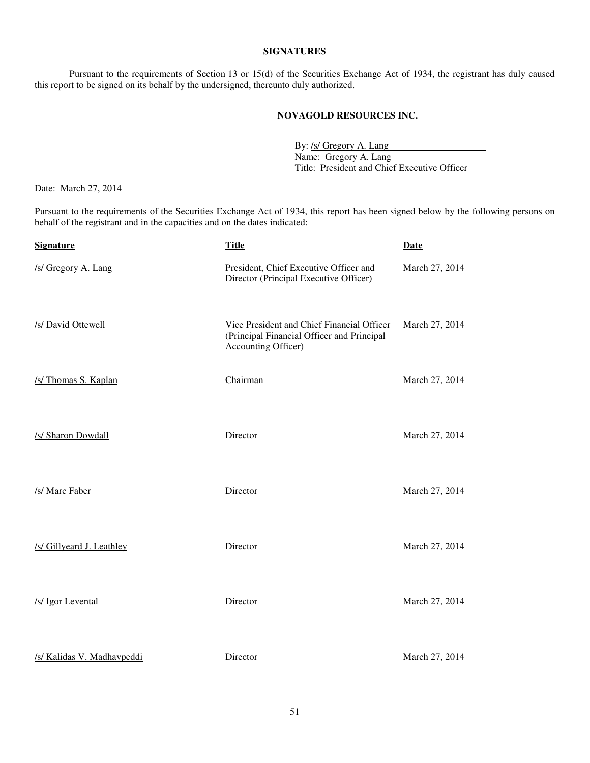#### **SIGNATURES**

Pursuant to the requirements of Section 13 or 15(d) of the Securities Exchange Act of 1934, the registrant has duly caused this report to be signed on its behalf by the undersigned, thereunto duly authorized.

#### **NOVAGOLD RESOURCES INC.**

By: /s/ Gregory A. Lang Name: Gregory A. Lang Title: President and Chief Executive Officer

Date: March 27, 2014

Pursuant to the requirements of the Securities Exchange Act of 1934, this report has been signed below by the following persons on behalf of the registrant and in the capacities and on the dates indicated:

| <b>Signature</b>           | <b>Title</b>                                                                                                    | <b>Date</b>    |
|----------------------------|-----------------------------------------------------------------------------------------------------------------|----------------|
| /s/ Gregory A. Lang        | President, Chief Executive Officer and<br>Director (Principal Executive Officer)                                | March 27, 2014 |
| /s/ David Ottewell         | Vice President and Chief Financial Officer<br>(Principal Financial Officer and Principal<br>Accounting Officer) | March 27, 2014 |
| /s/ Thomas S. Kaplan       | Chairman                                                                                                        | March 27, 2014 |
| /s/ Sharon Dowdall         | Director                                                                                                        | March 27, 2014 |
| /s/ Marc Faber             | Director                                                                                                        | March 27, 2014 |
| /s/ Gillyeard J. Leathley  | Director                                                                                                        | March 27, 2014 |
| /s/ Igor Levental          | Director                                                                                                        | March 27, 2014 |
| /s/ Kalidas V. Madhavpeddi | Director                                                                                                        | March 27, 2014 |